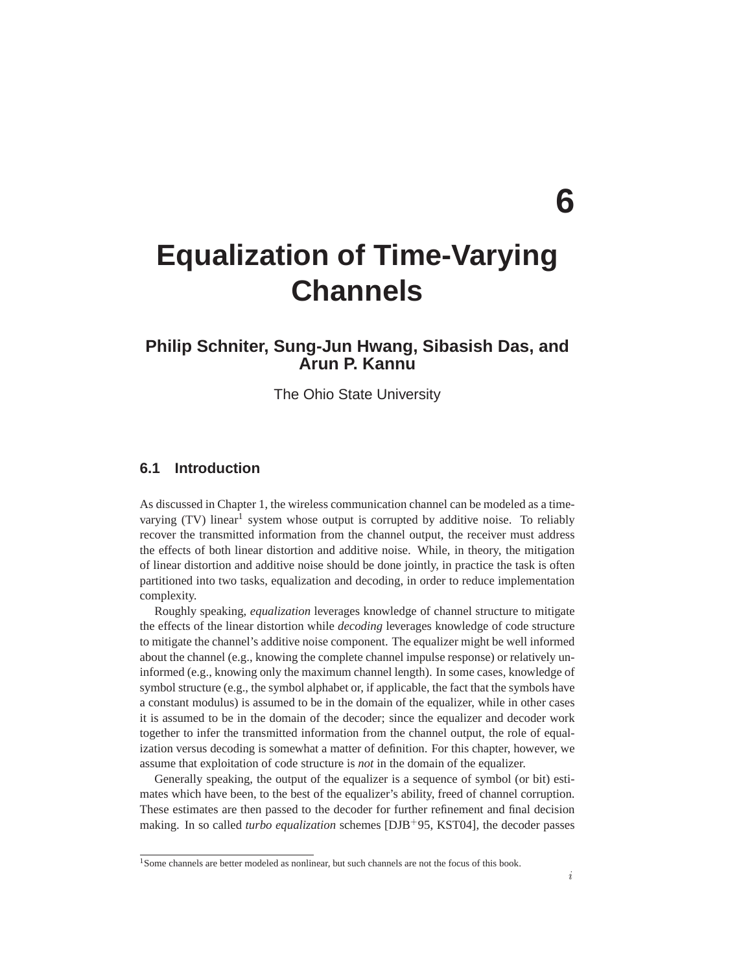# **6**

# **Equalization of Time-Varying Channels**

# **Philip Schniter, Sung-Jun Hwang, Sibasish Das, and Arun P. Kannu**

The Ohio State University

# **6.1 Introduction**

As discussed in Chapter 1, the wireless communication channel can be modeled as a timevarying (TV) linear<sup>1</sup> system whose output is corrupted by additive noise. To reliably recover the transmitted information from the channel output, the receiver must address the effects of both linear distortion and additive noise. While, in theory, the mitigation of linear distortion and additive noise should be done jointly, in practice the task is often partitioned into two tasks, equalization and decoding, in order to reduce implementation complexity.

Roughly speaking, *equalization* leverages knowledge of channel structure to mitigate the effects of the linear distortion while *decoding* leverages knowledge of code structure to mitigate the channel's additive noise component. The equalizer might be well informed about the channel (e.g., knowing the complete channel impulse response) or relatively uninformed (e.g., knowing only the maximum channel length). In some cases, knowledge of symbol structure (e.g., the symbol alphabet or, if applicable, the fact that the symbols have a constant modulus) is assumed to be in the domain of the equalizer, while in other cases it is assumed to be in the domain of the decoder; since the equalizer and decoder work together to infer the transmitted information from the channel output, the role of equalization versus decoding is somewhat a matter of definition. For this chapter, however, we assume that exploitation of code structure is *not* in the domain of the equalizer.

Generally speaking, the output of the equalizer is a sequence of symbol (or bit) estimates which have been, to the best of the equalizer's ability, freed of channel corruption. These estimates are then passed to the decoder for further refinement and final decision making. In so called *turbo equalization* schemes [DJB+95, KST04], the decoder passes

<sup>&</sup>lt;sup>1</sup>Some channels are better modeled as nonlinear, but such channels are not the focus of this book.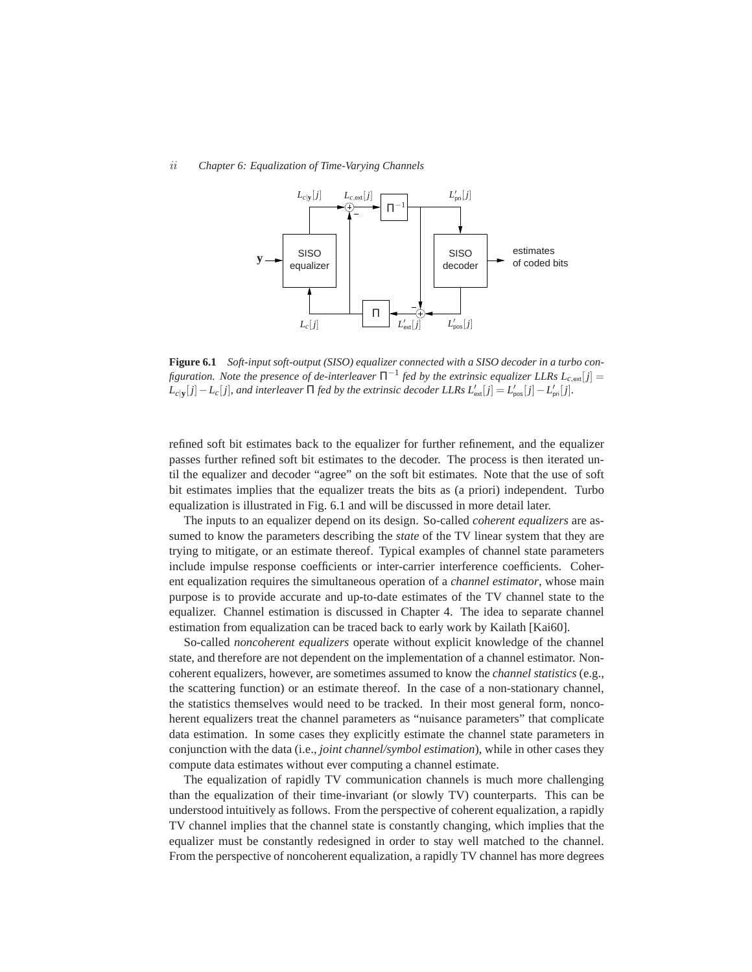#### *ii Chapter 6: Equalization of Time-Varying Channels*



**Figure 6.1** *Soft-input soft-output (SISO) equalizer connected with a SISO decoder in a turbo configuration. Note the presence of de-interleaver*  $\Pi^{-1}$  *fed by the extrinsic equalizer LLRs*  $L_{c,ext}[j] =$  $L_{c|y}[j] - L_c[j]$ , and interleaver  $\Pi$  *fed by the extrinsic decoder LLRs*  $L'_{ext}[j] = L'_{pos}[j] - L'_{pri}[j]$ .

refined soft bit estimates back to the equalizer for further refinement, and the equalizer passes further refined soft bit estimates to the decoder. The process is then iterated until the equalizer and decoder "agree" on the soft bit estimates. Note that the use of soft bit estimates implies that the equalizer treats the bits as (a priori) independent. Turbo equalization is illustrated in Fig. 6.1 and will be discussed in more detail later.

The inputs to an equalizer depend on its design. So-called *coherent equalizers* are assumed to know the parameters describing the *state* of the TV linear system that they are trying to mitigate, or an estimate thereof. Typical examples of channel state parameters include impulse response coefficients or inter-carrier interference coefficients. Coherent equalization requires the simultaneous operation of a *channel estimator*, whose main purpose is to provide accurate and up-to-date estimates of the TV channel state to the equalizer. Channel estimation is discussed in Chapter 4. The idea to separate channel estimation from equalization can be traced back to early work by Kailath [Kai60].

So-called *noncoherent equalizers* operate without explicit knowledge of the channel state, and therefore are not dependent on the implementation of a channel estimator. Noncoherent equalizers, however, are sometimes assumed to know the *channel statistics* (e.g., the scattering function) or an estimate thereof. In the case of a non-stationary channel, the statistics themselves would need to be tracked. In their most general form, noncoherent equalizers treat the channel parameters as "nuisance parameters" that complicate data estimation. In some cases they explicitly estimate the channel state parameters in conjunction with the data (i.e., *joint channel/symbol estimation*), while in other cases they compute data estimates without ever computing a channel estimate.

The equalization of rapidly TV communication channels is much more challenging than the equalization of their time-invariant (or slowly TV) counterparts. This can be understood intuitively as follows. From the perspective of coherent equalization, a rapidly TV channel implies that the channel state is constantly changing, which implies that the equalizer must be constantly redesigned in order to stay well matched to the channel. From the perspective of noncoherent equalization, a rapidly TV channel has more degrees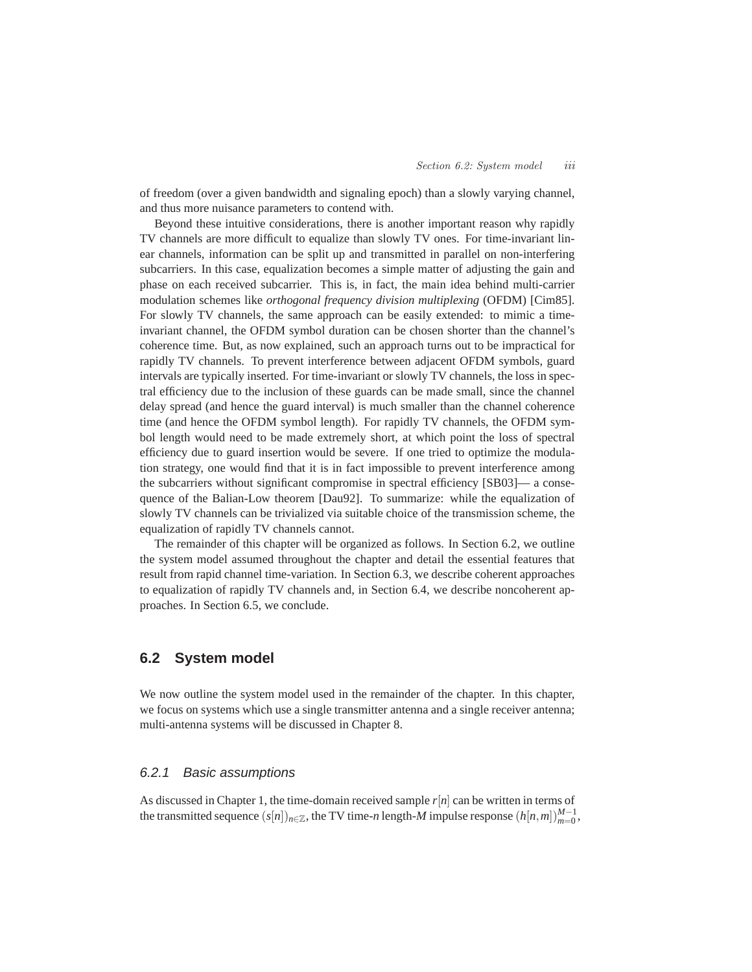of freedom (over a given bandwidth and signaling epoch) than a slowly varying channel, and thus more nuisance parameters to contend with.

Beyond these intuitive considerations, there is another important reason why rapidly TV channels are more difficult to equalize than slowly TV ones. For time-invariant linear channels, information can be split up and transmitted in parallel on non-interfering subcarriers. In this case, equalization becomes a simple matter of adjusting the gain and phase on each received subcarrier. This is, in fact, the main idea behind multi-carrier modulation schemes like *orthogonal frequency division multiplexing* (OFDM) [Cim85]. For slowly TV channels, the same approach can be easily extended: to mimic a timeinvariant channel, the OFDM symbol duration can be chosen shorter than the channel's coherence time. But, as now explained, such an approach turns out to be impractical for rapidly TV channels. To prevent interference between adjacent OFDM symbols, guard intervals are typically inserted. For time-invariant or slowly TV channels, the loss in spectral efficiency due to the inclusion of these guards can be made small, since the channel delay spread (and hence the guard interval) is much smaller than the channel coherence time (and hence the OFDM symbol length). For rapidly TV channels, the OFDM symbol length would need to be made extremely short, at which point the loss of spectral efficiency due to guard insertion would be severe. If one tried to optimize the modulation strategy, one would find that it is in fact impossible to prevent interference among the subcarriers without significant compromise in spectral efficiency [SB03]— a consequence of the Balian-Low theorem [Dau92]. To summarize: while the equalization of slowly TV channels can be trivialized via suitable choice of the transmission scheme, the equalization of rapidly TV channels cannot.

The remainder of this chapter will be organized as follows. In Section 6.2, we outline the system model assumed throughout the chapter and detail the essential features that result from rapid channel time-variation. In Section 6.3, we describe coherent approaches to equalization of rapidly TV channels and, in Section 6.4, we describe noncoherent approaches. In Section 6.5, we conclude.

# **6.2 System model**

We now outline the system model used in the remainder of the chapter. In this chapter, we focus on systems which use a single transmitter antenna and a single receiver antenna; multi-antenna systems will be discussed in Chapter 8.

# 6.2.1 Basic assumptions

As discussed in Chapter 1, the time-domain received sample *r*[*n*] can be written in terms of the transmitted sequence  $(s[n])_{n \in \mathbb{Z}}$ , the TV time-*n* length-*M* impulse response  $(h[n,m])_{m=0}^{M-1}$ ,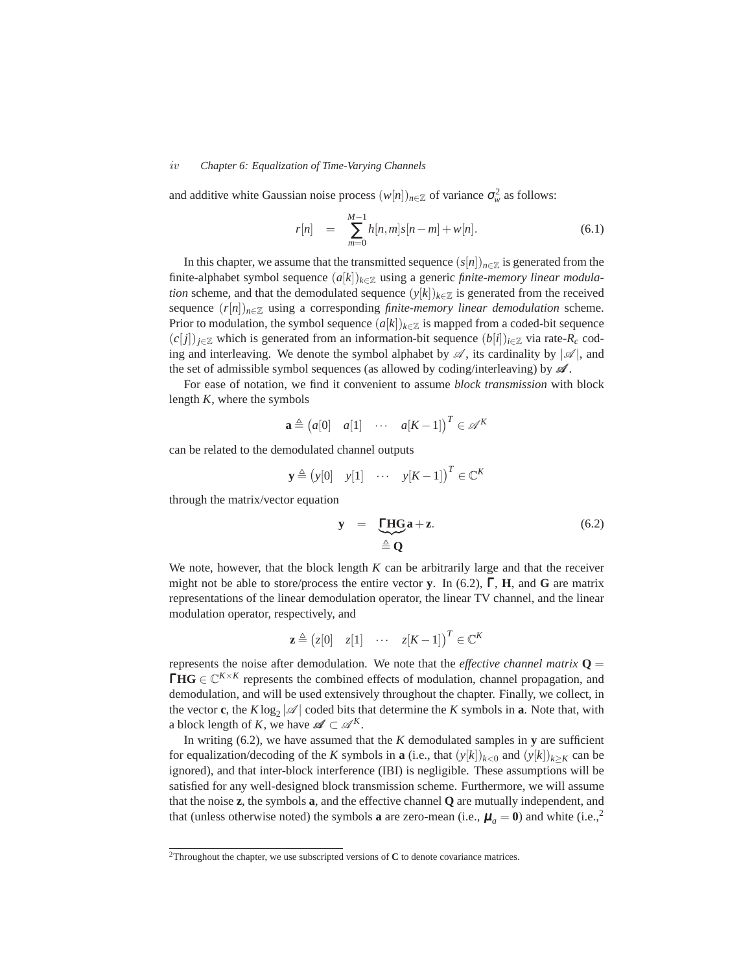#### *iv Chapter 6: Equalization of Time-Varying Channels*

and additive white Gaussian noise process  $(w[n])_{n \in \mathbb{Z}}$  of variance  $\sigma_w^2$  as follows:

$$
r[n] = \sum_{m=0}^{M-1} h[n,m]s[n-m] + w[n]. \tag{6.1}
$$

In this chapter, we assume that the transmitted sequence  $(s[n])_{n\in\mathbb{Z}}$  is generated from the finite-alphabet symbol sequence  $(a[k])_{k \in \mathbb{Z}}$  using a generic *finite-memory linear modulation* scheme, and that the demodulated sequence  $(y[k])_{k \in \mathbb{Z}}$  is generated from the received sequence  $(r[n])_{n \in \mathbb{Z}}$  using a corresponding *finite-memory linear demodulation* scheme. Prior to modulation, the symbol sequence  $(a[k])_{k \in \mathbb{Z}}$  is mapped from a coded-bit sequence  $(c[j])_{i\in\mathbb{Z}}$  which is generated from an information-bit sequence  $(b[i])_{i\in\mathbb{Z}}$  via rate- $R_c$  coding and interleaving. We denote the symbol alphabet by  $\mathscr{A}$ , its cardinality by  $|\mathscr{A}|$ , and the set of admissible symbol sequences (as allowed by coding/interleaving) by  $\mathscr{A}$ .

For ease of notation, we find it convenient to assume *block transmission* with block length *K*, where the symbols

$$
\mathbf{a} \triangleq (a[0] \quad a[1] \quad \cdots \quad a[K-1])^{T} \in \mathscr{A}^{K}
$$

can be related to the demodulated channel outputs

$$
\mathbf{y} \triangleq (y[0] \quad y[1] \quad \cdots \quad y[K-1])^{T} \in \mathbb{C}^{K}
$$

through the matrix/vector equation

$$
y = \underbrace{\text{THG}}_{\triangleq Q} a + z. \tag{6.2}
$$

We note, however, that the block length *K* can be arbitrarily large and that the receiver might not be able to store/process the entire vector **y**. In (6.2), Γ, **H**, and **G** are matrix representations of the linear demodulation operator, the linear TV channel, and the linear modulation operator, respectively, and

$$
\mathbf{z} \triangleq (z[0] \quad z[1] \quad \cdots \quad z[K-1])^{T} \in \mathbb{C}^{K}
$$

represents the noise after demodulation. We note that the *effective channel matrix*  $\mathbf{Q} =$ **ΓΗG**  $\in \mathbb{C}^{K \times K}$  represents the combined effects of modulation, channel propagation, and demodulation, and will be used extensively throughout the chapter. Finally, we collect, in the vector **c**, the  $K \log_2 |\mathcal{A}|$  coded bits that determine the  $K$  symbols in **a**. Note that, with a block length of *K*, we have  $\mathscr{A} \subset \mathscr{A}^K$ .

In writing  $(6.2)$ , we have assumed that the *K* demodulated samples in **y** are sufficient for equalization/decoding of the *K* symbols in **a** (i.e., that  $(y[k])_{k>0}$  and  $(y[k])_{k\geq K}$  can be ignored), and that inter-block interference (IBI) is negligible. These assumptions will be satisfied for any well-designed block transmission scheme. Furthermore, we will assume that the noise **z**, the symbols **a**, and the effective channel **Q** are mutually independent, and that (unless otherwise noted) the symbols **a** are zero-mean (i.e.,  $\mu_a = 0$ ) and white (i.e.,<sup>2</sup>)

<sup>2</sup>Throughout the chapter, we use subscripted versions of **C** to denote covariance matrices.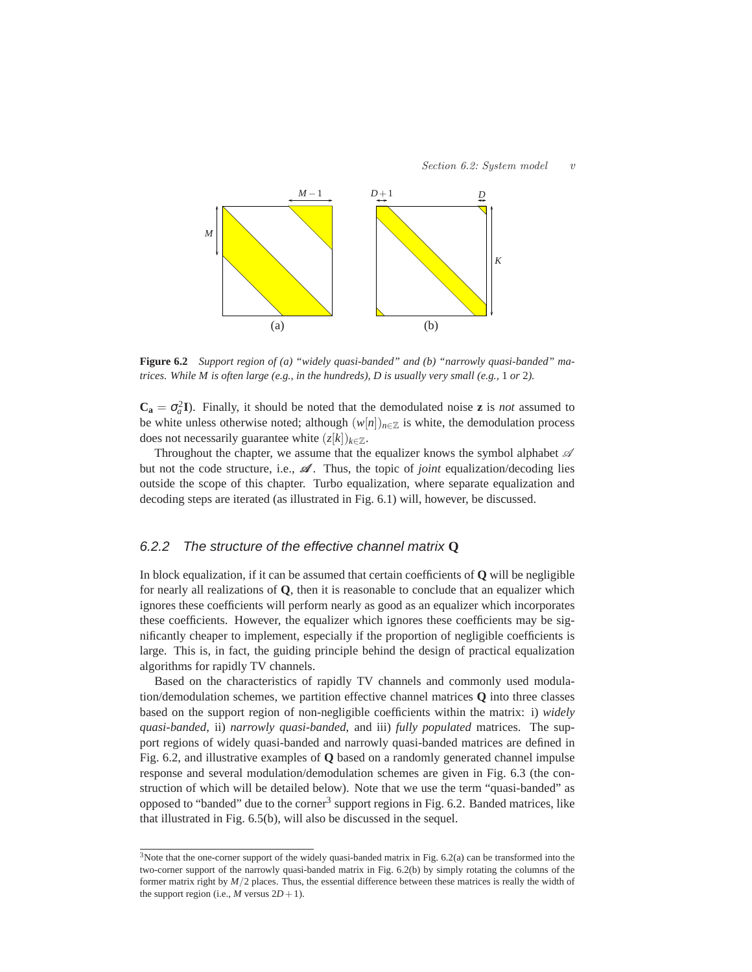

**Figure 6.2** *Support region of (a) "widely quasi-banded" and (b) "narrowly quasi-banded" matrices. While M is often large (e.g., in the hundreds), D is usually very small (e.g.,* 1 *or* 2*).*

 $C_a = \sigma_a^2 I$ ). Finally, it should be noted that the demodulated noise **z** is *not* assumed to be white unless otherwise noted; although  $(w[n])_{n \in \mathbb{Z}}$  is white, the demodulation process does not necessarily guarantee white  $(z[k])_{k \in \mathbb{Z}}$ .

Throughout the chapter, we assume that the equalizer knows the symbol alphabet  $\mathscr A$ but not the code structure, i.e.,  $\mathscr A$ . Thus, the topic of *joint* equalization/decoding lies outside the scope of this chapter. Turbo equalization, where separate equalization and decoding steps are iterated (as illustrated in Fig. 6.1) will, however, be discussed.

# 6.2.2 The structure of the effective channel matrix **Q**

In block equalization, if it can be assumed that certain coefficients of **Q** will be negligible for nearly all realizations of **Q**, then it is reasonable to conclude that an equalizer which ignores these coefficients will perform nearly as good as an equalizer which incorporates these coefficients. However, the equalizer which ignores these coefficients may be significantly cheaper to implement, especially if the proportion of negligible coefficients is large. This is, in fact, the guiding principle behind the design of practical equalization algorithms for rapidly TV channels.

Based on the characteristics of rapidly TV channels and commonly used modulation/demodulation schemes, we partition effective channel matrices **Q** into three classes based on the support region of non-negligible coefficients within the matrix: i) *widely quasi-banded*, ii) *narrowly quasi-banded*, and iii) *fully populated* matrices. The support regions of widely quasi-banded and narrowly quasi-banded matrices are defined in Fig. 6.2, and illustrative examples of **Q** based on a randomly generated channel impulse response and several modulation/demodulation schemes are given in Fig. 6.3 (the construction of which will be detailed below). Note that we use the term "quasi-banded" as opposed to "banded" due to the corner<sup>3</sup> support regions in Fig. 6.2. Banded matrices, like that illustrated in Fig. 6.5(b), will also be discussed in the sequel.

<sup>&</sup>lt;sup>3</sup>Note that the one-corner support of the widely quasi-banded matrix in Fig. 6.2(a) can be transformed into the two-corner support of the narrowly quasi-banded matrix in Fig. 6.2(b) by simply rotating the columns of the former matrix right by *M*/2 places. Thus, the essential difference between these matrices is really the width of the support region (i.e.,  $M$  versus  $2D+1$ ).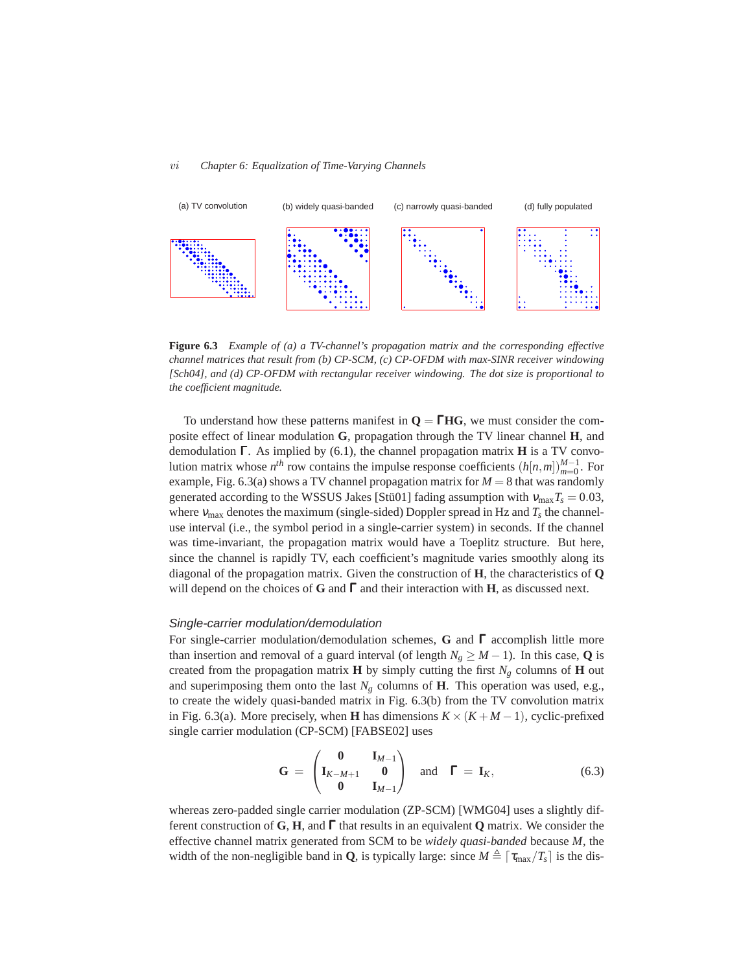#### *vi Chapter 6: Equalization of Time-Varying Channels*



**Figure 6.3** *Example of (a) a TV-channel's propagation matrix and the corresponding effective channel matrices that result from (b) CP-SCM, (c) CP-OFDM with max-SINR receiver windowing [Sch04], and (d) CP-OFDM with rectangular receiver windowing. The dot size is proportional to the coefficient magnitude.*

To understand how these patterns manifest in  $Q = \Gamma H G$ , we must consider the composite effect of linear modulation **G**, propagation through the TV linear channel **H**, and demodulation Γ. As implied by (6.1), the channel propagation matrix **H** is a TV convolution matrix whose  $n^{th}$  row contains the impulse response coefficients  $(h[n,m])_{m=0}^{M-1}$ . For example, Fig.  $6.3(a)$  shows a TV channel propagation matrix for  $M = 8$  that was randomly generated according to the WSSUS Jakes [Stü01] fading assumption with  $v_{\text{max}}T_s = 0.03$ , where  $v_{\text{max}}$  denotes the maximum (single-sided) Doppler spread in Hz and  $T_s$  the channeluse interval (i.e., the symbol period in a single-carrier system) in seconds. If the channel was time-invariant, the propagation matrix would have a Toeplitz structure. But here, since the channel is rapidly TV, each coefficient's magnitude varies smoothly along its diagonal of the propagation matrix. Given the construction of **H**, the characteristics of **Q** will depend on the choices of **G** and Γ and their interaction with **H**, as discussed next.

#### Single-carrier modulation/demodulation

For single-carrier modulation/demodulation schemes, **G** and Γ accomplish little more than insertion and removal of a guard interval (of length  $N_g \geq M - 1$ ). In this case, **Q** is created from the propagation matrix **H** by simply cutting the first  $N_g$  columns of **H** out and superimposing them onto the last  $N_g$  columns of **H**. This operation was used, e.g., to create the widely quasi-banded matrix in Fig. 6.3(b) from the TV convolution matrix in Fig. 6.3(a). More precisely, when **H** has dimensions  $K \times (K + M - 1)$ , cyclic-prefixed single carrier modulation (CP-SCM) [FABSE02] uses

$$
\mathbf{G} = \begin{pmatrix} \mathbf{0} & \mathbf{I}_{M-1} \\ \mathbf{I}_{K-M+1} & \mathbf{0} \\ \mathbf{0} & \mathbf{I}_{M-1} \end{pmatrix} \text{ and } \mathbf{\Gamma} = \mathbf{I}_K, \tag{6.3}
$$

whereas zero-padded single carrier modulation (ZP-SCM) [WMG04] uses a slightly different construction of **G**, **H**, and Γ that results in an equivalent **Q** matrix. We consider the effective channel matrix generated from SCM to be *widely quasi-banded* because *M*, the width of the non-negligible band in **Q**, is typically large: since  $M \triangleq \lceil \tau_{\text{max}}/T_s \rceil$  is the dis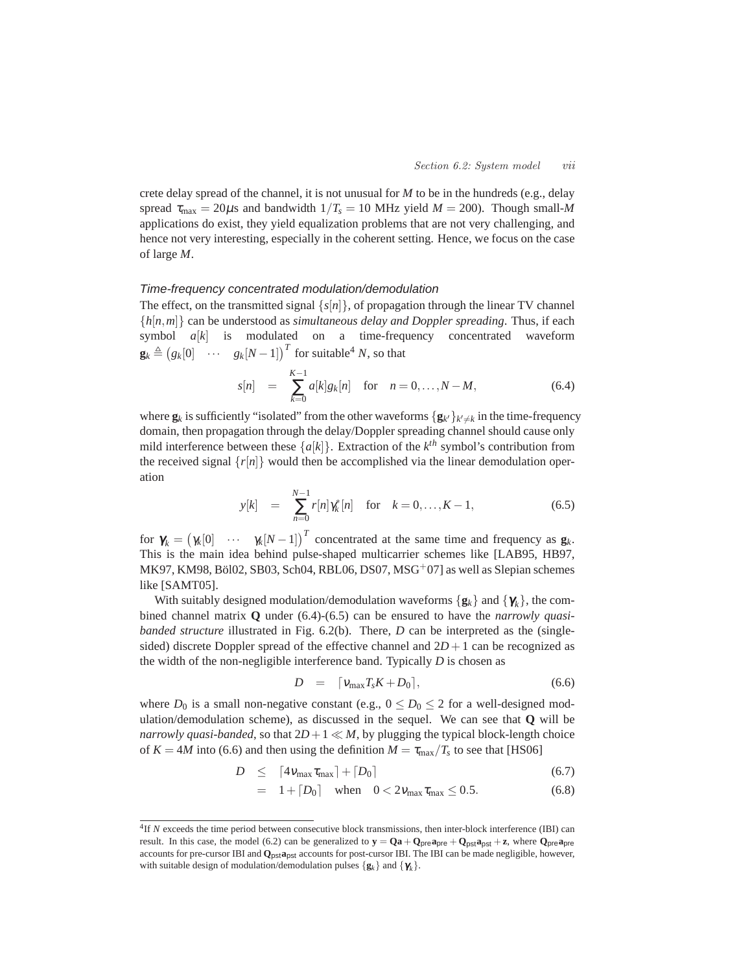crete delay spread of the channel, it is not unusual for *M* to be in the hundreds (e.g., delay spread  $\tau_{\text{max}} = 20\mu s$  and bandwidth  $1/T_s = 10$  MHz yield  $M = 200$ ). Though small-M applications do exist, they yield equalization problems that are not very challenging, and hence not very interesting, especially in the coherent setting. Hence, we focus on the case of large *M*.

# Time-frequency concentrated modulation/demodulation

The effect, on the transmitted signal  $\{s[n]\}$ , of propagation through the linear TV channel {*h*[*n*,*m*]} can be understood as *simultaneous delay and Doppler spreading*. Thus, if each symbol *a*[*k*] is modulated on a time-frequency concentrated waveform  $\mathbf{g}_k \triangleq (g_k[0] \quad \cdots \quad g_k[N-1])^T$  for suitable<sup>4</sup> *N*, so that

$$
s[n] = \sum_{k=0}^{K-1} a[k]g_k[n] \text{ for } n = 0, ..., N-M,
$$
 (6.4)

where  $\mathbf{g}_k$  is sufficiently "isolated" from the other waveforms  $\{\mathbf{g}_{k'}\}_{k'\neq k}$  in the time-frequency domain, then propagation through the delay/Doppler spreading channel should cause only mild interference between these  $\{a[k]\}\$ . Extraction of the  $k^{th}$  symbol's contribution from the received signal  $\{r[n]\}$  would then be accomplished via the linear demodulation operation

$$
y[k] = \sum_{n=0}^{N-1} r[n] \gamma_k^*[n] \text{ for } k = 0, ..., K-1,
$$
 (6.5)

for  $\gamma_k = (\gamma_k[0] \cdots \gamma_k[N-1])^T$  concentrated at the same time and frequency as  $\mathbf{g}_k$ . This is the main idea behind pulse-shaped multicarrier schemes like [LAB95, HB97, MK97, KM98, Böl02, SB03, Sch04, RBL06, DS07, MSG<sup>+</sup>07] as well as Slepian schemes like [SAMT05].

With suitably designed modulation/demodulation waveforms  $\{g_k\}$  and  $\{\gamma_k\}$ , the combined channel matrix **Q** under (6.4)-(6.5) can be ensured to have the *narrowly quasibanded structure* illustrated in Fig. 6.2(b). There, *D* can be interpreted as the (singlesided) discrete Doppler spread of the effective channel and  $2D+1$  can be recognized as the width of the non-negligible interference band. Typically *D* is chosen as

$$
D = \lceil v_{\text{max}} T_s K + D_0 \rceil, \tag{6.6}
$$

where  $D_0$  is a small non-negative constant (e.g.,  $0 \le D_0 \le 2$  for a well-designed modulation/demodulation scheme), as discussed in the sequel. We can see that **Q** will be *narrowly quasi-banded*, so that  $2D+1 \ll M$ , by plugging the typical block-length choice of  $K = 4M$  into (6.6) and then using the definition  $M = \tau_{\text{max}}/T_s$  to see that [HS06]

$$
D \leq \left[4v_{\text{max}}\tau_{\text{max}}\right] + \left[D_0\right] \tag{6.7}
$$

= 
$$
1 + [D_0]
$$
 when  $0 < 2v_{\text{max}}\tau_{\text{max}} \le 0.5$ . (6.8)

<sup>&</sup>lt;sup>4</sup>If *N* exceeds the time period between consecutive block transmissions, then inter-block interference (IBI) can result. In this case, the model (6.2) can be generalized to  $y = Qa + Q_{pre}a_{pre} + Q_{pst}a_{post} + z$ , where  $Q_{pre}a_{pre}$ accounts for pre-cursor IBI and **Q**pst**a**pst accounts for post-cursor IBI. The IBI can be made negligible, however, with suitable design of modulation/demodulation pulses  $\{g_k\}$  and  $\{\gamma_k\}$ .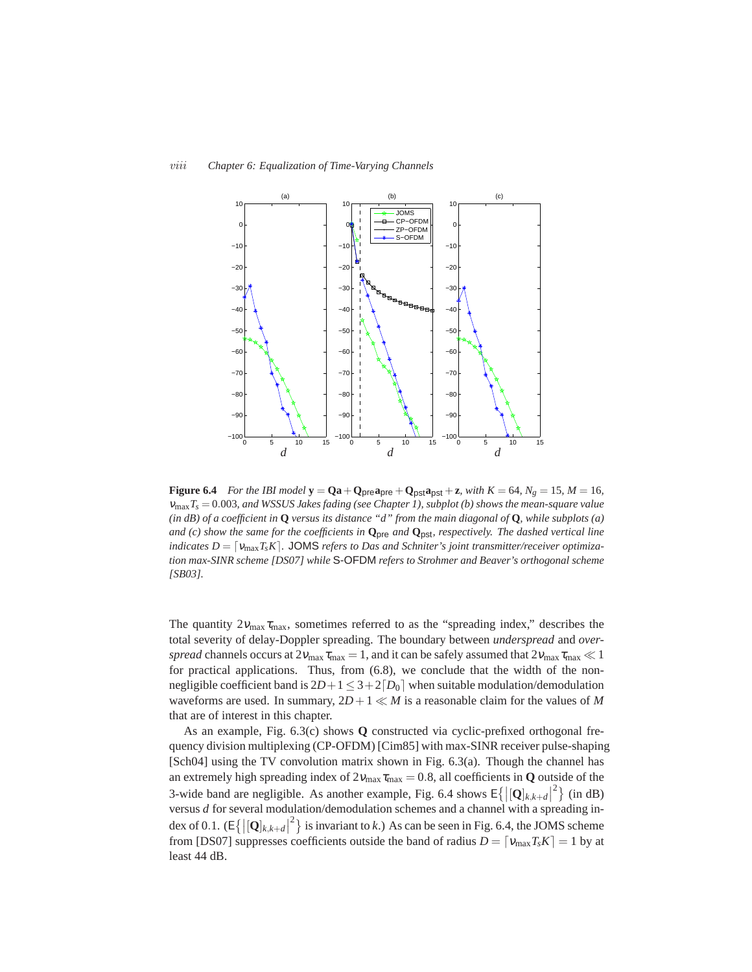

**Figure 6.4** *For the IBI model*  $y = Qa + Q_{pre}a_{pre} + Q_{pst}a_{pst} + z$ *, with*  $K = 64$ *,*  $N_g = 15$ *,*  $M = 16$ *,* <sup>ν</sup>max*Ts* = 0.003*, and WSSUS Jakes fading (see Chapter 1), subplot (b) shows the mean-square value (in dB) of a coefficient in* **Q** *versus its distance "d" from the main diagonal of* **Q***, while subplots (a) and (c) show the same for the coefficients in* **Q**pre *and* **Q**pst*, respectively. The dashed vertical line indicates*  $D = \lceil v_{\text{max}} T_s K \rceil$ . JOMS *refers to Das and Schniter's joint transmitter/receiver optimization max-SINR scheme [DS07] while* S-OFDM *refers to Strohmer and Beaver's orthogonal scheme [SB03].*

The quantity  $2v_{\text{max}}\tau_{\text{max}}$ , sometimes referred to as the "spreading index," describes the total severity of delay-Doppler spreading. The boundary between *underspread* and *overspread* channels occurs at  $2v_{\text{max}}\tau_{\text{max}} = 1$ , and it can be safely assumed that  $2v_{\text{max}}\tau_{\text{max}} \ll 1$ for practical applications. Thus, from (6.8), we conclude that the width of the nonnegligible coefficient band is  $2D+1 \leq 3+2[D_0]$  when suitable modulation/demodulation waveforms are used. In summary,  $2D+1 \ll M$  is a reasonable claim for the values of M that are of interest in this chapter.

As an example, Fig. 6.3(c) shows **Q** constructed via cyclic-prefixed orthogonal frequency division multiplexing (CP-OFDM) [Cim85] with max-SINR receiver pulse-shaping [Sch04] using the TV convolution matrix shown in Fig. 6.3(a). Though the channel has an extremely high spreading index of  $2v_{\text{max}}\tau_{\text{max}} = 0.8$ , all coefficients in **Q** outside of the 3-wide band are negligible. As another example, Fig. 6.4 shows  $E\{|\left[\mathbf{Q}\right]_{k,k+d}|^2\}$  (in dB) versus *d* for several modulation/demodulation schemes and a channel with a spreading index of 0.1.  $(E\{|\mathbf{Q}]_{k,k+d}|^2\}$  is invariant to *k*.) As can be seen in Fig. 6.4, the JOMS scheme from [DS07] suppresses coefficients outside the band of radius  $D = [v_{\text{max}}T_sK] = 1$  by at least 44 dB.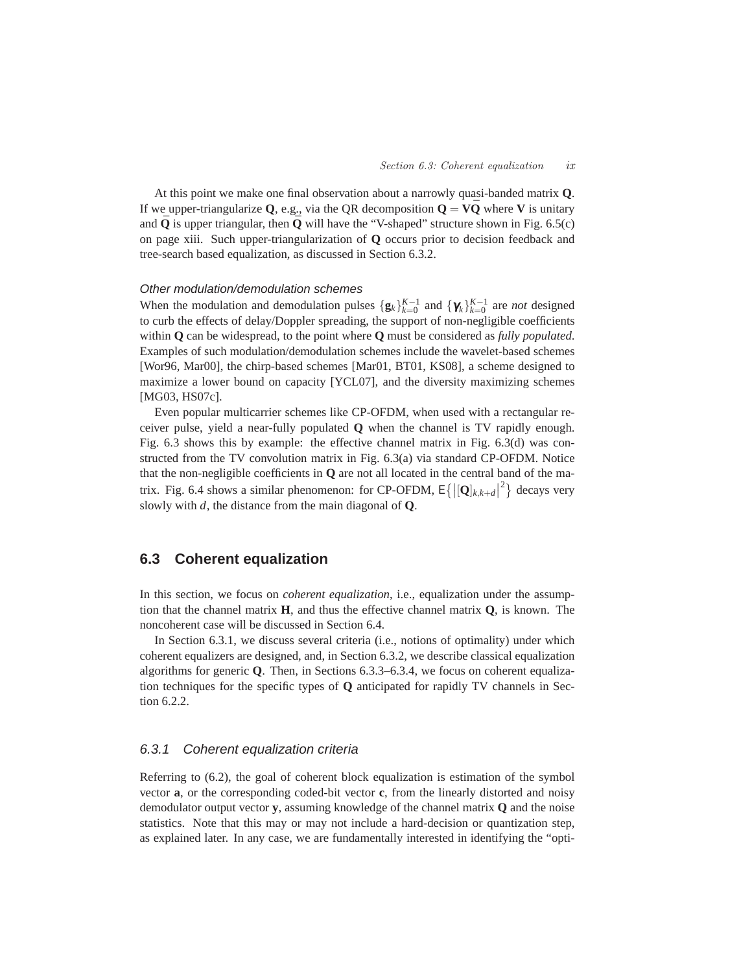At this point we make one final observation about a narrowly quasi-banded matrix **Q**. If we upper-triangularize **Q**, e.g., via the QR decomposition  $Q = V\overline{Q}$  where **V** is unitary and  $\bar{\mathbf{Q}}$  is upper triangular, then  $\bar{\mathbf{Q}}$  will have the "V-shaped" structure shown in Fig. 6.5(c) on page xiii. Such upper-triangularization of **Q** occurs prior to decision feedback and tree-search based equalization, as discussed in Section 6.3.2.

# Other modulation/demodulation schemes

When the modulation and demodulation pulses  $\{g_k\}_{k=0}^{K-1}$  and  $\{\gamma_k\}_{k=0}^{K-1}$  are *not* designed to curb the effects of delay/Doppler spreading, the support of non-negligible coefficients within **Q** can be widespread, to the point where **Q** must be considered as *fully populated*. Examples of such modulation/demodulation schemes include the wavelet-based schemes [Wor96, Mar00], the chirp-based schemes [Mar01, BT01, KS08], a scheme designed to maximize a lower bound on capacity [YCL07], and the diversity maximizing schemes [MG03, HS07c].

Even popular multicarrier schemes like CP-OFDM, when used with a rectangular receiver pulse, yield a near-fully populated **Q** when the channel is TV rapidly enough. Fig. 6.3 shows this by example: the effective channel matrix in Fig. 6.3(d) was constructed from the TV convolution matrix in Fig. 6.3(a) via standard CP-OFDM. Notice that the non-negligible coefficients in **Q** are not all located in the central band of the matrix. Fig. 6.4 shows a similar phenomenon: for CP-OFDM,  $E\{|\mathbf{[Q]}_{k,k+d}|^2\}$  decays very slowly with *d*, the distance from the main diagonal of **Q**.

# **6.3 Coherent equalization**

In this section, we focus on *coherent equalization*, i.e., equalization under the assumption that the channel matrix **H**, and thus the effective channel matrix **Q**, is known. The noncoherent case will be discussed in Section 6.4.

In Section 6.3.1, we discuss several criteria (i.e., notions of optimality) under which coherent equalizers are designed, and, in Section 6.3.2, we describe classical equalization algorithms for generic **Q**. Then, in Sections 6.3.3–6.3.4, we focus on coherent equalization techniques for the specific types of **Q** anticipated for rapidly TV channels in Section 6.2.2.

# 6.3.1 Coherent equalization criteria

Referring to (6.2), the goal of coherent block equalization is estimation of the symbol vector **a**, or the corresponding coded-bit vector **c**, from the linearly distorted and noisy demodulator output vector **y**, assuming knowledge of the channel matrix **Q** and the noise statistics. Note that this may or may not include a hard-decision or quantization step, as explained later. In any case, we are fundamentally interested in identifying the "opti-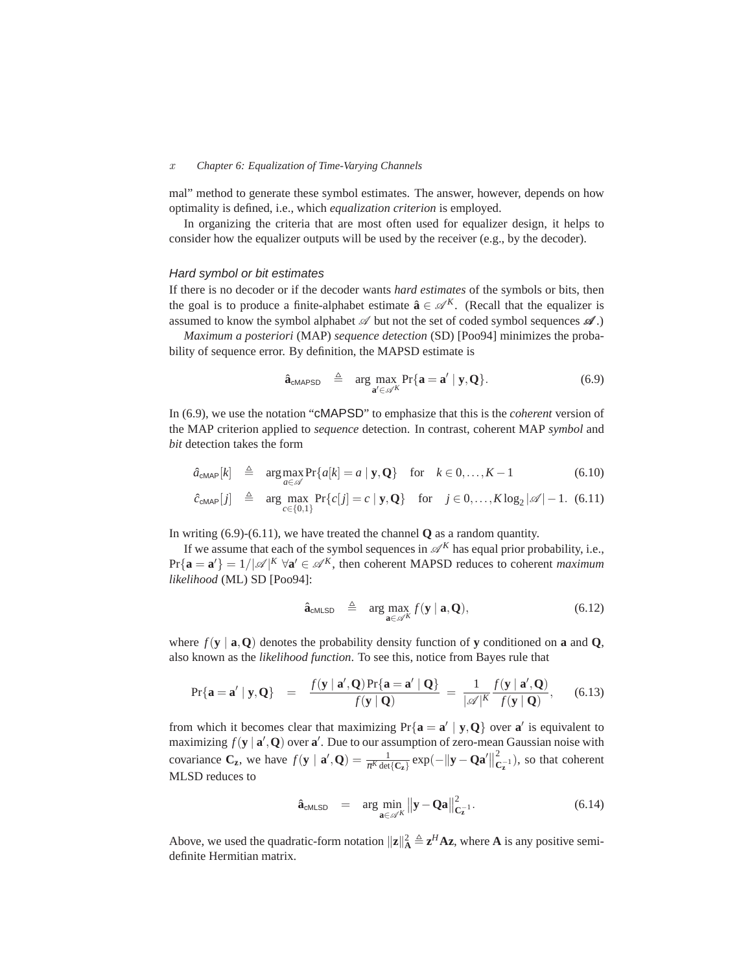#### *x Chapter 6: Equalization of Time-Varying Channels*

mal" method to generate these symbol estimates. The answer, however, depends on how optimality is defined, i.e., which *equalization criterion* is employed.

In organizing the criteria that are most often used for equalizer design, it helps to consider how the equalizer outputs will be used by the receiver (e.g., by the decoder).

## Hard symbol or bit estimates

If there is no decoder or if the decoder wants *hard estimates* of the symbols or bits, then the goal is to produce a finite-alphabet estimate  $\hat{\mathbf{a}} \in \mathcal{A}^K$ . (Recall that the equalizer is assumed to know the symbol alphabet  $\mathscr A$  but not the set of coded symbol sequences  $\mathscr A$ .)

*Maximum a posteriori* (MAP) *sequence detection* (SD) [Poo94] minimizes the probability of sequence error. By definition, the MAPSD estimate is

$$
\hat{\mathbf{a}}_{\text{cMAPSD}} \triangleq \arg \max_{\mathbf{a}' \in \mathscr{A}^K} \Pr{\mathbf{a} = \mathbf{a}' \mid \mathbf{y}, \mathbf{Q}}.
$$
 (6.9)

In (6.9), we use the notation "cMAPSD" to emphasize that this is the *coherent* version of the MAP criterion applied to *sequence* detection. In contrast, coherent MAP *symbol* and *bit* detection takes the form

$$
\hat{a}_{\text{cMAP}}[k] \triangleq \arg \max_{a \in \mathscr{A}} \Pr\{a[k] = a \mid \mathbf{y}, \mathbf{Q}\} \quad \text{for} \quad k \in 0, \dots, K-1 \tag{6.10}
$$

$$
\hat{c}_{\text{cMAP}}[j] \triangleq \arg \max_{c \in \{0,1\}} \Pr\{c[j] = c \mid \mathbf{y}, \mathbf{Q}\} \quad \text{for} \quad j \in 0, \dots, K \log_2 |\mathscr{A}| - 1. \tag{6.11}
$$

In writing (6.9)-(6.11), we have treated the channel **Q** as a random quantity.

If we assume that each of the symbol sequences in  $\mathscr{A}^K$  has equal prior probability, i.e.,  $Pr{\bf{a} = a'} = 1/|\mathcal{A}|^K \ \forall a' \in \mathcal{A}^K$ , then coherent MAPSD reduces to coherent *maximum likelihood* (ML) SD [Poo94]:

$$
\hat{\mathbf{a}}_{\text{cMLSD}} \triangleq \arg \max_{\mathbf{a} \in \mathscr{A}^K} f(\mathbf{y} \mid \mathbf{a}, \mathbf{Q}), \tag{6.12}
$$

where  $f(\mathbf{y} \mid \mathbf{a}, \mathbf{Q})$  denotes the probability density function of **y** conditioned on **a** and **Q**, also known as the *likelihood function*. To see this, notice from Bayes rule that

$$
\Pr\{\mathbf{a} = \mathbf{a}' \mid \mathbf{y}, \mathbf{Q}\} = \frac{f(\mathbf{y} \mid \mathbf{a}', \mathbf{Q}) \Pr\{\mathbf{a} = \mathbf{a}' \mid \mathbf{Q}\}}{f(\mathbf{y} \mid \mathbf{Q})} = \frac{1}{|\mathscr{A}|^K} \frac{f(\mathbf{y} \mid \mathbf{a}', \mathbf{Q})}{f(\mathbf{y} \mid \mathbf{Q})}, \quad (6.13)
$$

from which it becomes clear that maximizing  $Pr\{a = a' | y, Q\}$  over  $a'$  is equivalent to maximizing  $f(\mathbf{y} | \mathbf{a}', \mathbf{Q})$  over  $\mathbf{a}'$ . Due to our assumption of zero-mean Gaussian noise with covariance  $C_z$ , we have  $f(y | \mathbf{a}', \mathbf{Q}) = \frac{1}{\pi^K \det\{C_z\}} \exp(-\|\mathbf{y} - \mathbf{Q}\mathbf{a}'\|^2_C)$  $\mathbf{C}_{\mathbf{z}}^{-1}$ ), so that coherent MLSD reduces to

$$
\hat{\mathbf{a}}_{\text{cMLSD}} = \arg \min_{\mathbf{a} \in \mathscr{A}^K} ||\mathbf{y} - \mathbf{Q}\mathbf{a}||_{\mathbf{C}_\mathbf{z}^{-1}}^2. \tag{6.14}
$$

Above, we used the quadratic-form notation  $\|\mathbf{z}\|_A^2 \triangleq \mathbf{z}^H \mathbf{A} \mathbf{z}$ , where **A** is any positive semidefinite Hermitian matrix.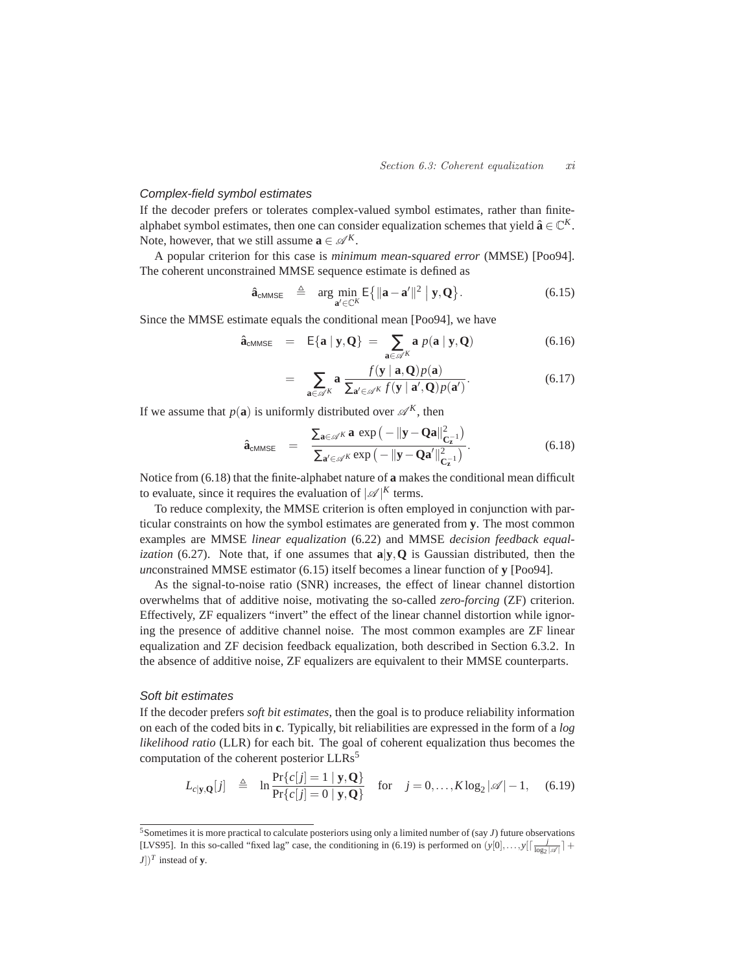### Complex-field symbol estimates

If the decoder prefers or tolerates complex-valued symbol estimates, rather than finitealphabet symbol estimates, then one can consider equalization schemes that yield  $\hat{\mathbf{a}} \in \mathbb{C}^K$ . Note, however, that we still assume  $\mathbf{a} \in \mathcal{A}^K$ .

A popular criterion for this case is *minimum mean-squared error* (MMSE) [Poo94]. The coherent unconstrained MMSE sequence estimate is defined as

$$
\hat{\mathbf{a}}_{\text{cMMSE}} \triangleq \arg \min_{\mathbf{a}' \in \mathbb{C}^K} \mathsf{E} \{ ||\mathbf{a} - \mathbf{a}'||^2 \mid \mathbf{y}, \mathbf{Q} \}.
$$
 (6.15)

Since the MMSE estimate equals the conditional mean [Poo94], we have

$$
\hat{\mathbf{a}}_{\text{cMMSE}} = \mathsf{E}\{\mathbf{a} \mid \mathbf{y}, \mathbf{Q}\} = \sum_{\mathbf{a} \in \mathscr{A}^K} \mathbf{a} \; p(\mathbf{a} \mid \mathbf{y}, \mathbf{Q}) \tag{6.16}
$$

$$
= \sum_{\mathbf{a}\in\mathscr{A}^K} \mathbf{a} \frac{f(\mathbf{y} \mid \mathbf{a}, \mathbf{Q}) p(\mathbf{a})}{\sum_{\mathbf{a}'\in\mathscr{A}^K} f(\mathbf{y} \mid \mathbf{a}', \mathbf{Q}) p(\mathbf{a}')}.
$$
(6.17)

If we assume that  $p(\mathbf{a})$  is uniformly distributed over  $\mathcal{A}^K$ , then

$$
\hat{\mathbf{a}}_{\text{cMMSE}} = \frac{\sum_{\mathbf{a} \in \mathscr{A}^K} \mathbf{a} \, \exp\left(-\|\mathbf{y} - \mathbf{Q}\mathbf{a}\|_{\mathbf{C}_2^{-1}}^2\right)}{\sum_{\mathbf{a}' \in \mathscr{A}^K} \exp\left(-\|\mathbf{y} - \mathbf{Q}\mathbf{a}'\|_{\mathbf{C}_2^{-1}}^2\right)}.
$$
\n(6.18)

Notice from (6.18) that the finite-alphabet nature of **a** makes the conditional mean difficult to evaluate, since it requires the evaluation of  $|\mathscr{A}|^K$  terms.

To reduce complexity, the MMSE criterion is often employed in conjunction with particular constraints on how the symbol estimates are generated from **y**. The most common examples are MMSE *linear equalization* (6.22) and MMSE *decision feedback equalization* (6.27). Note that, if one assumes that **a**|**y**,**Q** is Gaussian distributed, then the *un*constrained MMSE estimator (6.15) itself becomes a linear function of **y** [Poo94].

As the signal-to-noise ratio (SNR) increases, the effect of linear channel distortion overwhelms that of additive noise, motivating the so-called *zero-forcing* (ZF) criterion. Effectively, ZF equalizers "invert" the effect of the linear channel distortion while ignoring the presence of additive channel noise. The most common examples are ZF linear equalization and ZF decision feedback equalization, both described in Section 6.3.2. In the absence of additive noise, ZF equalizers are equivalent to their MMSE counterparts.

#### Soft bit estimates

If the decoder prefers *soft bit estimates*, then the goal is to produce reliability information on each of the coded bits in **c**. Typically, bit reliabilities are expressed in the form of a *log likelihood ratio* (LLR) for each bit. The goal of coherent equalization thus becomes the computation of the coherent posterior LLRs<sup>5</sup>

$$
L_{c|\mathbf{y},\mathbf{Q}}[j] \triangleq \ln \frac{\Pr\{c[j]=1\mid \mathbf{y},\mathbf{Q}\}}{\Pr\{c[j]=0\mid \mathbf{y},\mathbf{Q}\}} \quad \text{for} \quad j=0,\ldots,K\log_2|\mathscr{A}|-1, \quad (6.19)
$$

<sup>5</sup>Sometimes it is more practical to calculate posteriors using only a limited number of (say *J*) future observations [LVS95]. In this so-called "fixed lag" case, the conditioning in (6.19) is performed on  $(y[0],...,y[\frac{j}{\log_2 |\mathscr{A}|}]+$  $J$ ])<sup>*T*</sup> instead of **y**.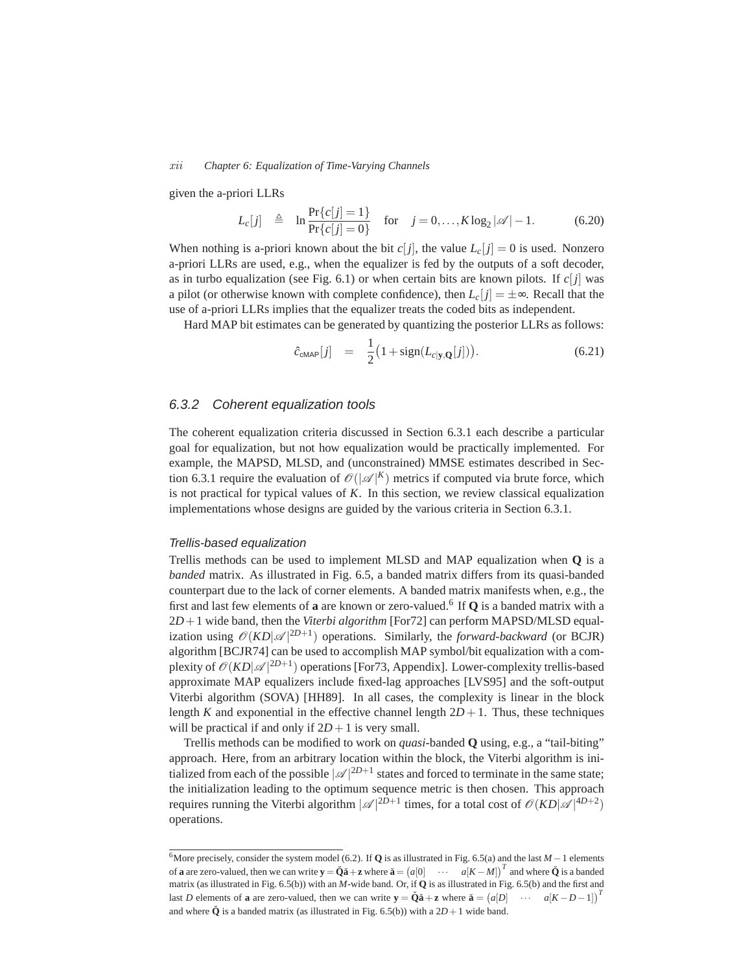#### *xii Chapter 6: Equalization of Time-Varying Channels*

given the a-priori LLRs

$$
L_c[j] \triangleq \ln \frac{\Pr\{c[j] = 1\}}{\Pr\{c[j] = 0\}} \quad \text{for} \quad j = 0, ..., K \log_2 |\mathscr{A}| - 1. \tag{6.20}
$$

When nothing is a-priori known about the bit  $c[j]$ , the value  $L_c[j] = 0$  is used. Nonzero a-priori LLRs are used, e.g., when the equalizer is fed by the outputs of a soft decoder, as in turbo equalization (see Fig. 6.1) or when certain bits are known pilots. If  $c[j]$  was a pilot (or otherwise known with complete confidence), then  $L_c[j] = \pm \infty$ . Recall that the use of a-priori LLRs implies that the equalizer treats the coded bits as independent.

Hard MAP bit estimates can be generated by quantizing the posterior LLRs as follows:

$$
\hat{c}_{\text{cMAP}}[j] = \frac{1}{2} \big( 1 + \text{sign}(L_{c|y,\mathbf{Q}}[j]) \big). \tag{6.21}
$$

# 6.3.2 Coherent equalization tools

The coherent equalization criteria discussed in Section 6.3.1 each describe a particular goal for equalization, but not how equalization would be practically implemented. For example, the MAPSD, MLSD, and (unconstrained) MMSE estimates described in Section 6.3.1 require the evaluation of  $\mathcal{O}(|\mathcal{A}|^K)$  metrics if computed via brute force, which is not practical for typical values of *K*. In this section, we review classical equalization implementations whose designs are guided by the various criteria in Section 6.3.1.

#### Trellis-based equalization

Trellis methods can be used to implement MLSD and MAP equalization when **Q** is a *banded* matrix. As illustrated in Fig. 6.5, a banded matrix differs from its quasi-banded counterpart due to the lack of corner elements. A banded matrix manifests when, e.g., the first and last few elements of **a** are known or zero-valued.<sup>6</sup> If **Q** is a banded matrix with a 2*D*+1 wide band, then the *Viterbi algorithm* [For72] can perform MAPSD/MLSD equalization using  $\mathcal{O}(KD|\mathcal{A}|^{2D+1})$  operations. Similarly, the *forward-backward* (or BCJR) algorithm [BCJR74] can be used to accomplish MAP symbol/bit equalization with a complexity of  $\mathscr{O}(KD|\mathscr{A}|^{2D+1})$  operations [For73, Appendix]. Lower-complexity trellis-based approximate MAP equalizers include fixed-lag approaches [LVS95] and the soft-output Viterbi algorithm (SOVA) [HH89]. In all cases, the complexity is linear in the block length *K* and exponential in the effective channel length  $2D+1$ . Thus, these techniques will be practical if and only if  $2D+1$  is very small.

Trellis methods can be modified to work on *quasi*-banded **Q** using, e.g., a "tail-biting" approach. Here, from an arbitrary location within the block, the Viterbi algorithm is initialized from each of the possible  $|\mathcal{A}|^{2D+1}$  states and forced to terminate in the same state; the initialization leading to the optimum sequence metric is then chosen. This approach requires running the Viterbi algorithm  $|\mathscr{A}|^{2D+1}$  times, for a total cost of  $\mathscr{O}(KD|\mathscr{A}|^{4D+2})$ operations.

<sup>6</sup>More precisely, consider the system model (6.2). If **<sup>Q</sup>** is as illustrated in Fig. 6.5(a) and the last *<sup>M</sup>* <sup>−</sup>1 elements of **a** are zero-valued, then we can write  $\mathbf{y} = \check{\mathbf{Q}}\check{\mathbf{a}} + \mathbf{z}$  where  $\check{\mathbf{a}} = (a[0] \cdots a[K-M])^T$  and where  $\check{\mathbf{Q}}$  is a banded matrix (as illustrated in Fig. 6.5(b)) with an *M*-wide band. Or, if **Q** is as illustrated in Fig. 6.5(b) and the first and last *D* elements of **a** are zero-valued, then we can write  $\mathbf{y} = \check{\mathbf{Q}}\check{\mathbf{a}} + \mathbf{z}$  where  $\check{\mathbf{a}} = (a[D] \cdots a[K - D - 1])^T$ and where  $\check{\mathbf{Q}}$  is a banded matrix (as illustrated in Fig. 6.5(b)) with a  $2D+1$  wide band.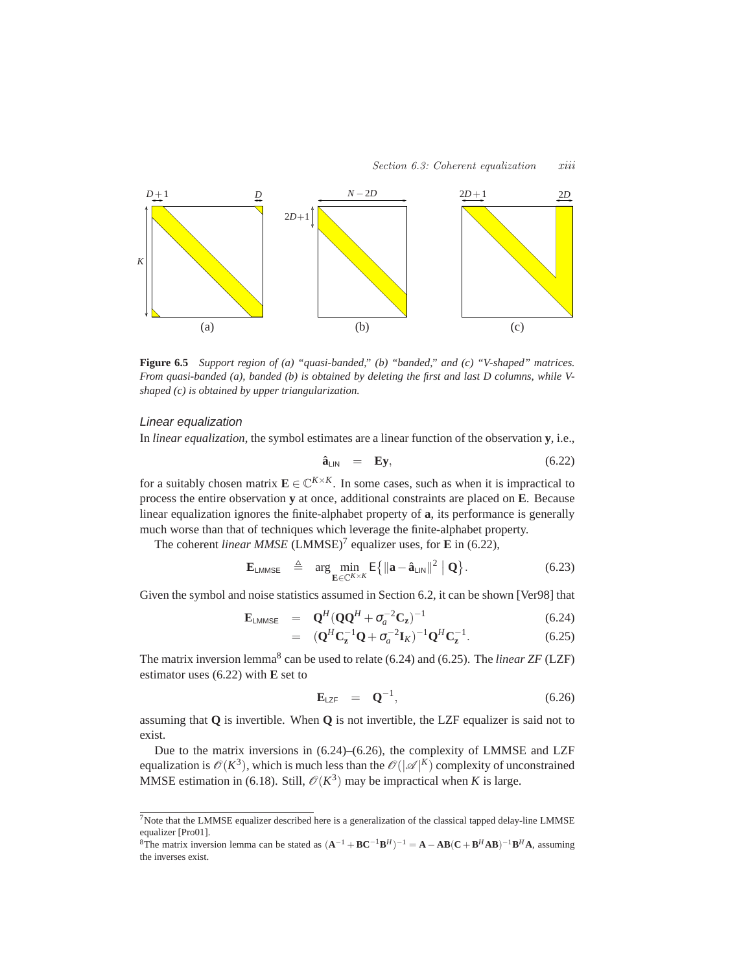

**Figure 6.5** *Support region of (a) "quasi-banded," (b) "banded," and (c) "V-shaped" matrices. From quasi-banded (a), banded (b) is obtained by deleting the first and last D columns, while Vshaped (c) is obtained by upper triangularization.*

# Linear equalization

In *linear equalization*, the symbol estimates are a linear function of the observation **y**, i.e.,

$$
\hat{\mathbf{a}}_{\text{LIN}} = \mathbf{E} \mathbf{y},\tag{6.22}
$$

for a suitably chosen matrix  $\mathbf{E} \in \mathbb{C}^{K \times K}$ . In some cases, such as when it is impractical to process the entire observation **y** at once, additional constraints are placed on **E**. Because linear equalization ignores the finite-alphabet property of **a**, its performance is generally much worse than that of techniques which leverage the finite-alphabet property.

The coherent *linear MMSE* (LMMSE)<sup>7</sup> equalizer uses, for **E** in (6.22),

$$
\mathbf{E}_{\text{LMMSE}} \triangleq \arg \min_{\mathbf{E} \in \mathbb{C}^{K \times K}} \mathsf{E} \{ ||\mathbf{a} - \mathbf{\hat{a}}_{\text{LIN}}||^2 \mid \mathbf{Q} \}. \tag{6.23}
$$

Given the symbol and noise statistics assumed in Section 6.2, it can be shown [Ver98] that

$$
\mathbf{E}_{\text{LMMSE}} = \mathbf{Q}^H (\mathbf{Q} \mathbf{Q}^H + \sigma_a^{-2} \mathbf{C}_\mathbf{z})^{-1} \tag{6.24}
$$

$$
= (\mathbf{Q}^{H}\mathbf{C}_{\mathbf{z}}^{-1}\mathbf{Q} + \sigma_{a}^{-2}\mathbf{I}_{K})^{-1}\mathbf{Q}^{H}\mathbf{C}_{\mathbf{z}}^{-1}.
$$
 (6.25)

The matrix inversion lemma<sup>8</sup> can be used to relate (6.24) and (6.25). The *linear ZF* (LZF) estimator uses (6.22) with **E** set to

$$
\mathbf{E}_{\text{LZF}} = \mathbf{Q}^{-1}, \tag{6.26}
$$

assuming that **Q** is invertible. When **Q** is not invertible, the LZF equalizer is said not to exist.

Due to the matrix inversions in (6.24)–(6.26), the complexity of LMMSE and LZF equalization is  $\mathcal{O}(K^3)$ , which is much less than the  $\mathcal{O}(|\mathcal{A}|^K)$  complexity of unconstrained MMSE estimation in (6.18). Still,  $\mathcal{O}(K^3)$  may be impractical when *K* is large.

<sup>&</sup>lt;sup>7</sup>Note that the LMMSE equalizer described here is a generalization of the classical tapped delay-line LMMSE equalizer [Pro01].

<sup>&</sup>lt;sup>8</sup>The matrix inversion lemma can be stated as  $(A^{-1} + BC^{-1}B^H)^{-1} = A - AB(C + B^HAB)^{-1}B^H A$ , assuming the inverses exist.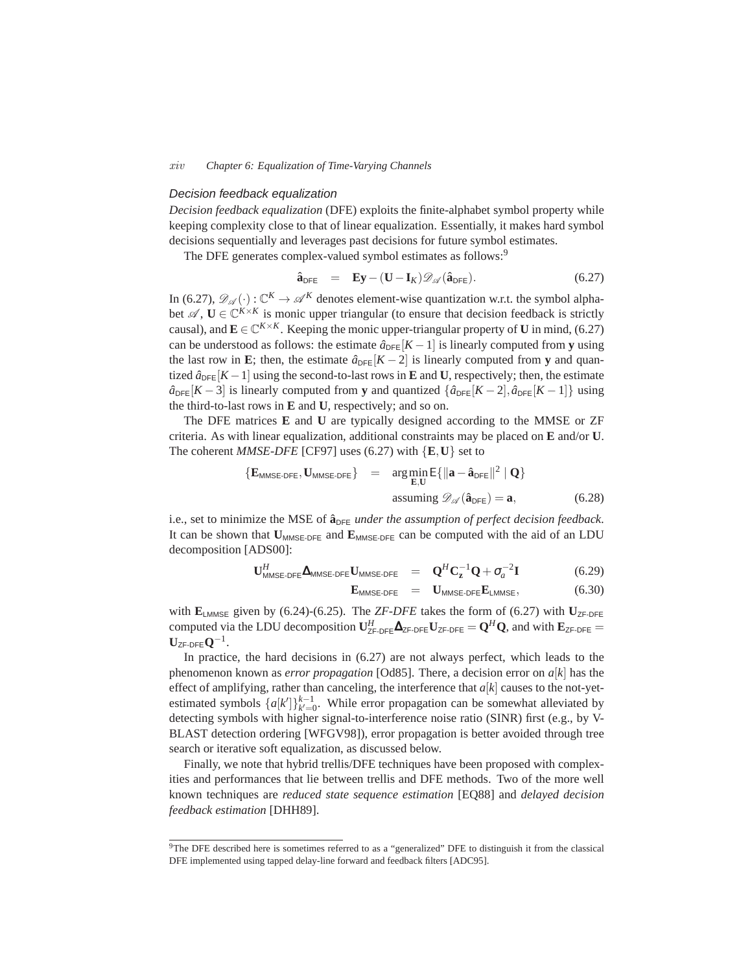#### *xiv Chapter 6: Equalization of Time-Varying Channels*

# Decision feedback equalization

*Decision feedback equalization* (DFE) exploits the finite-alphabet symbol property while keeping complexity close to that of linear equalization. Essentially, it makes hard symbol decisions sequentially and leverages past decisions for future symbol estimates.

The DFE generates complex-valued symbol estimates as follows:<sup>9</sup>

$$
\hat{\mathbf{a}}_{\text{DFE}} = \mathbf{E}\mathbf{y} - (\mathbf{U} - \mathbf{I}_K)\mathscr{D}_{\mathscr{A}}(\hat{\mathbf{a}}_{\text{DFE}}).
$$
 (6.27)

In (6.27),  $\mathcal{D}_{\mathscr{A}}(\cdot)$ :  $\mathbb{C}^K \to \mathscr{A}^K$  denotes element-wise quantization w.r.t. the symbol alphabet  $\mathscr{A}, \mathbf{U} \in \mathbb{C}^{K \times K}$  is monic upper triangular (to ensure that decision feedback is strictly causal), and  $\mathbf{E} \in \mathbb{C}^{K \times K}$ . Keeping the monic upper-triangular property of **U** in mind, (6.27) can be understood as follows: the estimate  $\hat{a}_{\text{DFE}}[K-1]$  is linearly computed from **y** using the last row in **E**; then, the estimate  $\hat{a}_{\text{DFE}}[K-2]$  is linearly computed from **y** and quantized  $\hat{a}_{\text{DFE}}[K-1]$  using the second-to-last rows in **E** and **U**, respectively; then, the estimate  $\hat{a}_{\text{DFE}}[K-3]$  is linearly computed from **y** and quantized  $\{\hat{a}_{\text{DFE}}[K-2], \hat{a}_{\text{DFE}}[K-1]\}$  using the third-to-last rows in **E** and **U**, respectively; and so on.

The DFE matrices **E** and **U** are typically designed according to the MMSE or ZF criteria. As with linear equalization, additional constraints may be placed on **E** and/or **U**. The coherent *MMSE-DFE* [CF97] uses (6.27) with {**E**,**U**} set to

$$
\{E_{MMSE\text{-DFE}}, U_{MMSE\text{-DFE}}\} = \arg\min_{E,U} E\{\|\mathbf{a} - \hat{\mathbf{a}}_{DFE}\|^2 \mid \mathbf{Q}\}\
$$
  
assuming  $\mathscr{D}_{\mathscr{A}}(\hat{\mathbf{a}}_{DFE}) = \mathbf{a},$  (6.28)

i.e., set to minimize the MSE of  $\hat{a}_{DFE}$  *under the assumption of perfect decision feedback.* It can be shown that  $U_{MMSE-DFE}$  and  $E_{MMSE-DFE}$  can be computed with the aid of an LDU decomposition [ADS00]:

$$
\mathbf{U}_{\text{MMSE-DFE}}^H \mathbf{\Delta}_{\text{MMSE-DFE}} \mathbf{U}_{\text{MMSE-DFE}} = \mathbf{Q}^H \mathbf{C}_\mathbf{z}^{-1} \mathbf{Q} + \sigma_a^{-2} \mathbf{I}
$$
 (6.29)

$$
\mathbf{E}_{MMSE\text{-DFE}} = \mathbf{U}_{MMSE\text{-DFE}} \mathbf{E}_{LMMSE}, \tag{6.30}
$$

with  $\mathbf{E}_{\text{LMMSE}}$  given by (6.24)-(6.25). The *ZF-DFE* takes the form of (6.27) with  $\mathbf{U}_{\text{ZF-DFE}}$ computed via the LDU decomposition  $\mathbf{U}_{\text{ZF-DFE}}^H \mathbf{\Delta}_{\text{ZF-DFE}} = \mathbf{Q}^H \mathbf{Q}$ , and with  $\mathbf{E}_{\text{ZF-DFE}} =$  $\mathbf{U}_{\mathsf{ZF}\text{-}\mathsf{DFE}} \mathbf{Q}^{-1}.$ 

In practice, the hard decisions in (6.27) are not always perfect, which leads to the phenomenon known as *error propagation* [Od85]. There, a decision error on *a*[*k*] has the effect of amplifying, rather than canceling, the interference that *a*[*k*] causes to the not-yetestimated symbols  $\{a[k']\}_{k'=0}^{k-1}$ . While error propagation can be somewhat alleviated by detecting symbols with higher signal-to-interference noise ratio (SINR) first (e.g., by V-BLAST detection ordering [WFGV98]), error propagation is better avoided through tree search or iterative soft equalization, as discussed below.

Finally, we note that hybrid trellis/DFE techniques have been proposed with complexities and performances that lie between trellis and DFE methods. Two of the more well known techniques are *reduced state sequence estimation* [EQ88] and *delayed decision feedback estimation* [DHH89].

<sup>&</sup>lt;sup>9</sup>The DFE described here is sometimes referred to as a "generalized" DFE to distinguish it from the classical DFE implemented using tapped delay-line forward and feedback filters [ADC95].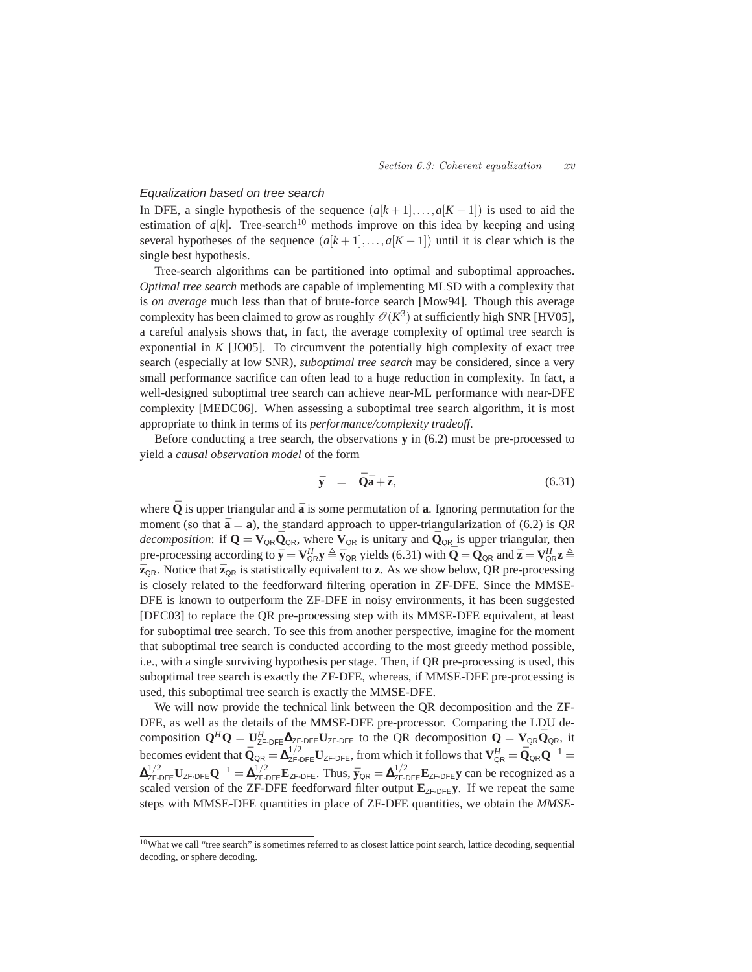## Equalization based on tree search

In DFE, a single hypothesis of the sequence  $(a[k+1],...,a[K-1])$  is used to aid the estimation of  $a[k]$ . Tree-search<sup>10</sup> methods improve on this idea by keeping and using several hypotheses of the sequence  $(a[k+1],...,a[K-1])$  until it is clear which is the single best hypothesis.

Tree-search algorithms can be partitioned into optimal and suboptimal approaches. *Optimal tree search* methods are capable of implementing MLSD with a complexity that is *on average* much less than that of brute-force search [Mow94]. Though this average complexity has been claimed to grow as roughly  $\mathcal{O}(K^3)$  at sufficiently high SNR [HV05], a careful analysis shows that, in fact, the average complexity of optimal tree search is exponential in *K* [JO05]. To circumvent the potentially high complexity of exact tree search (especially at low SNR), *suboptimal tree search* may be considered, since a very small performance sacrifice can often lead to a huge reduction in complexity. In fact, a well-designed suboptimal tree search can achieve near-ML performance with near-DFE complexity [MEDC06]. When assessing a suboptimal tree search algorithm, it is most appropriate to think in terms of its *performance/complexity tradeoff*.

Before conducting a tree search, the observations **y** in (6.2) must be pre-processed to yield a *causal observation model* of the form

$$
\bar{\mathbf{y}} = \bar{\mathbf{Q}}\bar{\mathbf{a}} + \bar{\mathbf{z}}, \tag{6.31}
$$

where  $\bar{O}$  is upper triangular and  $\bar{a}$  is some permutation of **a**. Ignoring permutation for the moment (so that  $\bar{\mathbf{a}} = \mathbf{a}$ ), the standard approach to upper-triangularization of (6.2) is *OR decomposition*: if  $Q = V_{QR} \overline{Q}_{QR}$ , where  $V_{QR}$  is unitary and  $\overline{Q}_{QR}$  is upper triangular, then pre-processing according to  $\bar{\mathbf{y}} = \mathbf{V}_{\text{QR}}^H \mathbf{y} \triangleq \bar{\mathbf{y}}_{\text{QR}}$  yields (6.31) with  $\bar{\mathbf{Q}} = \bar{\mathbf{Q}}_{\text{QR}}$  and  $\bar{\mathbf{z}} = \mathbf{V}_{\text{QR}}^H \mathbf{z} \triangleq \bar{\mathbf{Z}}$  $\bar{z}_{QR}$ . Notice that  $\bar{z}_{QR}$  is statistically equivalent to **z**. As we show below, QR pre-processing is closely related to the feedforward filtering operation in ZF-DFE. Since the MMSE-DFE is known to outperform the ZF-DFE in noisy environments, it has been suggested [DEC03] to replace the QR pre-processing step with its MMSE-DFE equivalent, at least for suboptimal tree search. To see this from another perspective, imagine for the moment that suboptimal tree search is conducted according to the most greedy method possible, i.e., with a single surviving hypothesis per stage. Then, if QR pre-processing is used, this suboptimal tree search is exactly the ZF-DFE, whereas, if MMSE-DFE pre-processing is used, this suboptimal tree search is exactly the MMSE-DFE.

We will now provide the technical link between the QR decomposition and the ZF-DFE, as well as the details of the MMSE-DFE pre-processor. Comparing the LDU decomposition  $Q^H Q = U^H_{ZF\text{-DFE}} \Delta_{ZF\text{-DFE}} U_{ZF\text{-DFE}}$  to the QR decomposition  $Q = V_{QR} \overline{Q}_{QR}$ , it becomes evident that  $\bar{Q}_{QR} = \Delta_{ZF\cdot DFE}^{1/2} U_{ZF\cdot DFE}$ , from which it follows that  $V_{QR}^H = \bar{Q}_{QR} Q^{-1} =$  $\Delta_{\text{ZF-DFE}}^{1/2}$  U<sub>ZF-DFE</sub> $Q^{-1} = \Delta_{\text{ZF-DFE}}^{1/2}$  E<sub>ZF-DFE</sub>. Thus,  $\bar{y}_{QR} = \Delta_{\text{ZF-DFE}}^{1/2}$  E<sub>ZF-DFE</sub> y can be recognized as a scaled version of the ZF-DFE feedforward filter output  $E_{ZF\text{-}DFE}$ **y**. If we repeat the same steps with MMSE-DFE quantities in place of ZF-DFE quantities, we obtain the *MMSE-*

<sup>10</sup>What we call "tree search" is sometimes referred to as closest lattice point search, lattice decoding, sequential decoding, or sphere decoding.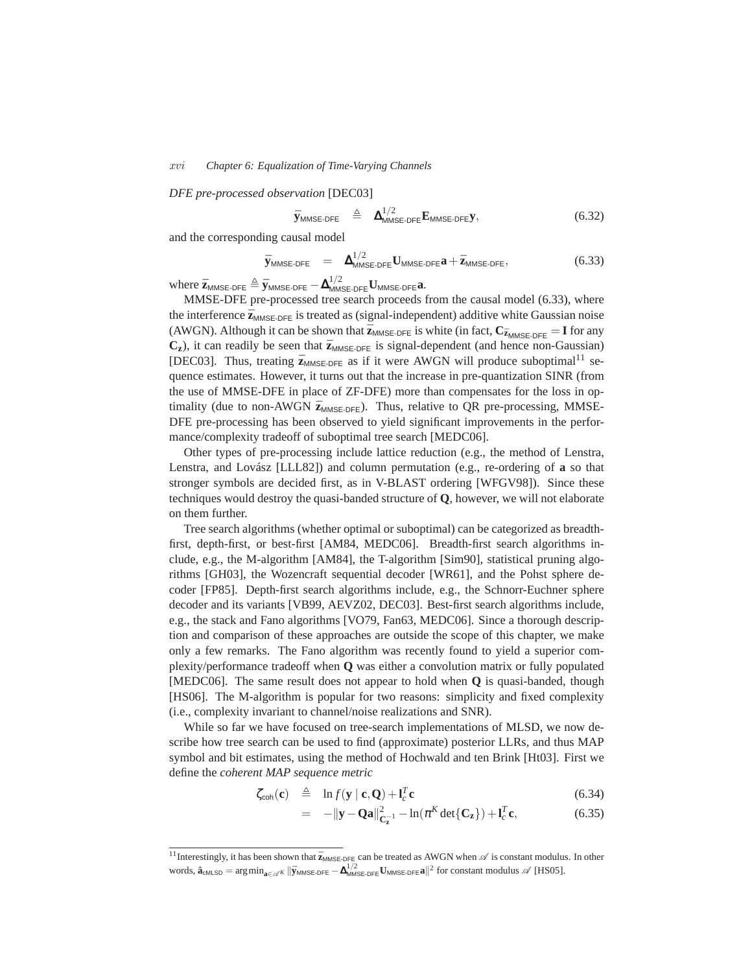#### *xvi Chapter 6: Equalization of Time-Varying Channels*

*DFE pre-processed observation* [DEC03]

$$
\bar{\mathbf{y}}_{MMSE\text{-DFE}} \triangleq \mathbf{\Delta}_{MMSE\text{-DFE}}^{1/2} \mathbf{E}_{MMSE\text{-DFE}} \mathbf{y}, \tag{6.32}
$$

and the corresponding causal model

$$
\bar{\mathbf{y}}_{MMSE\text{-DFE}} = \mathbf{\Delta}_{MMSE\text{-DFE}}^{1/2} \mathbf{U}_{MMSE\text{-DFE}} \mathbf{a} + \bar{\mathbf{z}}_{MMSE\text{-DFE}}, \tag{6.33}
$$

 $\mathbf{w}$ here  $\bar{\mathbf{z}}_{\mathsf{MMSE-DFE}} \triangleq \bar{\mathbf{y}}_{\mathsf{MMSE-DFE}} - \mathbf{\Delta}_{\mathsf{MMSE-DFE}}^{1/2} \mathbf{U}_{\mathsf{MMSE-DFE}} \mathbf{a}.$ 

MMSE-DFE pre-processed tree search proceeds from the causal model (6.33), where the interference  $\bar{z}_{MMSE-DFE}$  is treated as (signal-independent) additive white Gaussian noise (AWGN). Although it can be shown that  $\bar{z}_{MMSE\text{-DFE}}$  is white (in fact,  $C_{\bar{z}_{MMSE\text{-DFE}}} = I$  for any  $C_z$ ), it can readily be seen that  $\bar{z}_{MMSE-DFE}$  is signal-dependent (and hence non-Gaussian) [DEC03]. Thus, treating  $\bar{z}_{MMSE-DEF}$  as if it were AWGN will produce suboptimal<sup>11</sup> sequence estimates. However, it turns out that the increase in pre-quantization SINR (from the use of MMSE-DFE in place of ZF-DFE) more than compensates for the loss in optimality (due to non-AWGN  $\bar{z}_{MMSE\text{-DFE}}$ ). Thus, relative to QR pre-processing, MMSE-DFE pre-processing has been observed to yield significant improvements in the performance/complexity tradeoff of suboptimal tree search [MEDC06].

Other types of pre-processing include lattice reduction (e.g., the method of Lenstra, Lenstra, and Lovász [LLL82]) and column permutation (e.g., re-ordering of **a** so that stronger symbols are decided first, as in V-BLAST ordering [WFGV98]). Since these techniques would destroy the quasi-banded structure of **Q**, however, we will not elaborate on them further.

Tree search algorithms (whether optimal or suboptimal) can be categorized as breadthfirst, depth-first, or best-first [AM84, MEDC06]. Breadth-first search algorithms include, e.g., the M-algorithm [AM84], the T-algorithm [Sim90], statistical pruning algorithms [GH03], the Wozencraft sequential decoder [WR61], and the Pohst sphere decoder [FP85]. Depth-first search algorithms include, e.g., the Schnorr-Euchner sphere decoder and its variants [VB99, AEVZ02, DEC03]. Best-first search algorithms include, e.g., the stack and Fano algorithms [VO79, Fan63, MEDC06]. Since a thorough description and comparison of these approaches are outside the scope of this chapter, we make only a few remarks. The Fano algorithm was recently found to yield a superior complexity/performance tradeoff when **Q** was either a convolution matrix or fully populated [MEDC06]. The same result does not appear to hold when **Q** is quasi-banded, though [HS06]. The M-algorithm is popular for two reasons: simplicity and fixed complexity (i.e., complexity invariant to channel/noise realizations and SNR).

While so far we have focused on tree-search implementations of MLSD, we now describe how tree search can be used to find (approximate) posterior LLRs, and thus MAP symbol and bit estimates, using the method of Hochwald and ten Brink [Ht03]. First we define the *coherent MAP sequence metric*

$$
\zeta_{\text{coh}}(\mathbf{c}) \triangleq \ln f(\mathbf{y} \mid \mathbf{c}, \mathbf{Q}) + \mathbf{l}_c^T \mathbf{c}
$$
\n(6.34)

$$
= -\|\mathbf{y} - \mathbf{Q}\mathbf{a}\|_{\mathbf{C}_{\mathbf{z}}^{-1}}^2 - \ln(\pi^K \det\{\mathbf{C}_{\mathbf{z}}\}) + \mathbf{l}_c^T \mathbf{c},
$$
 (6.35)

<sup>&</sup>lt;sup>11</sup> Interestingly, it has been shown that  $\bar{z}_{MMSE-DFE}$  can be treated as AWGN when  $\mathcal{A}$  is constant modulus. In other  $\text{words, } \hat{\mathbf{a}}_{\text{cMLSD}} = \arg \min_{\mathbf{a} \in \mathcal{A}^K} \|\bar{\mathbf{y}}_{\text{MMSE-DFE}} - \mathbf{\Delta}_{\text{MMSE-DFE}}^{1/2} \mathbf{U}_{\text{MMSE-DFE}} \mathbf{a}\|^2 \text{ for constant modulus } \mathcal{A} \text{ [HS05].}$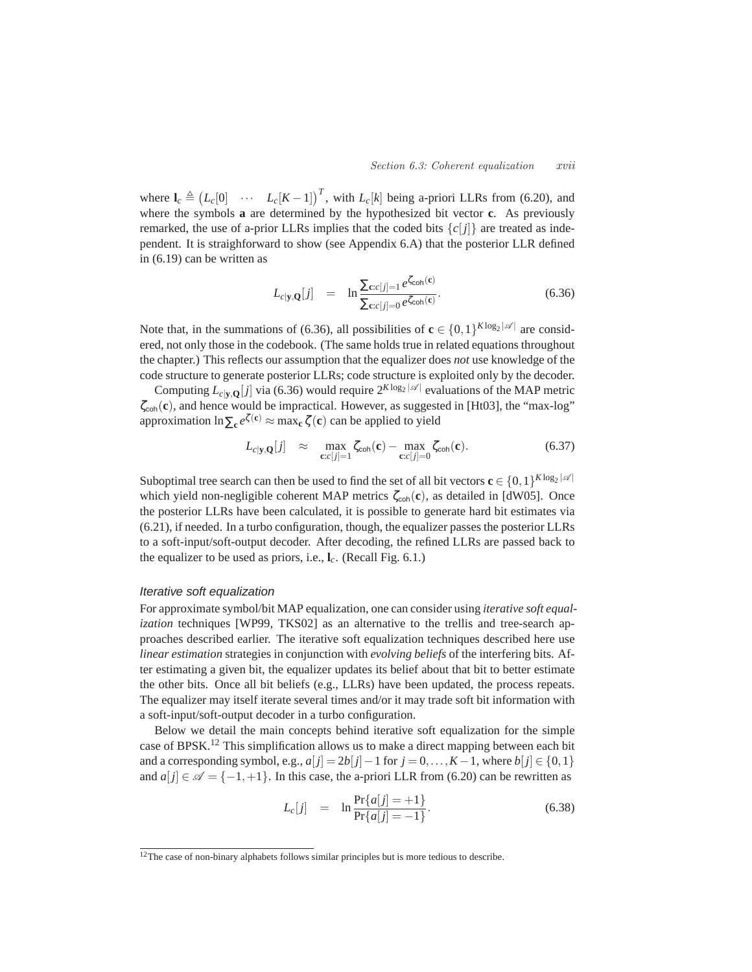where  $I_c \triangleq (L_c[0] \cdots L_c[K-1])^T$ , with  $L_c[k]$  being a-priori LLRs from (6.20), and where the symbols **a** are determined by the hypothesized bit vector **c**. As previously remarked, the use of a-prior LLRs implies that the coded bits  $\{c[j]\}$  are treated as independent. It is straighforward to show (see Appendix 6.A) that the posterior LLR defined in (6.19) can be written as

$$
L_{c|y,\mathbf{Q}}[j] = \ln \frac{\sum_{\mathbf{c}:c[j]=1} e^{\zeta_{\mathsf{coh}}(\mathbf{c})}}{\sum_{\mathbf{c}:c[j]=0} e^{\zeta_{\mathsf{coh}}(\mathbf{c})}}.
$$
\n(6.36)

Note that, in the summations of (6.36), all possibilities of  $\mathbf{c} \in \{0,1\}^{K \log_2 |\mathscr{A}|}$  are considered, not only those in the codebook. (The same holds true in related equations throughout the chapter.) This reflects our assumption that the equalizer does *not* use knowledge of the code structure to generate posterior LLRs; code structure is exploited only by the decoder.

Computing  $L_{c|y,Q}[j]$  via (6.36) would require  $2^{K \log_2 |\mathscr{A}|}$  evaluations of the MAP metric ζcoh(**c**), and hence would be impractical. However, as suggested in [Ht03], the "max-log" approximation  $\ln \sum_{e} e^{\zeta(e)} \approx \max_{e} \zeta(e)$  can be applied to yield

$$
L_{c|\mathbf{y},\mathbf{Q}}[j] \approx \max_{\mathbf{c}:c[j]=1} \zeta_{\mathsf{coh}}(\mathbf{c}) - \max_{\mathbf{c}:c[j]=0} \zeta_{\mathsf{coh}}(\mathbf{c}). \tag{6.37}
$$

Suboptimal tree search can then be used to find the set of all bit vectors  $\mathbf{c} \in \{0,1\}^{K \log_2 |\mathscr{A}|}$ which yield non-negligible coherent MAP metrics  $\zeta_{coh}(c)$ , as detailed in [dW05]. Once the posterior LLRs have been calculated, it is possible to generate hard bit estimates via (6.21), if needed. In a turbo configuration, though, the equalizer passes the posterior LLRs to a soft-input/soft-output decoder. After decoding, the refined LLRs are passed back to the equalizer to be used as priors, i.e., **l***c*. (Recall Fig. 6.1.)

# Iterative soft equalization

For approximate symbol/bit MAP equalization, one can consider using *iterative soft equalization* techniques [WP99, TKS02] as an alternative to the trellis and tree-search approaches described earlier. The iterative soft equalization techniques described here use *linear estimation* strategies in conjunction with *evolving beliefs* of the interfering bits. After estimating a given bit, the equalizer updates its belief about that bit to better estimate the other bits. Once all bit beliefs (e.g., LLRs) have been updated, the process repeats. The equalizer may itself iterate several times and/or it may trade soft bit information with a soft-input/soft-output decoder in a turbo configuration.

Below we detail the main concepts behind iterative soft equalization for the simple case of BPSK.<sup>12</sup> This simplification allows us to make a direct mapping between each bit and a corresponding symbol, e.g.,  $a[j] = 2b[j] - 1$  for  $j = 0, \ldots, K - 1$ , where  $b[j] \in \{0, 1\}$ and  $a[j] \in \mathscr{A} = \{-1, +1\}$ . In this case, the a-priori LLR from (6.20) can be rewritten as

$$
L_c[j] = \ln \frac{\Pr\{a[j] = +1\}}{\Pr\{a[j] = -1\}}.
$$
\n(6.38)

 $12$ The case of non-binary alphabets follows similar principles but is more tedious to describe.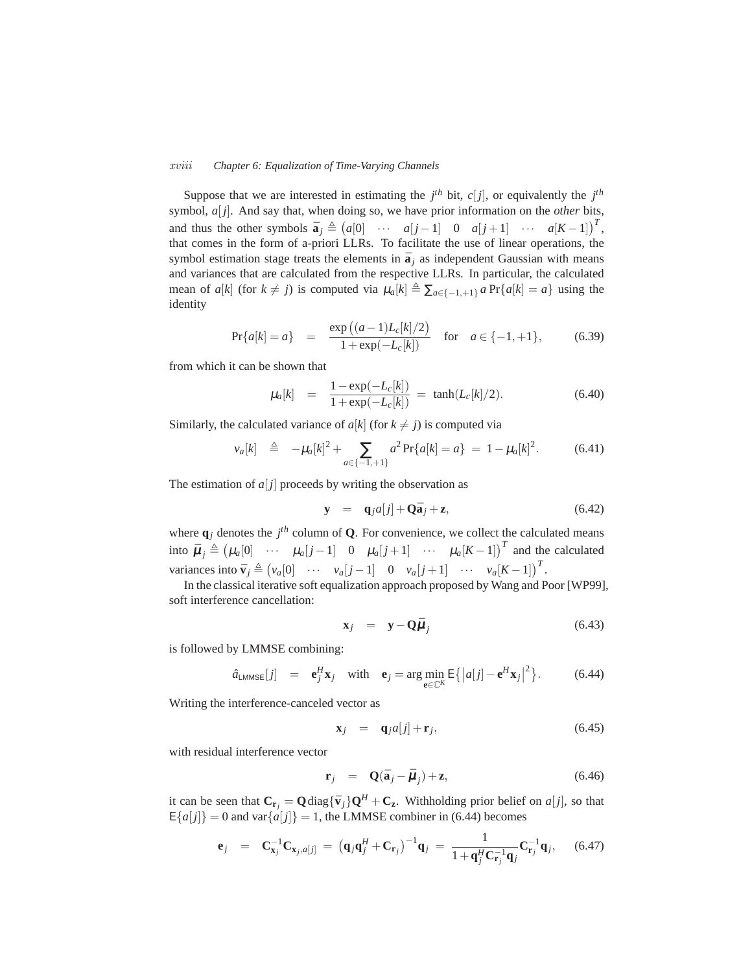#### *xviii Chapter 6: Equalization of Time-Varying Channels*

Suppose that we are interested in estimating the  $j<sup>th</sup>$  bit,  $c[j]$ , or equivalently the  $j<sup>th</sup>$ symbol, *a*[ *j*]. And say that, when doing so, we have prior information on the *other* bits, and thus the other symbols  $\bar{a}_j \triangleq (a[0] \cdots a[j-1] \quad 0 \quad a[j+1] \cdots a[K-1])^T$ , that comes in the form of a-priori LLRs. To facilitate the use of linear operations, the symbol estimation stage treats the elements in  $\bar{a}$ <sub>i</sub> as independent Gaussian with means and variances that are calculated from the respective LLRs. In particular, the calculated mean of *a*[*k*] (for  $k \neq j$ ) is computed via  $\mu_a[k] \triangleq \sum_{a \in \{-1, +1\}} a \Pr\{a[k] = a\}$  using the identity

$$
Pr{a[k] = a} = \frac{\exp{((a-1)L_c[k]/2)}}{1 + \exp{(-L_c[k]})} \quad \text{for} \quad a \in \{-1, +1\},\tag{6.39}
$$

from which it can be shown that

$$
\mu_a[k] = \frac{1 - \exp(-L_c[k])}{1 + \exp(-L_c[k])} = \tanh(L_c[k]/2). \tag{6.40}
$$

Similarly, the calculated variance of  $a[k]$  (for  $k \neq j$ ) is computed via

$$
v_a[k] \triangleq -\mu_a[k]^2 + \sum_{a \in \{-1, +1\}} a^2 \Pr\{a[k] = a\} = 1 - \mu_a[k]^2. \tag{6.41}
$$

The estimation of  $a[j]$  proceeds by writing the observation as

$$
\mathbf{y} = \mathbf{q}_j a[j] + \mathbf{Q} \bar{\mathbf{a}}_j + \mathbf{z}, \tag{6.42}
$$

where  $\mathbf{q}_j$  denotes the  $j^{th}$  column of **Q**. For convenience, we collect the calculated means into  $\bar{\mu}_j \triangleq (\mu_a[0] \cdots \mu_a[j-1] \quad 0 \quad \mu_a[j+1] \cdots \mu_a[K-1])^T$  and the calculated variances into  $\bar{\mathbf{v}}_j \triangleq (v_a[0] \cdots v_a[j-1] \quad 0 \quad v_a[j+1] \quad \cdots \quad v_a[K-1])^T$ .

In the classical iterative soft equalization approach proposed by Wang and Poor [WP99], soft interference cancellation:

$$
\mathbf{x}_j = \mathbf{y} - \mathbf{Q}\bar{\boldsymbol{\mu}}_j \tag{6.43}
$$

is followed by LMMSE combining:

$$
\hat{a}_{\text{LMMSE}}[j] = \mathbf{e}_j^H \mathbf{x}_j \quad \text{with} \quad \mathbf{e}_j = \arg\min_{\mathbf{e} \in \mathbb{C}^K} \mathsf{E}\left\{ \left| a[j] - \mathbf{e}^H \mathbf{x}_j \right|^2 \right\}. \tag{6.44}
$$

Writing the interference-canceled vector as

$$
\mathbf{x}_j = \mathbf{q}_j a[j] + \mathbf{r}_j,\tag{6.45}
$$

with residual interference vector

$$
\mathbf{r}_j = \mathbf{Q}(\bar{\mathbf{a}}_j - \bar{\boldsymbol{\mu}}_j) + \mathbf{z}, \tag{6.46}
$$

it can be seen that  $\mathbf{C}_{\mathbf{r}_j} = \mathbf{Q} \text{diag}\{\bar{\mathbf{v}}_j\}\mathbf{Q}^H + \mathbf{C}_{\mathbf{z}}$ . Withholding prior belief on  $a[j]$ , so that  $E{a[j]} = 0$  and var ${\alpha[j]} = 1$ , the LMMSE combiner in (6.44) becomes

$$
\mathbf{e}_{j} = \mathbf{C}_{\mathbf{x}_{j}}^{-1} \mathbf{C}_{\mathbf{x}_{j}, a[j]} = (\mathbf{q}_{j} \mathbf{q}_{j}^{H} + \mathbf{C}_{\mathbf{r}_{j}})^{-1} \mathbf{q}_{j} = \frac{1}{1 + \mathbf{q}_{j}^{H} \mathbf{C}_{\mathbf{r}_{j}}^{-1} \mathbf{q}_{j}} \mathbf{C}_{\mathbf{r}_{j}}^{-1} \mathbf{q}_{j}, \quad (6.47)
$$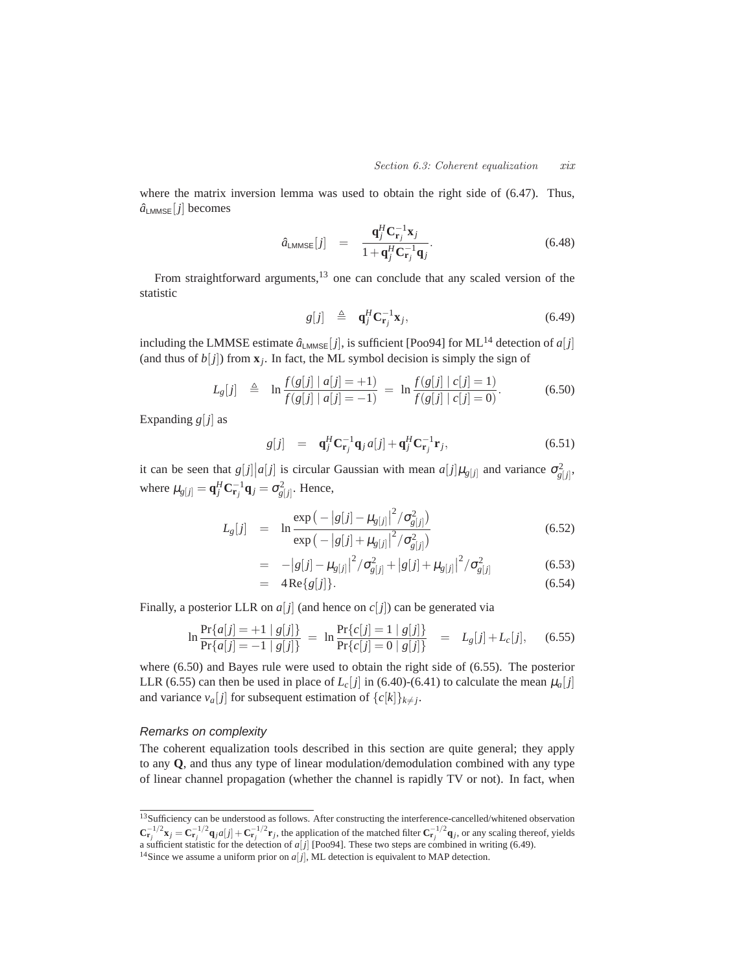where the matrix inversion lemma was used to obtain the right side of (6.47). Thus,  $\hat{a}_{\text{LMMSE}}[j]$  becomes

$$
\hat{a}_{\text{LMMSE}}[j] = \frac{\mathbf{q}_j^H \mathbf{C}_{\mathbf{r}_j}^{-1} \mathbf{x}_j}{1 + \mathbf{q}_j^H \mathbf{C}_{\mathbf{r}_j}^{-1} \mathbf{q}_j}.
$$
\n(6.48)

From straightforward arguments, $13$  one can conclude that any scaled version of the statistic

$$
g[j] \triangleq \mathbf{q}_j^H \mathbf{C}_{\mathbf{r}_j}^{-1} \mathbf{x}_j, \tag{6.49}
$$

including the LMMSE estimate  $\hat{a}_{\text{LMMSE}}[j]$ , is sufficient [Poo94] for ML<sup>14</sup> detection of  $a[j]$ (and thus of  $b[j]$ ) from  $\mathbf{x}_j$ . In fact, the ML symbol decision is simply the sign of

$$
L_g[j] \triangleq \ln \frac{f(g[j] \mid a[j] = +1)}{f(g[j] \mid a[j] = -1)} = \ln \frac{f(g[j] \mid c[j] = 1)}{f(g[j] \mid c[j] = 0)}.
$$
 (6.50)

Expanding  $g[j]$  as

$$
g[j] = \mathbf{q}_j^H \mathbf{C}_{\mathbf{r}_j}^{-1} \mathbf{q}_j a[j] + \mathbf{q}_j^H \mathbf{C}_{\mathbf{r}_j}^{-1} \mathbf{r}_j, \tag{6.51}
$$

it can be seen that  $g[j]|a[j]$  is circular Gaussian with mean  $a[j]\mu_{g[j]}$  and variance  $\sigma_{g[j]}^2$ , where  $\mu_{g[j]} = \mathbf{q}_j^H \mathbf{C}_{\mathbf{r}_j}^{-1} \mathbf{q}_j = \sigma_{g[j]}^2$ . Hence,

$$
L_g[j] = \ln \frac{\exp(-|g[j] - \mu_{g[j]}|^2 / \sigma_{g[j]}^2)}{\exp(-|g[j] + \mu_{g[j]}|^2 / \sigma_{g[j]}^2)}
$$
(6.52)

$$
= -|g[j] - \mu_{g[j]}|^2 / \sigma_{g[j]}^2 + |g[j] + \mu_{g[j]}|^2 / \sigma_{g[j]}^2
$$
\n(6.53)  
\n
$$
= 4 \operatorname{Re} \{g[j]\}.
$$
\n(6.54)

Finally, a posterior LLR on  $a[j]$  (and hence on  $c[j]$ ) can be generated via

$$
\ln \frac{\Pr\{a[j] = +1 \mid g[j]\}}{\Pr\{a[j] = -1 \mid g[j]\}} = \ln \frac{\Pr\{c[j] = 1 \mid g[j]\}}{\Pr\{c[j] = 0 \mid g[j]\}} = L_g[j] + L_c[j], \quad (6.55)
$$

where (6.50) and Bayes rule were used to obtain the right side of (6.55). The posterior LLR (6.55) can then be used in place of  $L_c[j]$  in (6.40)-(6.41) to calculate the mean  $\mu_a[j]$ and variance  $v_a[j]$  for subsequent estimation of  $\{c[k]\}_{k \neq j}$ .

## Remarks on complexity

The coherent equalization tools described in this section are quite general; they apply to any **Q**, and thus any type of linear modulation/demodulation combined with any type of linear channel propagation (whether the channel is rapidly TV or not). In fact, when

<sup>&</sup>lt;sup>13</sup>Sufficiency can be understood as follows. After constructing the interference-cancelled/whitened observation  $\mathbf{C}_{\mathbf{r}_j}^{-1/2}\mathbf{x}_j = \mathbf{C}_{\mathbf{r}_j}^{-1/2}\mathbf{q}_j a[j] + \mathbf{C}_{\mathbf{r}_j}^{-1/2}\mathbf{r}_j$ , the application of the matched filter  $\mathbf{C}_{\mathbf{r}_j}^{-1/2}\mathbf{q}_j$ , or any scaling thereof, yields a sufficient statistic for the detection of  $a[j]$  [Poo94]. These two steps are combined in writing (6.49).

 $^{14}$  Since we assume a uniform prior on  $a[j],$  ML detection is equivalent to MAP detection.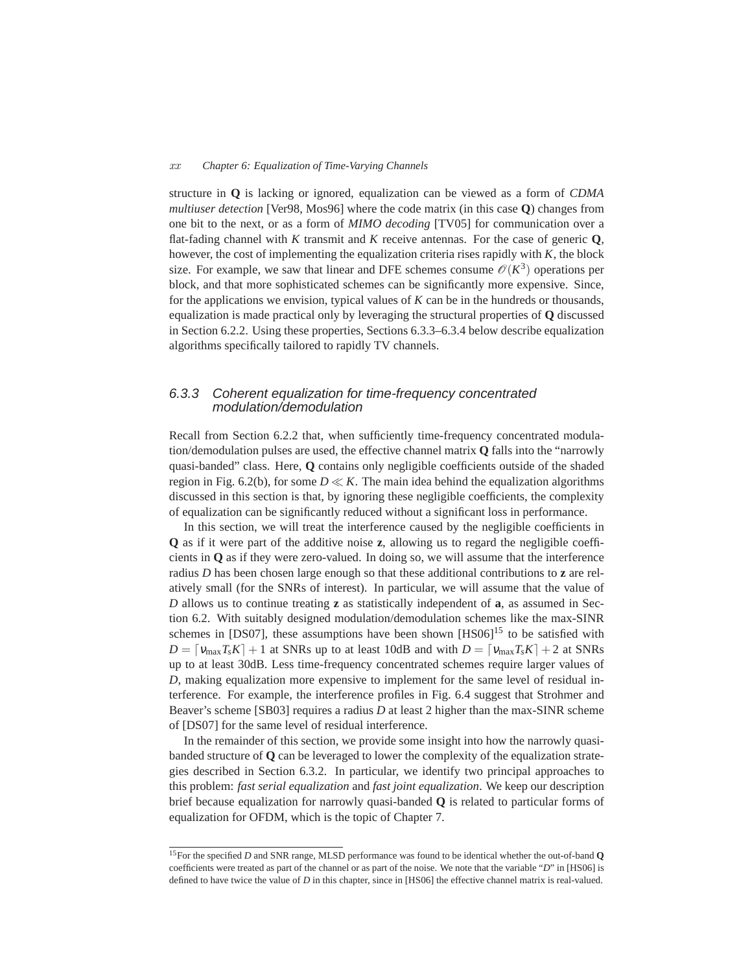#### *xx Chapter 6: Equalization of Time-Varying Channels*

structure in **Q** is lacking or ignored, equalization can be viewed as a form of *CDMA multiuser detection* [Ver98, Mos96] where the code matrix (in this case **Q**) changes from one bit to the next, or as a form of *MIMO decoding* [TV05] for communication over a flat-fading channel with *K* transmit and *K* receive antennas. For the case of generic **Q**, however, the cost of implementing the equalization criteria rises rapidly with *K*, the block size. For example, we saw that linear and DFE schemes consume  $\mathcal{O}(K^3)$  operations per block, and that more sophisticated schemes can be significantly more expensive. Since, for the applications we envision, typical values of *K* can be in the hundreds or thousands, equalization is made practical only by leveraging the structural properties of **Q** discussed in Section 6.2.2. Using these properties, Sections 6.3.3–6.3.4 below describe equalization algorithms specifically tailored to rapidly TV channels.

# 6.3.3 Coherent equalization for time-frequency concentrated modulation/demodulation

Recall from Section 6.2.2 that, when sufficiently time-frequency concentrated modulation/demodulation pulses are used, the effective channel matrix **Q** falls into the "narrowly quasi-banded" class. Here, **Q** contains only negligible coefficients outside of the shaded region in Fig. 6.2(b), for some  $D \ll K$ . The main idea behind the equalization algorithms discussed in this section is that, by ignoring these negligible coefficients, the complexity of equalization can be significantly reduced without a significant loss in performance.

In this section, we will treat the interference caused by the negligible coefficients in **Q** as if it were part of the additive noise **z**, allowing us to regard the negligible coefficients in **Q** as if they were zero-valued. In doing so, we will assume that the interference radius *D* has been chosen large enough so that these additional contributions to **z** are relatively small (for the SNRs of interest). In particular, we will assume that the value of *D* allows us to continue treating **z** as statistically independent of **a**, as assumed in Section 6.2. With suitably designed modulation/demodulation schemes like the max-SINR schemes in [DS07], these assumptions have been shown  $[HS06]^{15}$  to be satisfied with  $D = \left[ \frac{v_{\text{max}} T_s K}{1 + 1} + 1 \right]$  at SNRs up to at least 10dB and with  $D = \left[ \frac{v_{\text{max}} T_s K}{1 + 2} \right]$  at SNRs up to at least 30dB. Less time-frequency concentrated schemes require larger values of *D*, making equalization more expensive to implement for the same level of residual interference. For example, the interference profiles in Fig. 6.4 suggest that Strohmer and Beaver's scheme [SB03] requires a radius *D* at least 2 higher than the max-SINR scheme of [DS07] for the same level of residual interference.

In the remainder of this section, we provide some insight into how the narrowly quasibanded structure of **Q** can be leveraged to lower the complexity of the equalization strategies described in Section 6.3.2. In particular, we identify two principal approaches to this problem: *fast serial equalization* and *fast joint equalization*. We keep our description brief because equalization for narrowly quasi-banded **Q** is related to particular forms of equalization for OFDM, which is the topic of Chapter 7.

<sup>15</sup>For the specified *D* and SNR range, MLSD performance was found to be identical whether the out-of-band **Q** coefficients were treated as part of the channel or as part of the noise. We note that the variable "*D*" in [HS06] is defined to have twice the value of *D* in this chapter, since in [HS06] the effective channel matrix is real-valued.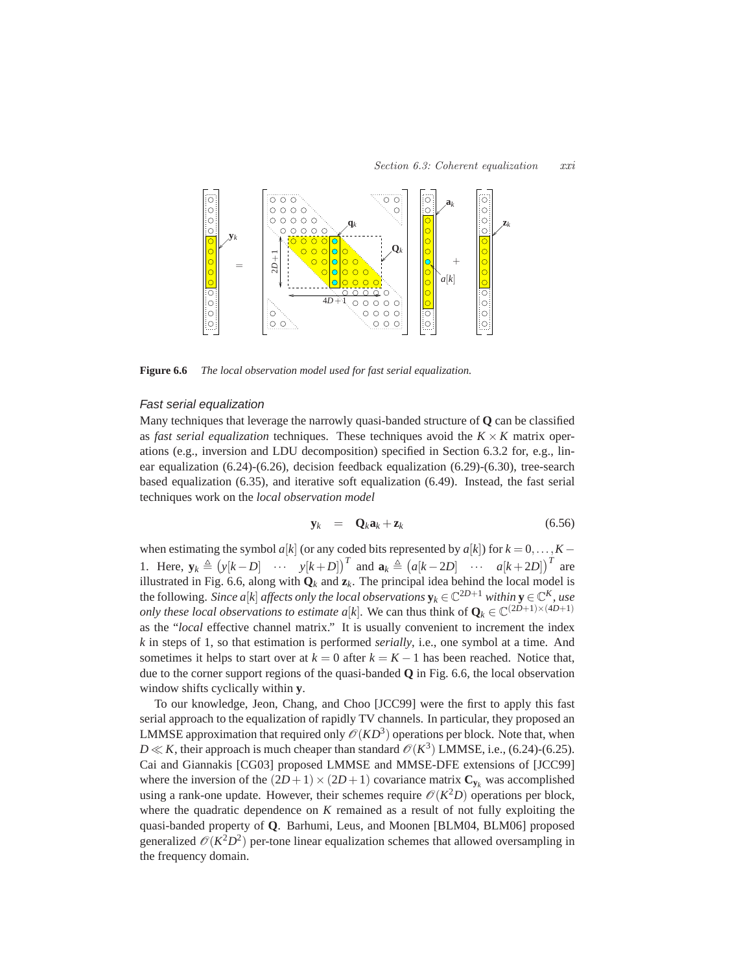

**Figure 6.6** *The local observation model used for fast serial equalization.*

## Fast serial equalization

Many techniques that leverage the narrowly quasi-banded structure of **Q** can be classified as *fast serial equalization* techniques. These techniques avoid the  $K \times K$  matrix operations (e.g., inversion and LDU decomposition) specified in Section 6.3.2 for, e.g., linear equalization (6.24)-(6.26), decision feedback equalization (6.29)-(6.30), tree-search based equalization (6.35), and iterative soft equalization (6.49). Instead, the fast serial techniques work on the *local observation model*

$$
\mathbf{y}_k = \mathbf{Q}_k \mathbf{a}_k + \mathbf{z}_k \tag{6.56}
$$

when estimating the symbol  $a[k]$  (or any coded bits represented by  $a[k]$ ) for  $k = 0, \ldots, K - 1$ 1. Here,  $\mathbf{y}_k \triangleq (y[k-D] \cdots y[k+D])^T$  and  $\mathbf{a}_k \triangleq (a[k-2D] \cdots a[k+2D])^T$  are illustrated in Fig. 6.6, along with  $\mathbf{Q}_k$  and  $\mathbf{z}_k$ . The principal idea behind the local model is the following. *Since a*[*k*] *affects only the local observations*  $\mathbf{y}_k \in \mathbb{C}^{2D+1}$  *within*  $\mathbf{y} \in \mathbb{C}^K$ *, use only these local observations to estimate*  $a[k]$ *. We can thus think of*  $\mathbf{Q}_k \in \mathbb{C}^{(2D+1)\times(4D+1)}$ as the "*local* effective channel matrix." It is usually convenient to increment the index *k* in steps of 1, so that estimation is performed *serially*, i.e., one symbol at a time. And sometimes it helps to start over at  $k = 0$  after  $k = K - 1$  has been reached. Notice that, due to the corner support regions of the quasi-banded **Q** in Fig. 6.6, the local observation window shifts cyclically within **y**.

To our knowledge, Jeon, Chang, and Choo [JCC99] were the first to apply this fast serial approach to the equalization of rapidly TV channels. In particular, they proposed an LMMSE approximation that required only  $\mathscr{O}(KD^3)$  operations per block. Note that, when  $D \ll K$ , their approach is much cheaper than standard  $\mathcal{O}(K^3)$  LMMSE, i.e., (6.24)-(6.25). Cai and Giannakis [CG03] proposed LMMSE and MMSE-DFE extensions of [JCC99] where the inversion of the  $(2D+1) \times (2D+1)$  covariance matrix  $C_{y_k}$  was accomplished using a rank-one update. However, their schemes require  $\mathcal{O}(K^2D)$  operations per block, where the quadratic dependence on *K* remained as a result of not fully exploiting the quasi-banded property of **Q**. Barhumi, Leus, and Moonen [BLM04, BLM06] proposed generalized  $\mathcal{O}(K^2D^2)$  per-tone linear equalization schemes that allowed oversampling in the frequency domain.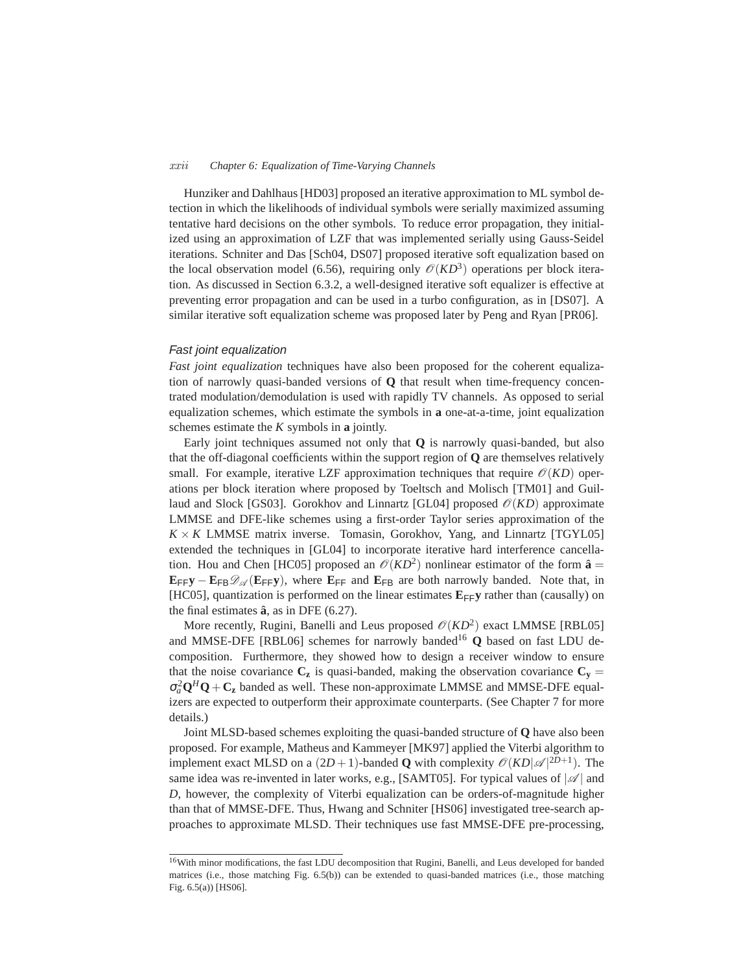#### *xxii Chapter 6: Equalization of Time-Varying Channels*

Hunziker and Dahlhaus [HD03] proposed an iterative approximation to ML symbol detection in which the likelihoods of individual symbols were serially maximized assuming tentative hard decisions on the other symbols. To reduce error propagation, they initialized using an approximation of LZF that was implemented serially using Gauss-Seidel iterations. Schniter and Das [Sch04, DS07] proposed iterative soft equalization based on the local observation model (6.56), requiring only  $\mathcal{O}(KD^3)$  operations per block iteration. As discussed in Section 6.3.2, a well-designed iterative soft equalizer is effective at preventing error propagation and can be used in a turbo configuration, as in [DS07]. A similar iterative soft equalization scheme was proposed later by Peng and Ryan [PR06].

### Fast joint equalization

*Fast joint equalization* techniques have also been proposed for the coherent equalization of narrowly quasi-banded versions of **Q** that result when time-frequency concentrated modulation/demodulation is used with rapidly TV channels. As opposed to serial equalization schemes, which estimate the symbols in **a** one-at-a-time, joint equalization schemes estimate the *K* symbols in **a** jointly.

Early joint techniques assumed not only that **Q** is narrowly quasi-banded, but also that the off-diagonal coefficients within the support region of **Q** are themselves relatively small. For example, iterative LZF approximation techniques that require  $\mathcal{O}(KD)$  operations per block iteration where proposed by Toeltsch and Molisch [TM01] and Guillaud and Slock [GS03]. Gorokhov and Linnartz [GL04] proposed  $\mathcal{O}(KD)$  approximate LMMSE and DFE-like schemes using a first-order Taylor series approximation of the  $K \times K$  LMMSE matrix inverse. Tomasin, Gorokhov, Yang, and Linnartz [TGYL05] extended the techniques in [GL04] to incorporate iterative hard interference cancellation. Hou and Chen [HC05] proposed an  $\mathcal{O}(KD^2)$  nonlinear estimator of the form  $\hat{\mathbf{a}} =$  $E_{FF}y - E_{FB} \mathcal{D}_{\mathscr{A}}(E_{FF}y)$ , where  $E_{FF}$  and  $E_{FB}$  are both narrowly banded. Note that, in [HC05], quantization is performed on the linear estimates  $\mathbf{E}_{\mathsf{FF}}\mathbf{y}$  rather than (causally) on the final estimates  $\hat{a}$ , as in DFE (6.27).

More recently, Rugini, Banelli and Leus proposed  $\mathcal{O}(KD^2)$  exact LMMSE [RBL05] and MMSE-DFE [RBL06] schemes for narrowly banded<sup>16</sup> Q based on fast LDU decomposition. Furthermore, they showed how to design a receiver window to ensure that the noise covariance  $C_z$  is quasi-banded, making the observation covariance  $C_y =$  $\sigma_a^2 \mathbf{Q}^H \mathbf{Q} + \mathbf{C_z}$  banded as well. These non-approximate LMMSE and MMSE-DFE equalizers are expected to outperform their approximate counterparts. (See Chapter 7 for more details.)

Joint MLSD-based schemes exploiting the quasi-banded structure of **Q** have also been proposed. For example, Matheus and Kammeyer [MK97] applied the Viterbi algorithm to implement exact MLSD on a  $(2D+1)$ -banded **Q** with complexity  $\mathcal{O}(KD|\mathcal{A}|^{2D+1})$ . The same idea was re-invented in later works, e.g., [SAMT05]. For typical values of  $|\mathcal{A}|$  and *D*, however, the complexity of Viterbi equalization can be orders-of-magnitude higher than that of MMSE-DFE. Thus, Hwang and Schniter [HS06] investigated tree-search approaches to approximate MLSD. Their techniques use fast MMSE-DFE pre-processing,

<sup>&</sup>lt;sup>16</sup>With minor modifications, the fast LDU decomposition that Rugini, Banelli, and Leus developed for banded matrices (i.e., those matching Fig. 6.5(b)) can be extended to quasi-banded matrices (i.e., those matching Fig. 6.5(a)) [HS06].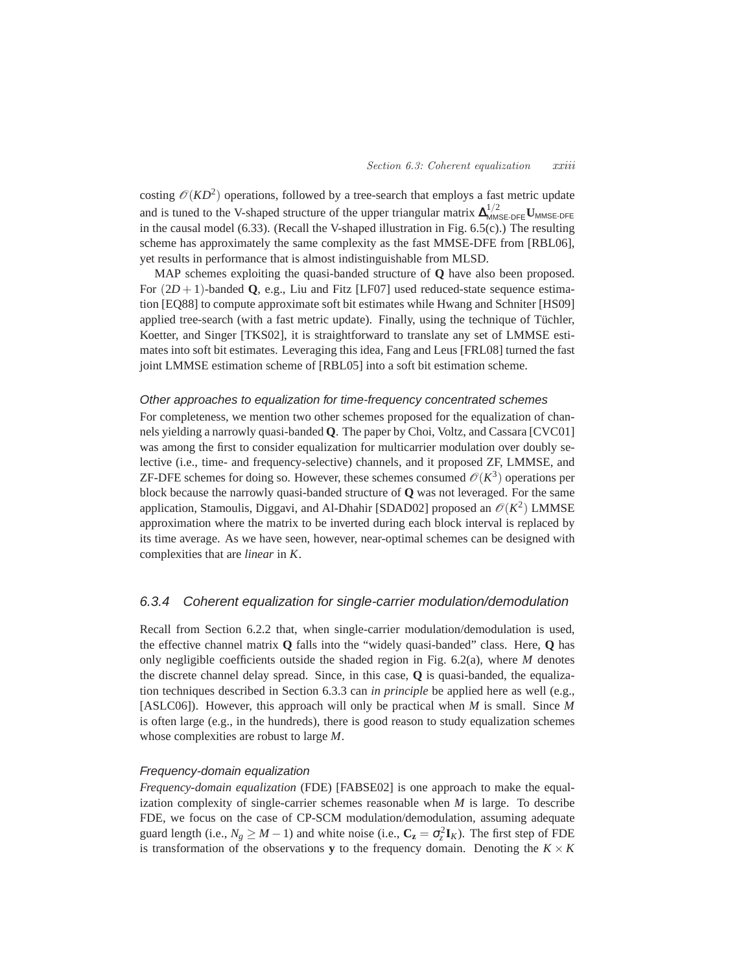costing  $\mathcal{O}(KD^2)$  operations, followed by a tree-search that employs a fast metric update and is tuned to the V-shaped structure of the upper triangular matrix  $\Delta_{MMSE\text{-}DFE}^{1/2}$  U<sub>MMSE-DFE</sub> in the causal model (6.33). (Recall the V-shaped illustration in Fig. 6.5(c).) The resulting scheme has approximately the same complexity as the fast MMSE-DFE from [RBL06], yet results in performance that is almost indistinguishable from MLSD.

MAP schemes exploiting the quasi-banded structure of **Q** have also been proposed. For (2*D* + 1)-banded **Q**, e.g., Liu and Fitz [LF07] used reduced-state sequence estimation [EQ88] to compute approximate soft bit estimates while Hwang and Schniter [HS09] applied tree-search (with a fast metric update). Finally, using the technique of Tüchler, Koetter, and Singer [TKS02], it is straightforward to translate any set of LMMSE estimates into soft bit estimates. Leveraging this idea, Fang and Leus [FRL08] turned the fast joint LMMSE estimation scheme of [RBL05] into a soft bit estimation scheme.

#### Other approaches to equalization for time-frequency concentrated schemes

For completeness, we mention two other schemes proposed for the equalization of channels yielding a narrowly quasi-banded **Q**. The paper by Choi, Voltz, and Cassara [CVC01] was among the first to consider equalization for multicarrier modulation over doubly selective (i.e., time- and frequency-selective) channels, and it proposed ZF, LMMSE, and ZF-DFE schemes for doing so. However, these schemes consumed  $\mathcal{O}(K^3)$  operations per block because the narrowly quasi-banded structure of **Q** was not leveraged. For the same application, Stamoulis, Diggavi, and Al-Dhahir [SDAD02] proposed an  $\mathcal{O}(K^2)$  LMMSE approximation where the matrix to be inverted during each block interval is replaced by its time average. As we have seen, however, near-optimal schemes can be designed with complexities that are *linear* in *K*.

# 6.3.4 Coherent equalization for single-carrier modulation/demodulation

Recall from Section 6.2.2 that, when single-carrier modulation/demodulation is used, the effective channel matrix **Q** falls into the "widely quasi-banded" class. Here, **Q** has only negligible coefficients outside the shaded region in Fig. 6.2(a), where *M* denotes the discrete channel delay spread. Since, in this case, **Q** is quasi-banded, the equalization techniques described in Section 6.3.3 can *in principle* be applied here as well (e.g., [ASLC06]). However, this approach will only be practical when *M* is small. Since *M* is often large (e.g., in the hundreds), there is good reason to study equalization schemes whose complexities are robust to large *M*.

#### Frequency-domain equalization

*Frequency-domain equalization* (FDE) [FABSE02] is one approach to make the equalization complexity of single-carrier schemes reasonable when *M* is large. To describe FDE, we focus on the case of CP-SCM modulation/demodulation, assuming adequate guard length (i.e.,  $N_g \geq M - 1$ ) and white noise (i.e.,  $C_z = \sigma_z^2 \mathbf{I}_K$ ). The first step of FDE is transformation of the observations **y** to the frequency domain. Denoting the  $K \times K$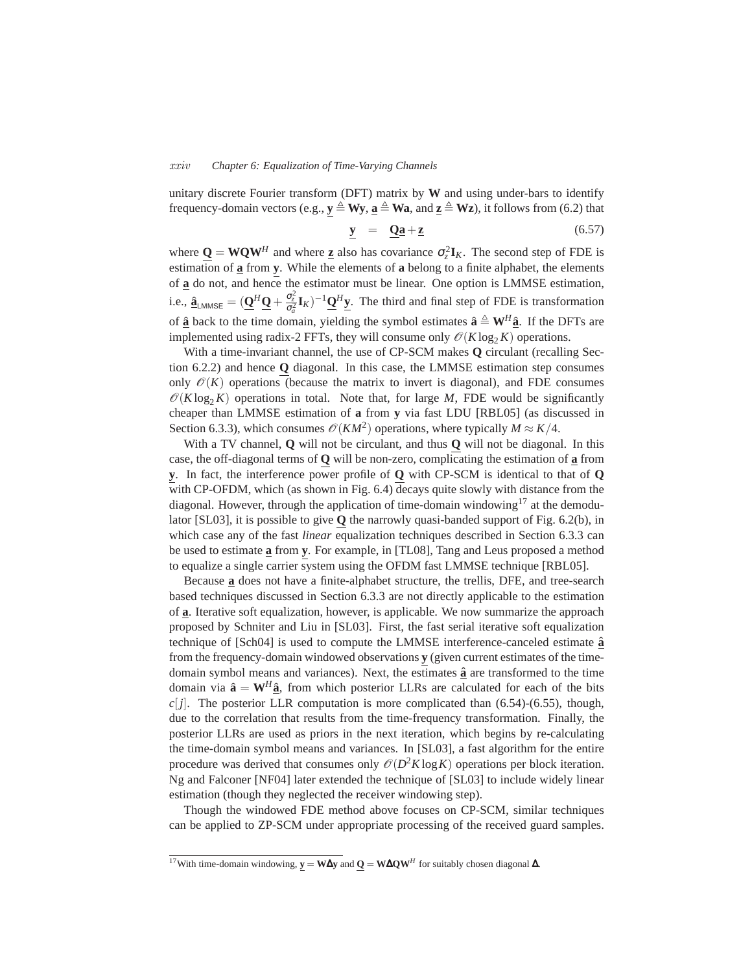#### *xxiv Chapter 6: Equalization of Time-Varying Channels*

unitary discrete Fourier transform (DFT) matrix by **W** and using under-bars to identify frequency-domain vectors (e.g.,  $y \triangleq Wy$ ,  $a \triangleq Wa$ , and  $z \triangleq Wz$ ), it follows from (6.2) that

$$
\mathbf{y} = \mathbf{Q}\mathbf{a} + \mathbf{z} \tag{6.57}
$$

where  $\underline{Q} = WQW^H$  and where  $\underline{z}$  also has covariance  $\sigma_z^2 \mathbf{I}_K$ . The second step of FDE is estimation of **a** from **y**. While the elements of **a** belong to a finite alphabet, the elements of **a** do not, and hence the estimator must be linear. One option is LMMSE estimation, i.e.,  $\hat{\mathbf{a}}_{\text{LMMSE}} = (\underline{\mathbf{Q}}^H \underline{\mathbf{Q}} + \frac{\sigma_z^2}{\sigma_a^2} \mathbf{I}_K)^{-1} \underline{\mathbf{Q}}^H \underline{\mathbf{y}}$ . The third and final step of FDE is transformation of  $\hat{\mathbf{a}}$  back to the time domain, yielding the symbol estimates  $\hat{\mathbf{a}} \triangleq \mathbf{W}^H \hat{\mathbf{a}}$ . If the DFTs are implemented using radix-2 FFTs, they will consume only  $\mathcal{O}(K \log_2 K)$  operations.

With a time-invariant channel, the use of CP-SCM makes **Q** circulant (recalling Section 6.2.2) and hence **Q** diagonal. In this case, the LMMSE estimation step consumes only  $\mathcal{O}(K)$  operations (because the matrix to invert is diagonal), and FDE consumes  $\mathcal{O}(K \log_2 K)$  operations in total. Note that, for large *M*, FDE would be significantly cheaper than LMMSE estimation of **a** from **y** via fast LDU [RBL05] (as discussed in Section 6.3.3), which consumes  $\mathcal{O}(KM^2)$  operations, where typically  $M \approx K/4$ .

With a TV channel, **Q** will not be circulant, and thus **Q** will not be diagonal. In this case, the off-diagonal terms of **Q** will be non-zero, complicating the estimation of **a** from **y**. In fact, the interference power profile of **Q** with CP-SCM is identical to that of **Q** with CP-OFDM, which (as shown in Fig. 6.4) decays quite slowly with distance from the diagonal. However, through the application of time-domain windowing<sup>17</sup> at the demodulator [SL03], it is possible to give **Q** the narrowly quasi-banded support of Fig. 6.2(b), in which case any of the fast *linear* equalization techniques described in Section 6.3.3 can be used to estimate **a** from **y**. For example, in [TL08], Tang and Leus proposed a method to equalize a single carrier system using the OFDM fast LMMSE technique [RBL05].

Because **a** does not have a finite-alphabet structure, the trellis, DFE, and tree-search based techniques discussed in Section 6.3.3 are not directly applicable to the estimation of **a**. Iterative soft equalization, however, is applicable. We now summarize the approach proposed by Schniter and Liu in [SL03]. First, the fast serial iterative soft equalization technique of [Sch04] is used to compute the LMMSE interference-canceled estimate **a**ˆ from the frequency-domain windowed observations **y** (given current estimates of the timedomain symbol means and variances). Next, the estimates  $\hat{a}$  are transformed to the time domain via  $\hat{\mathbf{a}} = \mathbf{W}^H \hat{\mathbf{a}}$ , from which posterior LLRs are calculated for each of the bits *c*[ $j$ ]. The posterior LLR computation is more complicated than (6.54)-(6.55), though, due to the correlation that results from the time-frequency transformation. Finally, the posterior LLRs are used as priors in the next iteration, which begins by re-calculating the time-domain symbol means and variances. In [SL03], a fast algorithm for the entire procedure was derived that consumes only  $\mathcal{O}(D^2K\log K)$  operations per block iteration. Ng and Falconer [NF04] later extended the technique of [SL03] to include widely linear estimation (though they neglected the receiver windowing step).

Though the windowed FDE method above focuses on CP-SCM, similar techniques can be applied to ZP-SCM under appropriate processing of the received guard samples.

<sup>17</sup>With time-domain windowing, **y** = **W**∆**y** and **Q** = **W**∆**QW***<sup>H</sup>* for suitably chosen diagonal ∆.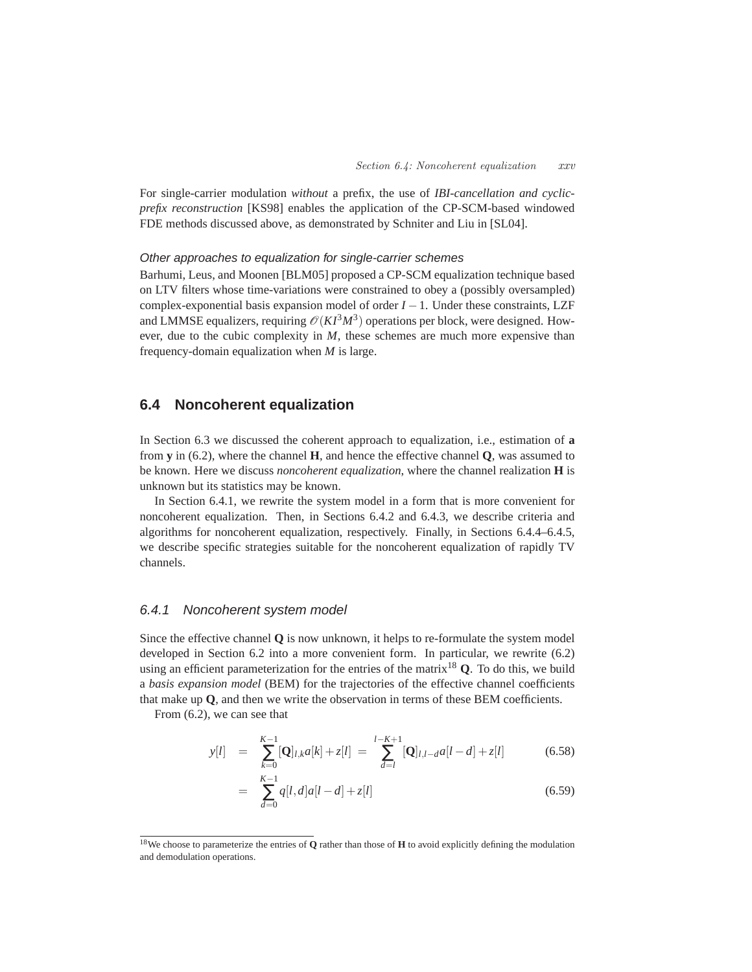For single-carrier modulation *without* a prefix, the use of *IBI-cancellation and cyclicprefix reconstruction* [KS98] enables the application of the CP-SCM-based windowed FDE methods discussed above, as demonstrated by Schniter and Liu in [SL04].

# Other approaches to equalization for single-carrier schemes

Barhumi, Leus, and Moonen [BLM05] proposed a CP-SCM equalization technique based on LTV filters whose time-variations were constrained to obey a (possibly oversampled) complex-exponential basis expansion model of order  $I - 1$ . Under these constraints, LZF and LMMSE equalizers, requiring  $\mathcal{O}(KI^3M^3)$  operations per block, were designed. However, due to the cubic complexity in *M*, these schemes are much more expensive than frequency-domain equalization when *M* is large.

# **6.4 Noncoherent equalization**

In Section 6.3 we discussed the coherent approach to equalization, i.e., estimation of **a** from **y** in (6.2), where the channel **H**, and hence the effective channel **Q**, was assumed to be known. Here we discuss *noncoherent equalization*, where the channel realization **H** is unknown but its statistics may be known.

In Section 6.4.1, we rewrite the system model in a form that is more convenient for noncoherent equalization. Then, in Sections 6.4.2 and 6.4.3, we describe criteria and algorithms for noncoherent equalization, respectively. Finally, in Sections 6.4.4–6.4.5, we describe specific strategies suitable for the noncoherent equalization of rapidly TV channels.

# 6.4.1 Noncoherent system model

Since the effective channel **Q** is now unknown, it helps to re-formulate the system model developed in Section 6.2 into a more convenient form. In particular, we rewrite (6.2) using an efficient parameterization for the entries of the matrix<sup>18</sup> **Q**. To do this, we build a *basis expansion model* (BEM) for the trajectories of the effective channel coefficients that make up **Q**, and then we write the observation in terms of these BEM coefficients.

From (6.2), we can see that

$$
y[l] = \sum_{k=0}^{K-1} [\mathbf{Q}]_{l,k} a[k] + z[l] = \sum_{d=l}^{l-K+1} [\mathbf{Q}]_{l,l-d} a[l-d] + z[l] \tag{6.58}
$$

$$
= \sum_{d=0}^{K-1} q[l,d]a[l-d] + z[l]
$$
\n(6.59)

<sup>18</sup>We choose to parameterize the entries of **Q** rather than those of **H** to avoid explicitly defining the modulation and demodulation operations.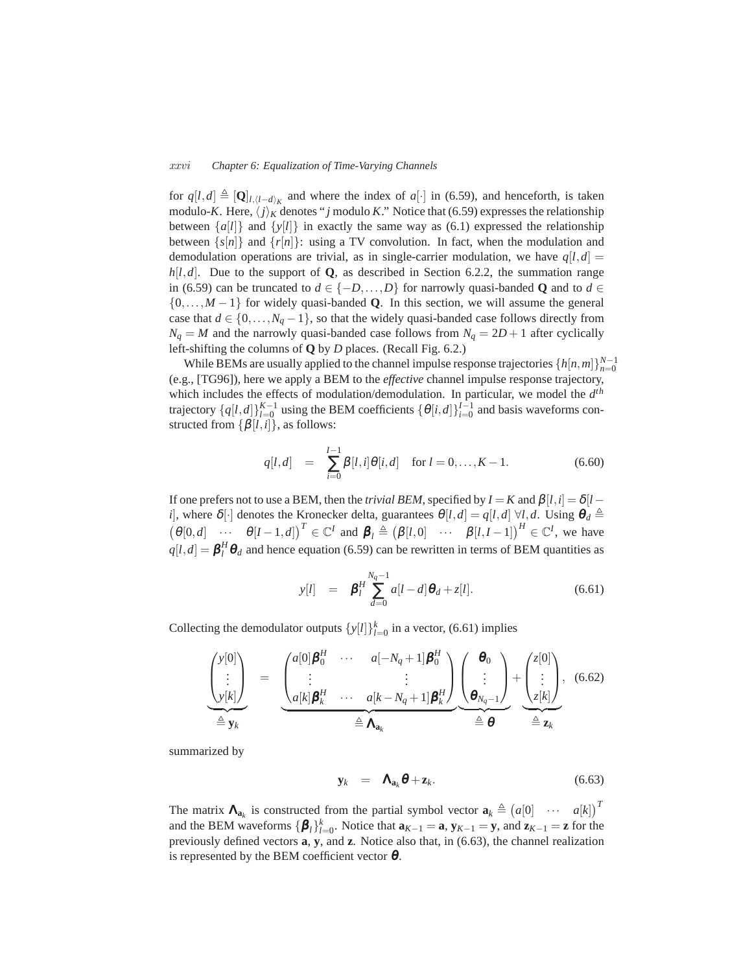#### *xxvi Chapter 6: Equalization of Time-Varying Channels*

for  $q[l,d] \triangleq [\mathbf{Q}]_{l,(l-d)_K}$  and where the index of  $a[\cdot]$  in (6.59), and henceforth, is taken modulo-*K*. Here,  $\langle j \rangle_K$  denotes "*j* modulo *K*." Notice that (6.59) expresses the relationship between  $\{a[i]\}$  and  $\{y[i]\}$  in exactly the same way as (6.1) expressed the relationship between  $\{s[n]\}$  and  $\{r[n]\}$ : using a TV convolution. In fact, when the modulation and demodulation operations are trivial, as in single-carrier modulation, we have  $q[l,d]$  $h[l,d]$ . Due to the support of **Q**, as described in Section 6.2.2, the summation range in (6.59) can be truncated to  $d \in \{-D, \ldots, D\}$  for narrowly quasi-banded **Q** and to  $d \in$ {0,...,*M* − 1} for widely quasi-banded **Q**. In this section, we will assume the general case that  $d \in \{0, ..., N_q - 1\}$ , so that the widely quasi-banded case follows directly from  $N_q = M$  and the narrowly quasi-banded case follows from  $N_q = 2D + 1$  after cyclically left-shifting the columns of **Q** by *D* places. (Recall Fig. 6.2.)

While BEMs are usually applied to the channel impulse response trajectories  $\{h[n,m]\}_{n=0}^{N-1}$ (e.g., [TG96]), here we apply a BEM to the *effective* channel impulse response trajectory, which includes the effects of modulation/demodulation. In particular, we model the *d th* trajectory  $\{q[l,d]\}_{l=0}^{K-1}$  using the BEM coefficients  $\{\theta[i,d]\}_{i=0}^{I-1}$  and basis waveforms constructed from  $\{\beta[i, i]\}$ , as follows:

$$
q[l,d] = \sum_{i=0}^{l-1} \beta[l,i] \theta[i,d] \quad \text{for } l = 0,\dots, K-1.
$$
 (6.60)

If one prefers not to use a BEM, then the *trivial BEM*, specified by  $I = K$  and  $\beta$ [*l*,*i*] =  $\delta$ [*l* − *i*], where  $\delta[\cdot]$  denotes the Kronecker delta, guarantees  $\theta[l,d] = q[l,d] \ \forall l,d$ . Using  $\theta_d \triangleq$  $(\theta[0,d] \cdots \theta[I-1,d])^T \in \mathbb{C}^I$  and  $\boldsymbol{\beta}_l \triangleq (\beta[l,0] \cdots \beta[l, l-1])^H \in \mathbb{C}^I$ , we have  $q[l, d] = \boldsymbol{\beta}_l^H \boldsymbol{\theta}_d$  and hence equation (6.59) can be rewritten in terms of BEM quantities as

$$
y[l] = \beta_l^H \sum_{d=0}^{N_q - 1} a[l - d] \theta_d + z[l]. \tag{6.61}
$$

Collecting the demodulator outputs  $\{y[l]\}_{l=0}^k$  in a vector, (6.61) implies

$$
\underbrace{\begin{pmatrix} y[0] \\ \vdots \\ y[k] \end{pmatrix}}_{\triangleq \mathbf{y}_k} = \underbrace{\begin{pmatrix} a[0] \boldsymbol{\beta}_0^H & \cdots & a[-N_q+1] \boldsymbol{\beta}_0^H \\ \vdots & & \vdots \\ a[k] \boldsymbol{\beta}_k^H & \cdots & a[k-N_q+1] \boldsymbol{\beta}_k^H \end{pmatrix}}_{\triangleq \mathbf{\Lambda}_{a_k}} \underbrace{\begin{pmatrix} \boldsymbol{\theta}_0 \\ \vdots \\ \boldsymbol{\theta}_{N_q-1} \end{pmatrix}}_{\triangleq \mathbf{\Theta}} + \underbrace{\begin{pmatrix} z[0] \\ \vdots \\ z[k] \end{pmatrix}}_{\triangleq \mathbf{z}_k}, \quad (6.62)
$$

summarized by

$$
\mathbf{y}_k = \mathbf{\Lambda}_{\mathbf{a}_k} \boldsymbol{\theta} + \mathbf{z}_k. \tag{6.63}
$$

The matrix  $\mathbf{\Lambda}_{\mathbf{a}_k}$  is constructed from the partial symbol vector  $\mathbf{a}_k \triangleq (a[0] \cdots a[k])^T$ and the BEM waveforms  ${\{\beta_l\}}_{l=0}^k$ . Notice that  $\mathbf{a}_{K-1} = \mathbf{a}, \mathbf{y}_{K-1} = \mathbf{y}$ , and  $\mathbf{z}_{K-1} = \mathbf{z}$  for the previously defined vectors **a**, **y**, and **z**. Notice also that, in (6.63), the channel realization is represented by the BEM coefficient vector  $\theta$ .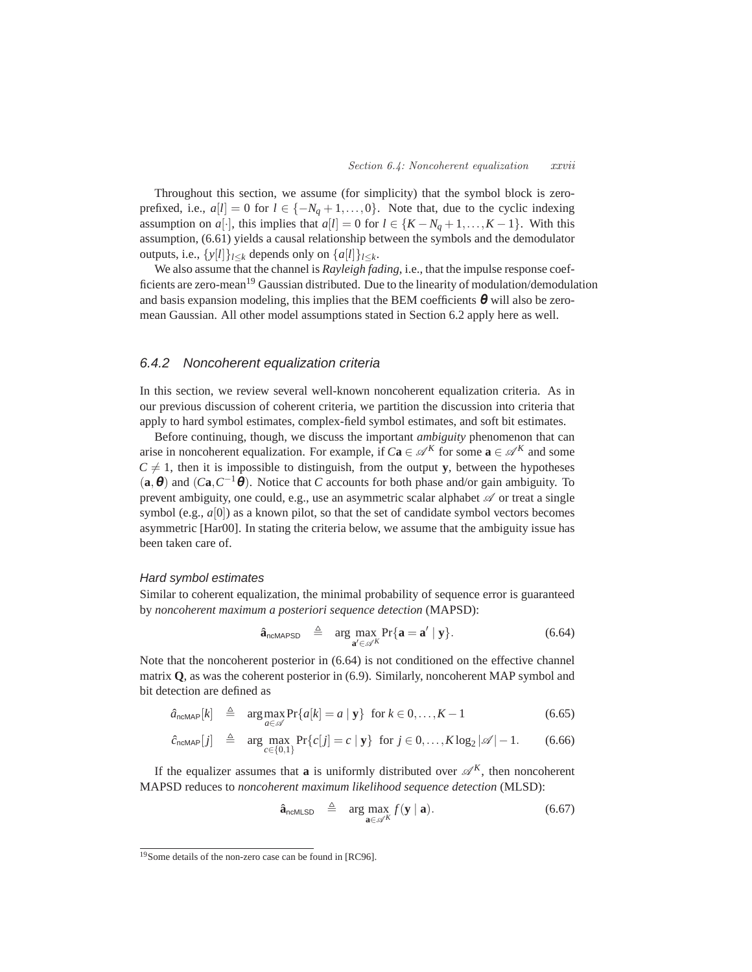Throughout this section, we assume (for simplicity) that the symbol block is zeroprefixed, i.e.,  $a[l] = 0$  for  $l \in \{-N_q + 1, \ldots, 0\}$ . Note that, due to the cyclic indexing assumption on *a*[·], this implies that  $a[l] = 0$  for  $l \in \{K - N_q + 1, ..., K - 1\}$ . With this assumption, (6.61) yields a causal relationship between the symbols and the demodulator outputs, i.e.,  $\{y[l]\}_{l\leq k}$  depends only on  $\{a[l]\}_{l\leq k}$ .

We also assume that the channel is *Rayleigh fading*, i.e., that the impulse response coefficients are zero-mean<sup>19</sup> Gaussian distributed. Due to the linearity of modulation/demodulation and basis expansion modeling, this implies that the BEM coefficients  $\theta$  will also be zeromean Gaussian. All other model assumptions stated in Section 6.2 apply here as well.

# 6.4.2 Noncoherent equalization criteria

In this section, we review several well-known noncoherent equalization criteria. As in our previous discussion of coherent criteria, we partition the discussion into criteria that apply to hard symbol estimates, complex-field symbol estimates, and soft bit estimates.

Before continuing, though, we discuss the important *ambiguity* phenomenon that can arise in noncoherent equalization. For example, if  $Ca \in \mathcal{A}^K$  for some  $\mathbf{a} \in \mathcal{A}^K$  and some  $C \neq 1$ , then it is impossible to distinguish, from the output **y**, between the hypotheses  $(a, \theta)$  and  $(Ca, C^{-1}\theta)$ . Notice that *C* accounts for both phase and/or gain ambiguity. To prevent ambiguity, one could, e.g., use an asymmetric scalar alphabet  $\mathscr A$  or treat a single symbol (e.g.,  $a[0]$ ) as a known pilot, so that the set of candidate symbol vectors becomes asymmetric [Har00]. In stating the criteria below, we assume that the ambiguity issue has been taken care of.

#### Hard symbol estimates

Similar to coherent equalization, the minimal probability of sequence error is guaranteed by *noncoherent maximum a posteriori sequence detection* (MAPSD):

$$
\hat{\mathbf{a}}_{\text{ncMAPSD}} \triangleq \arg \max_{\mathbf{a}' \in \mathscr{A}^K} \Pr\{\mathbf{a} = \mathbf{a}' \mid \mathbf{y}\}. \tag{6.64}
$$

Note that the noncoherent posterior in (6.64) is not conditioned on the effective channel matrix **Q**, as was the coherent posterior in (6.9). Similarly, noncoherent MAP symbol and bit detection are defined as

$$
\hat{a}_{\text{ncMAP}}[k] \triangleq \arg \max_{a \in \mathscr{A}} \Pr\{a[k] = a \mid \mathbf{y}\} \text{ for } k \in 0, \dots, K-1 \tag{6.65}
$$

$$
\hat{c}_{\text{ncMAP}}[j] \triangleq \arg \max_{c \in \{0,1\}} \Pr\{c[j] = c \mid \mathbf{y}\} \text{ for } j \in 0, \dots, K \log_2 |\mathscr{A}| - 1. \tag{6.66}
$$

If the equalizer assumes that **a** is uniformly distributed over  $\mathscr{A}^K$ , then noncoherent MAPSD reduces to *noncoherent maximum likelihood sequence detection* (MLSD):

$$
\hat{\mathbf{a}}_{\text{ncMLSD}} \triangleq \arg \max_{\mathbf{a} \in \mathscr{A}^K} f(\mathbf{y} \mid \mathbf{a}). \tag{6.67}
$$

<sup>19</sup>Some details of the non-zero case can be found in [RC96].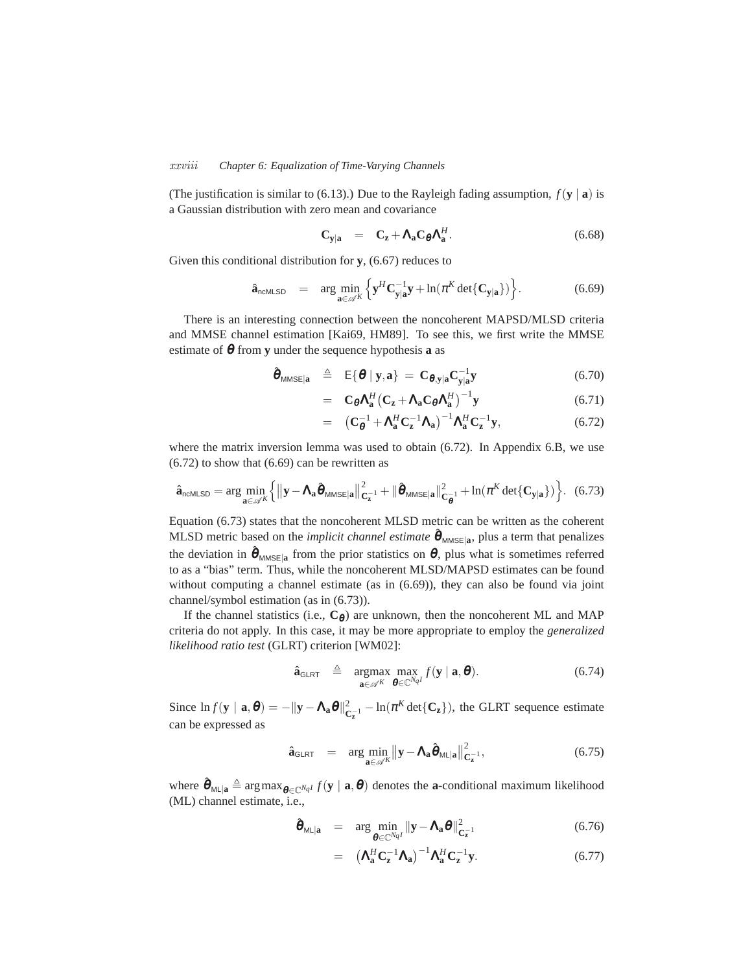#### *xxviii Chapter 6: Equalization of Time-Varying Channels*

(The justification is similar to (6.13).) Due to the Rayleigh fading assumption,  $f(\mathbf{y} \mid \mathbf{a})$  is a Gaussian distribution with zero mean and covariance

$$
\mathbf{C}_{\mathbf{y}|\mathbf{a}} = \mathbf{C}_{\mathbf{z}} + \mathbf{\Lambda}_{\mathbf{a}} \mathbf{C}_{\boldsymbol{\theta}} \mathbf{\Lambda}_{\mathbf{a}}^{H}.
$$
 (6.68)

Given this conditional distribution for **y**, (6.67) reduces to

$$
\hat{\mathbf{a}}_{\text{ncMLSD}} = \arg \min_{\mathbf{a} \in \mathscr{A}^K} \left\{ \mathbf{y}^H \mathbf{C}_{\mathbf{y}|\mathbf{a}}^{-1} \mathbf{y} + \ln(\pi^K \det \{ \mathbf{C}_{\mathbf{y}|\mathbf{a}} \}) \right\}.
$$
 (6.69)

There is an interesting connection between the noncoherent MAPSD/MLSD criteria and MMSE channel estimation [Kai69, HM89]. To see this, we first write the MMSE estimate of θ from **y** under the sequence hypothesis **a** as

$$
\hat{\boldsymbol{\theta}}_{MMSE|\mathbf{a}} \triangleq E\{\boldsymbol{\theta} \mid \mathbf{y}, \mathbf{a}\} = \mathbf{C}_{\boldsymbol{\theta}, \mathbf{y} | \mathbf{a}} \mathbf{C}_{\mathbf{y} | \mathbf{a}}^{-1} \mathbf{y}
$$
(6.70)

$$
= \mathbf{C}_{\boldsymbol{\theta}} \mathbf{\Lambda}_{\mathbf{a}}^H \left( \mathbf{C}_{\mathbf{z}} + \mathbf{\Lambda}_{\mathbf{a}} \mathbf{C}_{\boldsymbol{\theta}} \mathbf{\Lambda}_{\mathbf{a}}^H \right)^{-1} \mathbf{y} \tag{6.71}
$$

$$
= \left( \mathbf{C}_{\theta}^{-1} + \mathbf{\Lambda}_{\mathbf{a}}^{H} \mathbf{C}_{\mathbf{z}}^{-1} \mathbf{\Lambda}_{\mathbf{a}} \right)^{-1} \mathbf{\Lambda}_{\mathbf{a}}^{H} \mathbf{C}_{\mathbf{z}}^{-1} \mathbf{y}, \tag{6.72}
$$

where the matrix inversion lemma was used to obtain (6.72). In Appendix 6.B, we use (6.72) to show that (6.69) can be rewritten as

$$
\hat{\mathbf{a}}_{\text{ncMLSD}} = \arg \min_{\mathbf{a} \in \mathscr{A}^K} \left\{ \left\| \mathbf{y} - \mathbf{\Lambda}_{\mathbf{a}} \hat{\boldsymbol{\theta}}_{\text{MMSE}|\mathbf{a}} \right\|_{\mathbf{C}_{\mathbf{z}}^{-1}}^2 + \|\hat{\boldsymbol{\theta}}_{\text{MMSE}|\mathbf{a}}\|_{\mathbf{C}_{\boldsymbol{\theta}}^{-1}}^2 + \ln(\pi^K \det\{\mathbf{C}_{\mathbf{y}|\mathbf{a}}\}) \right\}.
$$
 (6.73)

Equation (6.73) states that the noncoherent MLSD metric can be written as the coherent MLSD metric based on the *implicit channel estimate*  $\hat{\theta}_{MMSE|a}$ , plus a term that penalizes the deviation in  $\hat{\theta}_{MMSE|a}$  from the prior statistics on  $\theta$ , plus what is sometimes referred to as a "bias" term. Thus, while the noncoherent MLSD/MAPSD estimates can be found without computing a channel estimate (as in (6.69)), they can also be found via joint channel/symbol estimation (as in (6.73)).

If the channel statistics (i.e.,  $C_{\theta}$ ) are unknown, then the noncoherent ML and MAP criteria do not apply. In this case, it may be more appropriate to employ the *generalized likelihood ratio test* (GLRT) criterion [WM02]:

$$
\hat{\mathbf{a}}_{\text{GLRT}} \triangleq \underset{\mathbf{a} \in \mathscr{A}^K}{\text{argmax}} \underset{\boldsymbol{\theta} \in \mathbb{C}^{Nq}}{\text{max}} f(\mathbf{y} \mid \mathbf{a}, \boldsymbol{\theta}). \tag{6.74}
$$

Since  $\ln f(\mathbf{y} \mid \mathbf{a}, \boldsymbol{\theta}) = -\|\mathbf{y} - \mathbf{\Lambda}_{\mathbf{a}} \boldsymbol{\theta}\|_{\mathbf{C}}^2$  $\frac{2}{C_z}$ <sup>1</sup> – ln( $\pi^K$  det $\{C_z\}$ ), the GLRT sequence estimate can be expressed as

$$
\hat{\mathbf{a}}_{\text{GLRT}} = \arg \min_{\mathbf{a} \in \mathscr{A}^K} \left\| \mathbf{y} - \mathbf{\Lambda}_{\mathbf{a}} \hat{\boldsymbol{\theta}}_{\text{ML}|\mathbf{a}} \right\|_{\mathbf{C}_{\mathbf{z}}^{-1}}^2, \tag{6.75}
$$

where  $\hat{\theta}_{\text{ML}|\mathbf{a}} \triangleq \arg \max_{\theta \in \mathbb{C}^{N_q}} f(\mathbf{y} | \mathbf{a}, \theta)$  denotes the **a**-conditional maximum likelihood (ML) channel estimate, i.e.,

$$
\hat{\boldsymbol{\theta}}_{\text{ML}|\mathbf{a}} = \arg \min_{\boldsymbol{\theta} \in \mathbb{C}^{N_{qI}}} ||\mathbf{y} - \mathbf{\Lambda}_{\mathbf{a}} \boldsymbol{\theta}||_{\mathbf{C}_{\mathbf{z}}^{-1}}^2 \tag{6.76}
$$

$$
= \left(\mathbf{\Lambda}_{\mathbf{a}}^{H} \mathbf{C}_{\mathbf{z}}^{-1} \mathbf{\Lambda}_{\mathbf{a}}\right)^{-1} \mathbf{\Lambda}_{\mathbf{a}}^{H} \mathbf{C}_{\mathbf{z}}^{-1} \mathbf{y}.
$$
 (6.77)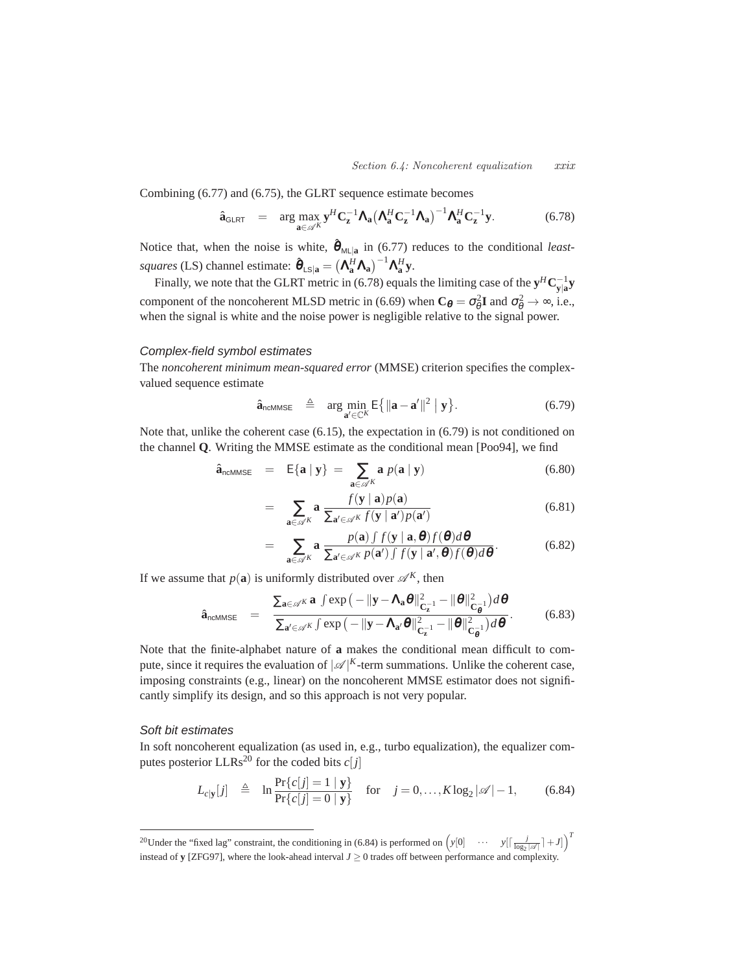Combining (6.77) and (6.75), the GLRT sequence estimate becomes

$$
\hat{\mathbf{a}}_{\text{GLRT}} = \arg \max_{\mathbf{a} \in \mathscr{A}^K} \mathbf{y}^H \mathbf{C}_{\mathbf{z}}^{-1} \mathbf{\Lambda}_{\mathbf{a}} \big( \mathbf{\Lambda}_{\mathbf{a}}^H \mathbf{C}_{\mathbf{z}}^{-1} \mathbf{\Lambda}_{\mathbf{a}} \big)^{-1} \mathbf{\Lambda}_{\mathbf{a}}^H \mathbf{C}_{\mathbf{z}}^{-1} \mathbf{y}.
$$
 (6.78)

Notice that, when the noise is white,  $\hat{\theta}_{ML|a}$  in (6.77) reduces to the conditional *least* $square$  (LS) channel estimate:  $\hat{\boldsymbol{\theta}}_{LS|\mathbf{a}} = (\mathbf{\Lambda}_{\mathbf{a}}^H \mathbf{\Lambda}_{\mathbf{a}})^{-1} \mathbf{\Lambda}_{\mathbf{a}}^H \mathbf{y}$ .

Finally, we note that the GLRT metric in (6.78) equals the limiting case of the  $\mathbf{y}^H \mathbf{C}_{\mathbf{y}|\mathbf{a}}^{-1} \mathbf{y}$ component of the noncoherent MLSD metric in (6.69) when  $C_{\theta} = \sigma_{\theta}^2 I$  and  $\sigma_{\theta}^2 \to \infty$ , i.e., when the signal is white and the noise power is negligible relative to the signal power.

# Complex-field symbol estimates

The *noncoherent minimum mean-squared error* (MMSE) criterion specifies the complexvalued sequence estimate

$$
\hat{\mathbf{a}}_{\text{ncMMSE}} \triangleq \arg \min_{\mathbf{a}' \in \mathbb{C}^K} E\big\{ \|\mathbf{a} - \mathbf{a}'\|^2 \mid \mathbf{y} \big\}. \tag{6.79}
$$

Note that, unlike the coherent case (6.15), the expectation in (6.79) is not conditioned on the channel **Q**. Writing the MMSE estimate as the conditional mean [Poo94], we find

$$
\hat{\mathbf{a}}_{\text{ncMMSE}} = \mathbb{E}\{\mathbf{a} \mid \mathbf{y}\} = \sum_{\mathbf{a} \in \mathscr{A}^K} \mathbf{a} \ p(\mathbf{a} \mid \mathbf{y}) \tag{6.80}
$$

$$
= \sum_{\mathbf{a}\in\mathscr{A}^K} \mathbf{a} \frac{f(\mathbf{y} \mid \mathbf{a})p(\mathbf{a})}{\sum_{\mathbf{a}'\in\mathscr{A}^K} f(\mathbf{y} \mid \mathbf{a}')p(\mathbf{a}')} \tag{6.81}
$$

$$
= \sum_{\mathbf{a}\in\mathscr{A}^K} \mathbf{a} \frac{p(\mathbf{a}) \int f(\mathbf{y} \mid \mathbf{a}, \boldsymbol{\theta}) f(\boldsymbol{\theta}) d\boldsymbol{\theta}}{\sum_{\mathbf{a}'\in\mathscr{A}^K} p(\mathbf{a}') \int f(\mathbf{y} \mid \mathbf{a}', \boldsymbol{\theta}) f(\boldsymbol{\theta}) d\boldsymbol{\theta}}.
$$
(6.82)

If we assume that  $p(\mathbf{a})$  is uniformly distributed over  $\mathscr{A}^K$ , then

$$
\hat{\mathbf{a}}_{\text{ncMMSE}} = \frac{\sum_{\mathbf{a} \in \mathscr{A}^K} \mathbf{a} \int \exp\left(-\|\mathbf{y} - \mathbf{\Lambda}_{\mathbf{a}}\boldsymbol{\theta}\|^2_{\mathbf{C}_{\mathbf{z}}^{-1}} - \|\boldsymbol{\theta}\|^2_{\mathbf{C}_{\mathbf{0}}^{-1}}\right) d\boldsymbol{\theta}}{\sum_{\mathbf{a}' \in \mathscr{A}^K} \int \exp\left(-\|\mathbf{y} - \mathbf{\Lambda}_{\mathbf{a}'}\boldsymbol{\theta}\|^2_{\mathbf{C}_{\mathbf{z}}^{-1}} - \|\boldsymbol{\theta}\|^2_{\mathbf{C}_{\mathbf{0}}^{-1}}\right) d\boldsymbol{\theta}}.
$$
(6.83)

Note that the finite-alphabet nature of **a** makes the conditional mean difficult to compute, since it requires the evaluation of  $|\mathscr{A}|^K$ -term summations. Unlike the coherent case, imposing constraints (e.g., linear) on the noncoherent MMSE estimator does not significantly simplify its design, and so this approach is not very popular.

# Soft bit estimates

In soft noncoherent equalization (as used in, e.g., turbo equalization), the equalizer computes posterior LLRs<sup>20</sup> for the coded bits  $c[j]$ 

$$
L_{c|\mathbf{y}}[j] \triangleq \ln \frac{\Pr\{c[j] = 1 \mid \mathbf{y}\}}{\Pr\{c[j] = 0 \mid \mathbf{y}\}} \quad \text{for} \quad j = 0, \dots, K \log_2 |\mathscr{A}| - 1, \tag{6.84}
$$

<sup>20</sup>Under the "fixed lag" constraint, the conditioning in (6.84) is performed on  $(y[0] \quad \cdots \quad y[\lceil \frac{j}{\log_2 |\mathscr{A}]} + J]$ <sup>T</sup> instead of **y** [ZFG97], where the look-ahead interval  $J \ge 0$  trades off between performance and complexity.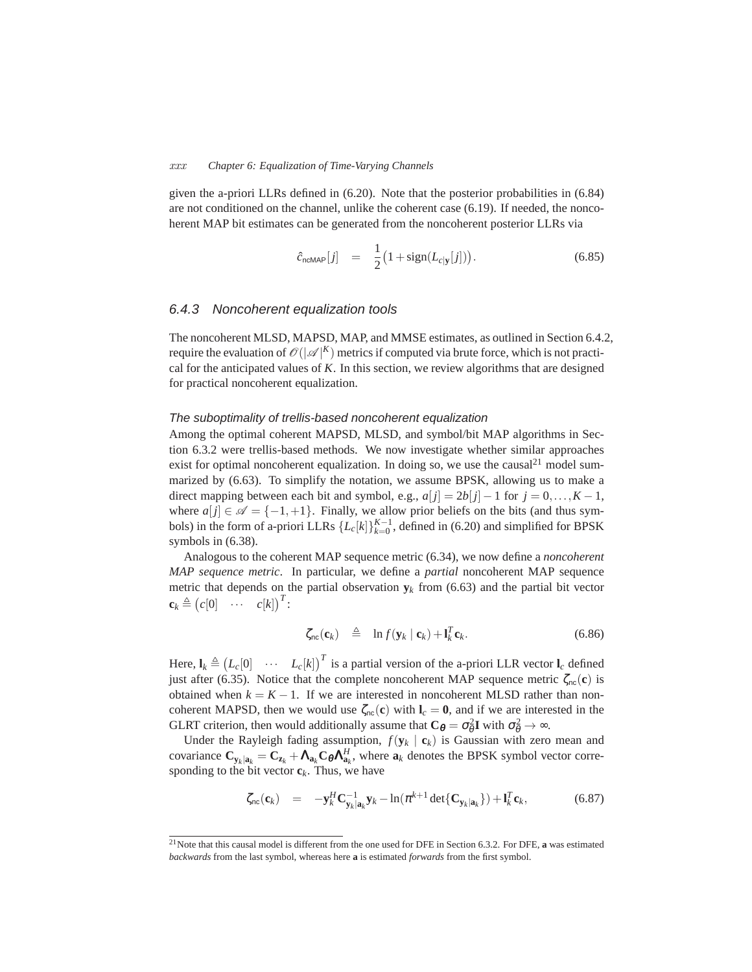#### *xxx Chapter 6: Equalization of Time-Varying Channels*

given the a-priori LLRs defined in (6.20). Note that the posterior probabilities in (6.84) are not conditioned on the channel, unlike the coherent case (6.19). If needed, the noncoherent MAP bit estimates can be generated from the noncoherent posterior LLRs via

$$
\hat{c}_{\text{ncMAP}}[j] = \frac{1}{2} \big( 1 + \text{sign}(L_{c|\mathbf{y}}[j]) \big). \tag{6.85}
$$

# 6.4.3 Noncoherent equalization tools

The noncoherent MLSD, MAPSD, MAP, and MMSE estimates, as outlined in Section 6.4.2, require the evaluation of  $\mathscr{O}(|\mathscr{A}|^K)$  metrics if computed via brute force, which is not practical for the anticipated values of *K*. In this section, we review algorithms that are designed for practical noncoherent equalization.

## The suboptimality of trellis-based noncoherent equalization

Among the optimal coherent MAPSD, MLSD, and symbol/bit MAP algorithms in Section 6.3.2 were trellis-based methods. We now investigate whether similar approaches exist for optimal noncoherent equalization. In doing so, we use the causal<sup>21</sup> model summarized by (6.63). To simplify the notation, we assume BPSK, allowing us to make a direct mapping between each bit and symbol, e.g.,  $a[j] = 2b[j] - 1$  for  $j = 0, \ldots, K - 1$ , where  $a[j] \in \mathscr{A} = \{-1, +1\}$ . Finally, we allow prior beliefs on the bits (and thus symbols) in the form of a-priori LLRs  $\{L_c[k]\}_{k=0}^{K-1}$ , defined in (6.20) and simplified for BPSK symbols in (6.38).

Analogous to the coherent MAP sequence metric (6.34), we now define a *noncoherent MAP sequence metric*. In particular, we define a *partial* noncoherent MAP sequence metric that depends on the partial observation  $y_k$  from (6.63) and the partial bit vector  $\mathbf{c}_k \triangleq (c[0] \cdots c[k])^T$ :

$$
\zeta_{\text{nc}}(\mathbf{c}_k) \triangleq \ln f(\mathbf{y}_k \mid \mathbf{c}_k) + \mathbf{l}_k^T \mathbf{c}_k. \tag{6.86}
$$

Here,  $\mathbf{l}_k \triangleq (L_c[0] \cdots L_c[k])^T$  is a partial version of the a-priori LLR vector  $\mathbf{l}_c$  defined just after (6.35). Notice that the complete noncoherent MAP sequence metric  $\zeta_{nc}(\mathbf{c})$  is obtained when  $k = K - 1$ . If we are interested in noncoherent MLSD rather than noncoherent MAPSD, then we would use  $\zeta_{nc}(c)$  with  $I_c = 0$ , and if we are interested in the GLRT criterion, then would additionally assume that  $C_{\theta} = \sigma_{\theta}^2 I$  with  $\sigma_{\theta}^2 \to \infty$ .

Under the Rayleigh fading assumption,  $f(\mathbf{y}_k | \mathbf{c}_k)$  is Gaussian with zero mean and covariance  $C_{\mathbf{y}_k|\mathbf{a}_k} = C_{\mathbf{z}_k} + \mathbf{\Lambda}_{\mathbf{a}_k} C_{\theta} \mathbf{\Lambda}_{\mathbf{a}_k}^H$ , where  $\mathbf{a}_k$  denotes the BPSK symbol vector corresponding to the bit vector  $\mathbf{c}_k$ . Thus, we have

$$
\zeta_{\rm nc}(\mathbf{c}_k) = -\mathbf{y}_k^H \mathbf{C}_{\mathbf{y}_k|\mathbf{a}_k}^{-1} \mathbf{y}_k - \ln(\pi^{k+1} \det\{\mathbf{C}_{\mathbf{y}_k|\mathbf{a}_k}\}) + \mathbf{l}_k^T \mathbf{c}_k, \tag{6.87}
$$

<sup>21</sup>Note that this causal model is different from the one used for DFE in Section 6.3.2. For DFE, **a** was estimated *backwards* from the last symbol, whereas here **a** is estimated *forwards* from the first symbol.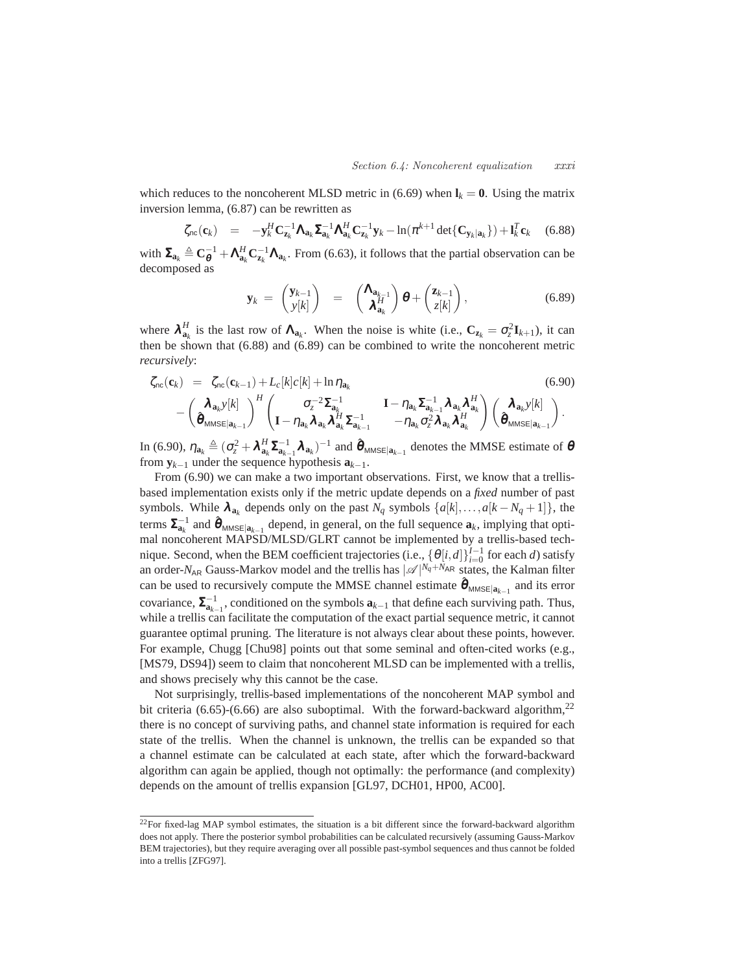which reduces to the noncoherent MLSD metric in (6.69) when  $\mathbf{l}_k = \mathbf{0}$ . Using the matrix inversion lemma, (6.87) can be rewritten as

$$
\zeta_{\rm nc}(\mathbf{c}_k) = -\mathbf{y}_k^H \mathbf{C}_{\mathbf{z}_k}^{-1} \mathbf{\Lambda}_{\mathbf{a}_k} \mathbf{\Sigma}_{\mathbf{a}_k}^{-1} \mathbf{\Lambda}_{\mathbf{a}_k}^H \mathbf{C}_{\mathbf{z}_k}^{-1} \mathbf{y}_k - \ln(\pi^{k+1} \det\{\mathbf{C}_{\mathbf{y}_k|\mathbf{a}_k}\}) + \mathbf{l}_k^T \mathbf{c}_k \quad (6.88)
$$

with  $\Sigma_{a_k} \triangleq C_{\theta}^{-1} + \Lambda_{a_k}^H C_{z_k}^{-1} \Lambda_{a_k}$ . From (6.63), it follows that the partial observation can be decomposed as

$$
\mathbf{y}_k = \begin{pmatrix} \mathbf{y}_{k-1} \\ \mathbf{y}[k] \end{pmatrix} = \begin{pmatrix} \mathbf{\Lambda}_{\mathbf{a}_{k-1}} \\ \mathbf{\lambda}_{\mathbf{a}_k}^H \end{pmatrix} \boldsymbol{\theta} + \begin{pmatrix} \mathbf{z}_{k-1} \\ z[k] \end{pmatrix}, \tag{6.89}
$$

where  $\lambda_{a_k}^H$  is the last row of  $\Lambda_{a_k}$ . When the noise is white (i.e.,  $C_{z_k} = \sigma_z^2 \mathbf{I}_{k+1}$ ), it can then be shown that (6.88) and (6.89) can be combined to write the noncoherent metric *recursively*:

$$
\zeta_{\text{nc}}(\mathbf{c}_{k}) = \zeta_{\text{nc}}(\mathbf{c}_{k-1}) + L_{c}[k]c[k] + \ln \eta_{\mathbf{a}_{k}} \qquad (6.90)
$$
\n
$$
- \left(\frac{\boldsymbol{\lambda}_{\mathbf{a}_{k}}y[k]}{\boldsymbol{\hat{\theta}}_{\text{MMSE}|\mathbf{a}_{k-1}}}\right)^{H} \left(\frac{\sigma_{z}^{-2}\boldsymbol{\Sigma}_{\mathbf{a}_{k}}^{-1}}{\mathbf{I} - \eta_{\mathbf{a}_{k}}\boldsymbol{\lambda}_{\mathbf{a}_{k}}\boldsymbol{\Sigma}_{\mathbf{a}_{k-1}}^{-1}}\mathbf{I} - \eta_{\mathbf{a}_{k}}\boldsymbol{\Sigma}_{\mathbf{a}_{k-1}}^{-1}\boldsymbol{\lambda}_{\mathbf{a}_{k}}\boldsymbol{\lambda}_{\mathbf{a}_{k}}^{H}\right) \left(\frac{\boldsymbol{\lambda}_{\mathbf{a}_{k}}y[k]}{\boldsymbol{\hat{\theta}}_{\text{MMSE}|\mathbf{a}_{k-1}}}\right).
$$

In (6.90),  $\eta_{a_k} \triangleq (\sigma_z^2 + \lambda_{a_k}^H \Sigma_{a_{k-1}}^{-1} \lambda_{a_k})^{-1}$  and  $\hat{\theta}_{MMSE|a_{k-1}}$  denotes the MMSE estimate of  $\theta$ from  $\mathbf{y}_{k-1}$  under the sequence hypothesis  $\mathbf{a}_{k-1}$ .

From (6.90) we can make a two important observations. First, we know that a trellisbased implementation exists only if the metric update depends on a *fixed* number of past symbols. While  $\lambda_{a_k}$  depends only on the past  $N_q$  symbols  $\{a[k],...,a[k-N_q+1]\}$ , the terms  $\sum_{a_k}^{-1}$  and  $\hat{\boldsymbol{\theta}}_{MMSE|a_{k-1}}$  depend, in general, on the full sequence  $\mathbf{a}_k$ , implying that optimal noncoherent MAPSD/MLSD/GLRT cannot be implemented by a trellis-based technique. Second, when the BEM coefficient trajectories (i.e.,  $\{\theta[i, d]\}_{i=0}^{I-1}$  for each *d*) satisfy an order- $N_{AR}$  Gauss-Markov model and the trellis has  $|\mathcal{A}|^{N_q+N_{AR}}$  states, the Kalman filter can be used to recursively compute the MMSE channel estimate  $\hat{\theta}_{MMSE|a_{k-1}}$  and its error covariance,  $\sum_{a_{k-1}}^{-1}$ , conditioned on the symbols  $a_{k-1}$  that define each surviving path. Thus, while a trellis can facilitate the computation of the exact partial sequence metric, it cannot guarantee optimal pruning. The literature is not always clear about these points, however. For example, Chugg [Chu98] points out that some seminal and often-cited works (e.g., [MS79, DS94]) seem to claim that noncoherent MLSD can be implemented with a trellis, and shows precisely why this cannot be the case.

Not surprisingly, trellis-based implementations of the noncoherent MAP symbol and bit criteria (6.65)-(6.66) are also suboptimal. With the forward-backward algorithm,  $^{22}$ there is no concept of surviving paths, and channel state information is required for each state of the trellis. When the channel is unknown, the trellis can be expanded so that a channel estimate can be calculated at each state, after which the forward-backward algorithm can again be applied, though not optimally: the performance (and complexity) depends on the amount of trellis expansion [GL97, DCH01, HP00, AC00].

 $^{22}$ For fixed-lag MAP symbol estimates, the situation is a bit different since the forward-backward algorithm does not apply. There the posterior symbol probabilities can be calculated recursively (assuming Gauss-Markov BEM trajectories), but they require averaging over all possible past-symbol sequences and thus cannot be folded into a trellis [ZFG97].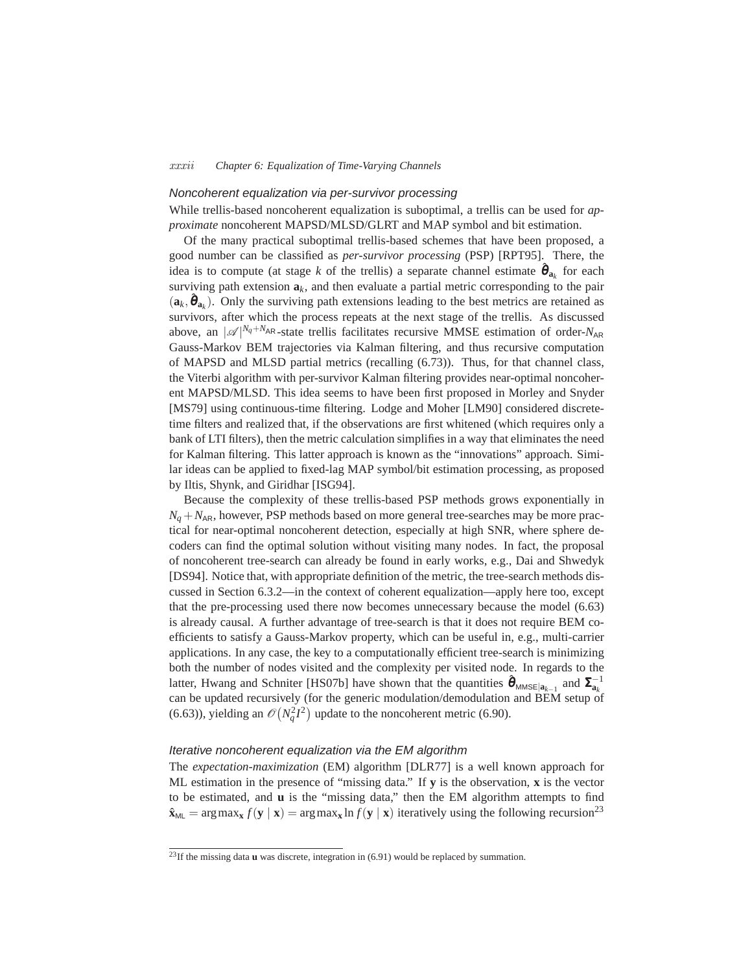### *xxxii Chapter 6: Equalization of Time-Varying Channels*

## Noncoherent equalization via per-survivor processing

While trellis-based noncoherent equalization is suboptimal, a trellis can be used for *approximate* noncoherent MAPSD/MLSD/GLRT and MAP symbol and bit estimation.

Of the many practical suboptimal trellis-based schemes that have been proposed, a good number can be classified as *per-survivor processing* (PSP) [RPT95]. There, the idea is to compute (at stage *k* of the trellis) a separate channel estimate  $\hat{\theta}_{a_k}$  for each surviving path extension  $a_k$ , and then evaluate a partial metric corresponding to the pair  $(a_k, \hat{\theta}_{a_k})$ . Only the surviving path extensions leading to the best metrics are retained as survivors, after which the process repeats at the next stage of the trellis. As discussed above, an  $|\mathcal{A}|^{N_q+N_{AR}}$ -state trellis facilitates recursive MMSE estimation of order- $N_{AR}$ Gauss-Markov BEM trajectories via Kalman filtering, and thus recursive computation of MAPSD and MLSD partial metrics (recalling (6.73)). Thus, for that channel class, the Viterbi algorithm with per-survivor Kalman filtering provides near-optimal noncoherent MAPSD/MLSD. This idea seems to have been first proposed in Morley and Snyder [MS79] using continuous-time filtering. Lodge and Moher [LM90] considered discretetime filters and realized that, if the observations are first whitened (which requires only a bank of LTI filters), then the metric calculation simplifies in a way that eliminates the need for Kalman filtering. This latter approach is known as the "innovations" approach. Similar ideas can be applied to fixed-lag MAP symbol/bit estimation processing, as proposed by Iltis, Shynk, and Giridhar [ISG94].

Because the complexity of these trellis-based PSP methods grows exponentially in  $N_q + N_{AR}$ , however, PSP methods based on more general tree-searches may be more practical for near-optimal noncoherent detection, especially at high SNR, where sphere decoders can find the optimal solution without visiting many nodes. In fact, the proposal of noncoherent tree-search can already be found in early works, e.g., Dai and Shwedyk [DS94]. Notice that, with appropriate definition of the metric, the tree-search methods discussed in Section 6.3.2—in the context of coherent equalization—apply here too, except that the pre-processing used there now becomes unnecessary because the model (6.63) is already causal. A further advantage of tree-search is that it does not require BEM coefficients to satisfy a Gauss-Markov property, which can be useful in, e.g., multi-carrier applications. In any case, the key to a computationally efficient tree-search is minimizing both the number of nodes visited and the complexity per visited node. In regards to the latter, Hwang and Schniter [HS07b] have shown that the quantities  $\hat{\boldsymbol{\theta}}_{MMSE|a_{k-1}}$  and  $\Sigma_{a_k}^{-1}$ can be updated recursively (for the generic modulation/demodulation and BEM setup of (6.63)), yielding an  $\mathcal{O}(N_q^2I^2)$  update to the noncoherent metric (6.90).

## Iterative noncoherent equalization via the EM algorithm

The *expectation-maximization* (EM) algorithm [DLR77] is a well known approach for ML estimation in the presence of "missing data." If **y** is the observation, **x** is the vector to be estimated, and **u** is the "missing data," then the EM algorithm attempts to find  $\hat{\mathbf{x}}_{\text{ML}} = \arg \max_{\mathbf{x}} f(\mathbf{y} | \mathbf{x}) = \arg \max_{\mathbf{x}} \ln f(\mathbf{y} | \mathbf{x})$  iteratively using the following recursion<sup>23</sup>

<sup>23</sup>If the missing data **u** was discrete, integration in (6.91) would be replaced by summation.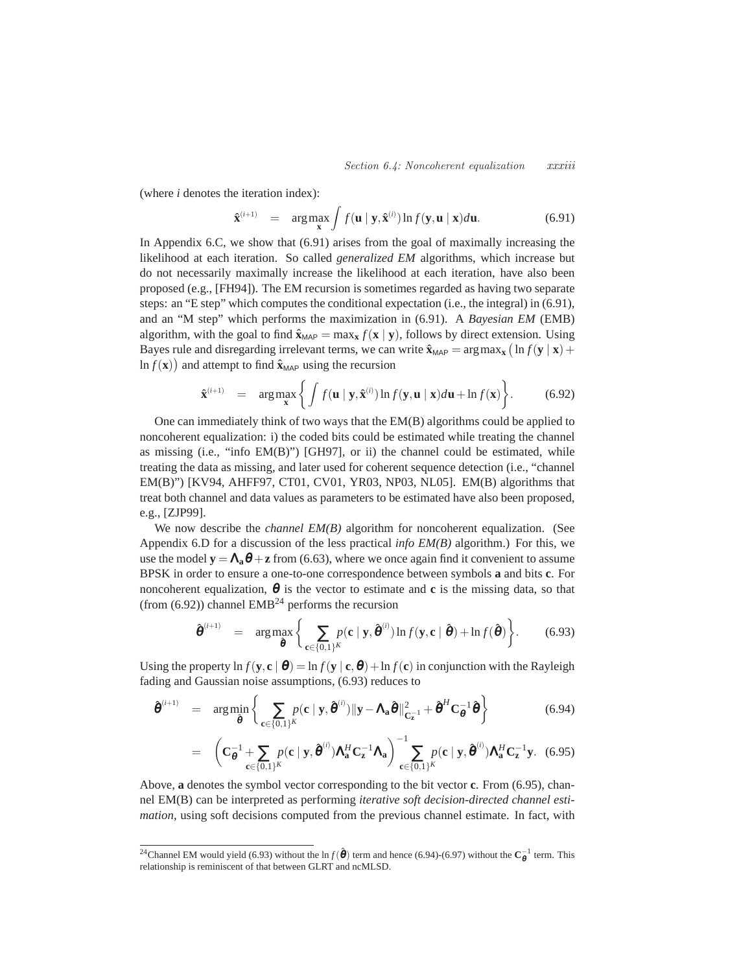*Section 6.4: Noncoherent equalization xxxiii*

(where *i* denotes the iteration index):

$$
\hat{\mathbf{x}}^{(i+1)} = \arg \max_{\mathbf{x}} \int f(\mathbf{u} \mid \mathbf{y}, \hat{\mathbf{x}}^{(i)}) \ln f(\mathbf{y}, \mathbf{u} \mid \mathbf{x}) d\mathbf{u}.
$$
 (6.91)

In Appendix 6.C, we show that (6.91) arises from the goal of maximally increasing the likelihood at each iteration. So called *generalized EM* algorithms, which increase but do not necessarily maximally increase the likelihood at each iteration, have also been proposed (e.g., [FH94]). The EM recursion is sometimes regarded as having two separate steps: an "E step" which computes the conditional expectation (i.e., the integral) in (6.91), and an "M step" which performs the maximization in (6.91). A *Bayesian EM* (EMB) algorithm, with the goal to find  $\hat{\mathbf{x}}_{MAP} = \max_{\mathbf{x}} f(\mathbf{x} | \mathbf{y})$ , follows by direct extension. Using Bayes rule and disregarding irrelevant terms, we can write  $\hat{\mathbf{x}}_{MAP} = \arg \max_{\mathbf{x}} (\ln f(\mathbf{y} \mid \mathbf{x}) +$  $\ln f(\mathbf{x})$  and attempt to find  $\hat{\mathbf{x}}_{MAP}$  using the recursion

$$
\hat{\mathbf{x}}^{(i+1)} = \arg \max_{\mathbf{x}} \left\{ \int f(\mathbf{u} \mid \mathbf{y}, \hat{\mathbf{x}}^{(i)}) \ln f(\mathbf{y}, \mathbf{u} \mid \mathbf{x}) d\mathbf{u} + \ln f(\mathbf{x}) \right\}.
$$
 (6.92)

One can immediately think of two ways that the EM(B) algorithms could be applied to noncoherent equalization: i) the coded bits could be estimated while treating the channel as missing (i.e., "info EM(B)") [GH97], or ii) the channel could be estimated, while treating the data as missing, and later used for coherent sequence detection (i.e., "channel EM(B)") [KV94, AHFF97, CT01, CV01, YR03, NP03, NL05]. EM(B) algorithms that treat both channel and data values as parameters to be estimated have also been proposed, e.g., [ZJP99].

We now describe the *channel EM(B)* algorithm for noncoherent equalization. (See Appendix 6.D for a discussion of the less practical *info EM(B)* algorithm.) For this, we use the model  $y = \Lambda_a \theta + z$  from (6.63), where we once again find it convenient to assume BPSK in order to ensure a one-to-one correspondence between symbols **a** and bits **c**. For noncoherent equalization,  $\theta$  is the vector to estimate and **c** is the missing data, so that (from  $(6.92)$ ) channel EMB<sup>24</sup> performs the recursion

$$
\hat{\boldsymbol{\theta}}^{(i+1)} = \arg \max_{\hat{\boldsymbol{\theta}}} \left\{ \sum_{\mathbf{c} \in \{0,1\}^K} p(\mathbf{c} \mid \mathbf{y}, \hat{\boldsymbol{\theta}}^{(i)}) \ln f(\mathbf{y}, \mathbf{c} \mid \hat{\boldsymbol{\theta}}) + \ln f(\hat{\boldsymbol{\theta}}) \right\}.
$$
 (6.93)

Using the property  $\ln f(\mathbf{y}, \mathbf{c} \mid \boldsymbol{\theta}) = \ln f(\mathbf{y} \mid \mathbf{c}, \boldsymbol{\theta}) + \ln f(\mathbf{c})$  in conjunction with the Rayleigh fading and Gaussian noise assumptions, (6.93) reduces to

$$
\hat{\boldsymbol{\theta}}^{(i+1)} = \arg \min_{\hat{\boldsymbol{\theta}}} \left\{ \sum_{\mathbf{c} \in \{0,1\}^K} p(\mathbf{c} \mid \mathbf{y}, \hat{\boldsymbol{\theta}}^{(i)}) \|\mathbf{y} - \mathbf{\Lambda}_\mathbf{a} \hat{\boldsymbol{\theta}}\|_{\mathbf{C}_{\mathbf{z}}^{-1}}^2 + \hat{\boldsymbol{\theta}}^H \mathbf{C}_{\boldsymbol{\theta}}^{-1} \hat{\boldsymbol{\theta}} \right\}
$$
(6.94)

$$
= \left( \mathbf{C}_{\boldsymbol{\theta}}^{-1} + \sum_{\mathbf{c} \in \{0,1\}^K} p(\mathbf{c} \mid \mathbf{y}, \hat{\boldsymbol{\theta}}^{(i)}) \mathbf{\Lambda}_{\mathbf{a}}^H \mathbf{C}_{\mathbf{z}}^{-1} \mathbf{\Lambda}_{\mathbf{a}} \right) - \sum_{\mathbf{c} \in \{0,1\}^K} p(\mathbf{c} \mid \mathbf{y}, \hat{\boldsymbol{\theta}}^{(i)}) \mathbf{\Lambda}_{\mathbf{a}}^H \mathbf{C}_{\mathbf{z}}^{-1} \mathbf{y}.
$$
 (6.95)

Above, **a** denotes the symbol vector corresponding to the bit vector **c**. From (6.95), channel EM(B) can be interpreted as performing *iterative soft decision-directed channel estimation*, using soft decisions computed from the previous channel estimate. In fact, with

<sup>&</sup>lt;sup>24</sup>Channel EM would yield (6.93) without the ln  $f(\hat{\theta})$  term and hence (6.94)-(6.97) without the  $C_{\theta}^{-1}$  term. This relationship is reminiscent of that between GLRT and ncMLSD.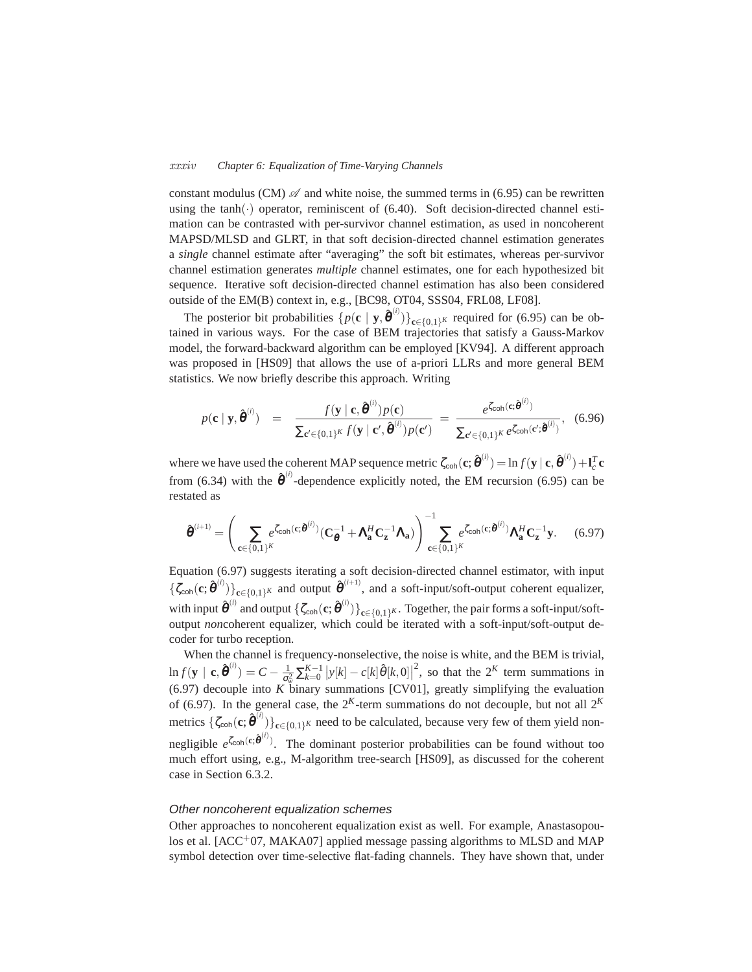#### *xxxiv Chapter 6: Equalization of Time-Varying Channels*

constant modulus (CM)  $\mathscr A$  and white noise, the summed terms in (6.95) can be rewritten using the  $tanh(\cdot)$  operator, reminiscent of (6.40). Soft decision-directed channel estimation can be contrasted with per-survivor channel estimation, as used in noncoherent MAPSD/MLSD and GLRT, in that soft decision-directed channel estimation generates a *single* channel estimate after "averaging" the soft bit estimates, whereas per-survivor channel estimation generates *multiple* channel estimates, one for each hypothesized bit sequence. Iterative soft decision-directed channel estimation has also been considered outside of the EM(B) context in, e.g., [BC98, OT04, SSS04, FRL08, LF08].

The posterior bit probabilities  $\{p(\mathbf{c} \mid \mathbf{y}, \hat{\boldsymbol{\theta}}^{(i)})\}_{\mathbf{c} \in \{0,1\}^K}$  required for (6.95) can be obtained in various ways. For the case of BEM trajectories that satisfy a Gauss-Markov model, the forward-backward algorithm can be employed [KV94]. A different approach was proposed in [HS09] that allows the use of a-priori LLRs and more general BEM statistics. We now briefly describe this approach. Writing

$$
p(\mathbf{c} \mid \mathbf{y}, \hat{\boldsymbol{\theta}}^{(i)}) = \frac{f(\mathbf{y} \mid \mathbf{c}, \hat{\boldsymbol{\theta}}^{(i)}) p(\mathbf{c})}{\sum_{\mathbf{c}' \in \{0,1\}^K} f(\mathbf{y} \mid \mathbf{c}', \hat{\boldsymbol{\theta}}^{(i)}) p(\mathbf{c}')} = \frac{e^{\zeta_{\text{coh}}(\mathbf{c}; \hat{\boldsymbol{\theta}}^{(i)})}}{\sum_{\mathbf{c}' \in \{0,1\}^K} e^{\zeta_{\text{coh}}(\mathbf{c}'; \hat{\boldsymbol{\theta}}^{(i)})}}, \quad (6.96)
$$

where we have used the coherent MAP sequence metric  $\zeta_{\text{coh}}(\mathbf{c};\hat{\boldsymbol{\theta}}^{(i)}) = \ln f(\mathbf{y} \mid \mathbf{c}, \hat{\boldsymbol{\theta}}^{(i)}) + \mathbf{l}_{c}^{T} \mathbf{c}$ from (6.34) with the  $\hat{\boldsymbol{\theta}}^{(i)}$ -dependence explicitly noted, the EM recursion (6.95) can be restated as

$$
\hat{\boldsymbol{\theta}}^{(i+1)} = \left(\sum_{\mathbf{c} \in \{0,1\}^K} e^{\zeta_{\mathsf{coh}}(\mathbf{c}; \hat{\boldsymbol{\theta}}^{(i)})} (\mathbf{C}_{\boldsymbol{\theta}}^{-1} + \mathbf{\Lambda}_{\mathbf{a}}^H \mathbf{C}_{\mathbf{z}}^{-1} \mathbf{\Lambda}_{\mathbf{a}})\right)^{-1} \sum_{\mathbf{c} \in \{0,1\}^K} e^{\zeta_{\mathsf{coh}}(\mathbf{c}; \hat{\boldsymbol{\theta}}^{(i)})} \mathbf{\Lambda}_{\mathbf{a}}^H \mathbf{C}_{\mathbf{z}}^{-1} \mathbf{y}.
$$
 (6.97)

Equation (6.97) suggests iterating a soft decision-directed channel estimator, with input  ${\{\zeta_{\text{coh}}(\mathbf{c};\hat{\boldsymbol{\theta}}^{(i)})\}}_{\mathbf{c}\in\{0,1\}^K}$  and output  $\hat{\boldsymbol{\theta}}^{(i+1)}$ , and a soft-input/soft-output coherent equalizer, with input  $\hat{\boldsymbol{\theta}}^{(i)}$  and output  $\{\zeta_{\text{coh}}(\mathbf{c};\hat{\boldsymbol{\theta}}^{(i)})\}_{\mathbf{c}\in\{0,1\}^K}$ . Together, the pair forms a soft-input/softoutput *noncoherent equalizer*, which could be iterated with a soft-input/soft-output decoder for turbo reception.

When the channel is frequency-nonselective, the noise is white, and the BEM is trivial,  $\ln f(\mathbf{y} \mid \mathbf{c}, \hat{\theta}^{(i)}) = C - \frac{1}{\sigma_w^2} \sum_{k=0}^{K-1} |y[k] - c[k] \hat{\theta}[k, 0]|^2$ , so that the 2<sup>K</sup> term summations in  $(6.97)$  decouple into *K* binary summations [CV01], greatly simplifying the evaluation of (6.97). In the general case, the  $2^{K}$ -term summations do not decouple, but not all  $2^{K}$ metrics  $\{\zeta_{coh}(\mathbf{c};\hat{\boldsymbol{\theta}}^{(i)})\}_{\mathbf{c}\in\{0,1\}^K}$  need to be calculated, because very few of them yield nonnegligible  $e^{\zeta_{\text{coh}}(c;\hat{\theta}^{(i)})}$ . The dominant posterior probabilities can be found without too much effort using, e.g., M-algorithm tree-search [HS09], as discussed for the coherent case in Section 6.3.2.

#### Other noncoherent equalization schemes

Other approaches to noncoherent equalization exist as well. For example, Anastasopoulos et al.  $[ACC^+07, MAKA07]$  applied message passing algorithms to MLSD and MAP symbol detection over time-selective flat-fading channels. They have shown that, under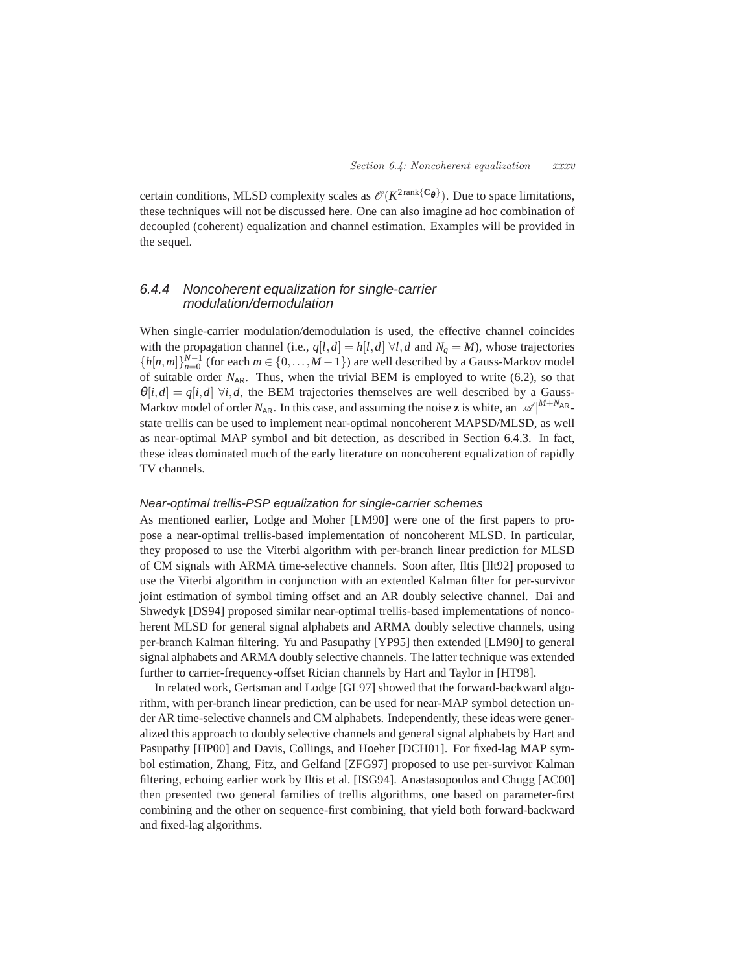certain conditions, MLSD complexity scales as  $\mathcal{O}(K^{2\text{rank}\{\mathbb{C}_{\theta}\}})$ . Due to space limitations, these techniques will not be discussed here. One can also imagine ad hoc combination of decoupled (coherent) equalization and channel estimation. Examples will be provided in the sequel.

# 6.4.4 Noncoherent equalization for single-carrier modulation/demodulation

When single-carrier modulation/demodulation is used, the effective channel coincides with the propagation channel (i.e.,  $q[l,d] = h[l,d] \forall l, d$  and  $N_q = M$ ), whose trajectories  ${h[n,m]}_{n=0}^{N-1}$  (for each  $m \in \{0,\ldots,M-1\}$ ) are well described by a Gauss-Markov model of suitable order  $N_{AR}$ . Thus, when the trivial BEM is employed to write (6.2), so that  $\theta[i, d] = q[i, d] \forall i, d$ , the BEM trajectories themselves are well described by a Gauss-Markov model of order  $N_{AR}$ . In this case, and assuming the noise **z** is white, an  $|\mathcal{A}|^{M+N_{AR}}$ . state trellis can be used to implement near-optimal noncoherent MAPSD/MLSD, as well as near-optimal MAP symbol and bit detection, as described in Section 6.4.3. In fact, these ideas dominated much of the early literature on noncoherent equalization of rapidly TV channels.

## Near-optimal trellis-PSP equalization for single-carrier schemes

As mentioned earlier, Lodge and Moher [LM90] were one of the first papers to propose a near-optimal trellis-based implementation of noncoherent MLSD. In particular, they proposed to use the Viterbi algorithm with per-branch linear prediction for MLSD of CM signals with ARMA time-selective channels. Soon after, Iltis [Ilt92] proposed to use the Viterbi algorithm in conjunction with an extended Kalman filter for per-survivor joint estimation of symbol timing offset and an AR doubly selective channel. Dai and Shwedyk [DS94] proposed similar near-optimal trellis-based implementations of noncoherent MLSD for general signal alphabets and ARMA doubly selective channels, using per-branch Kalman filtering. Yu and Pasupathy [YP95] then extended [LM90] to general signal alphabets and ARMA doubly selective channels. The latter technique was extended further to carrier-frequency-offset Rician channels by Hart and Taylor in [HT98].

In related work, Gertsman and Lodge [GL97] showed that the forward-backward algorithm, with per-branch linear prediction, can be used for near-MAP symbol detection under AR time-selective channels and CM alphabets. Independently, these ideas were generalized this approach to doubly selective channels and general signal alphabets by Hart and Pasupathy [HP00] and Davis, Collings, and Hoeher [DCH01]. For fixed-lag MAP symbol estimation, Zhang, Fitz, and Gelfand [ZFG97] proposed to use per-survivor Kalman filtering, echoing earlier work by Iltis et al. [ISG94]. Anastasopoulos and Chugg [AC00] then presented two general families of trellis algorithms, one based on parameter-first combining and the other on sequence-first combining, that yield both forward-backward and fixed-lag algorithms.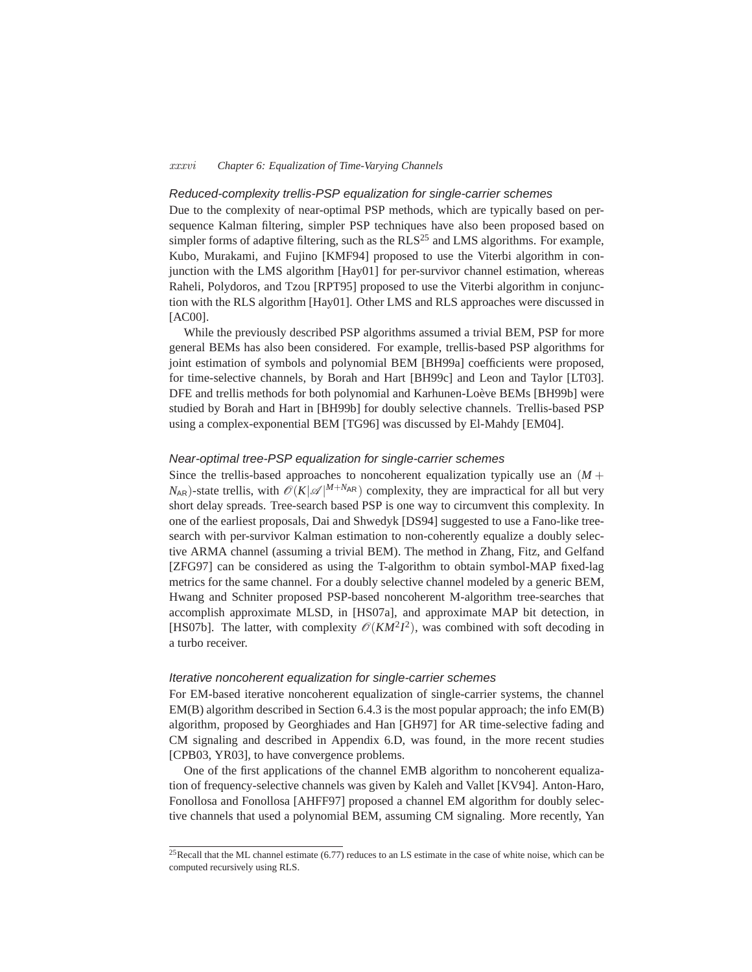#### *xxxvi Chapter 6: Equalization of Time-Varying Channels*

## Reduced-complexity trellis-PSP equalization for single-carrier schemes

Due to the complexity of near-optimal PSP methods, which are typically based on persequence Kalman filtering, simpler PSP techniques have also been proposed based on simpler forms of adaptive filtering, such as the  $RLS<sup>25</sup>$  and LMS algorithms. For example, Kubo, Murakami, and Fujino [KMF94] proposed to use the Viterbi algorithm in conjunction with the LMS algorithm [Hay01] for per-survivor channel estimation, whereas Raheli, Polydoros, and Tzou [RPT95] proposed to use the Viterbi algorithm in conjunction with the RLS algorithm [Hay01]. Other LMS and RLS approaches were discussed in [AC00].

While the previously described PSP algorithms assumed a trivial BEM, PSP for more general BEMs has also been considered. For example, trellis-based PSP algorithms for joint estimation of symbols and polynomial BEM [BH99a] coefficients were proposed, for time-selective channels, by Borah and Hart [BH99c] and Leon and Taylor [LT03]. DFE and trellis methods for both polynomial and Karhunen-Loève BEMs [BH99b] were studied by Borah and Hart in [BH99b] for doubly selective channels. Trellis-based PSP using a complex-exponential BEM [TG96] was discussed by El-Mahdy [EM04].

## Near-optimal tree-PSP equalization for single-carrier schemes

Since the trellis-based approaches to noncoherent equalization typically use an  $(M +$  $N_{AR}$ )-state trellis, with  $\mathcal{O}(K|\mathcal{A}|^{M+N_{AR}})$  complexity, they are impractical for all but very short delay spreads. Tree-search based PSP is one way to circumvent this complexity. In one of the earliest proposals, Dai and Shwedyk [DS94] suggested to use a Fano-like treesearch with per-survivor Kalman estimation to non-coherently equalize a doubly selective ARMA channel (assuming a trivial BEM). The method in Zhang, Fitz, and Gelfand [ZFG97] can be considered as using the T-algorithm to obtain symbol-MAP fixed-lag metrics for the same channel. For a doubly selective channel modeled by a generic BEM, Hwang and Schniter proposed PSP-based noncoherent M-algorithm tree-searches that accomplish approximate MLSD, in [HS07a], and approximate MAP bit detection, in [HS07b]. The latter, with complexity  $\mathcal{O}(KM^2I^2)$ , was combined with soft decoding in a turbo receiver.

#### Iterative noncoherent equalization for single-carrier schemes

For EM-based iterative noncoherent equalization of single-carrier systems, the channel EM(B) algorithm described in Section 6.4.3 is the most popular approach; the info EM(B) algorithm, proposed by Georghiades and Han [GH97] for AR time-selective fading and CM signaling and described in Appendix 6.D, was found, in the more recent studies [CPB03, YR03], to have convergence problems.

One of the first applications of the channel EMB algorithm to noncoherent equalization of frequency-selective channels was given by Kaleh and Vallet [KV94]. Anton-Haro, Fonollosa and Fonollosa [AHFF97] proposed a channel EM algorithm for doubly selective channels that used a polynomial BEM, assuming CM signaling. More recently, Yan

 $^{25}$ Recall that the ML channel estimate (6.77) reduces to an LS estimate in the case of white noise, which can be computed recursively using RLS.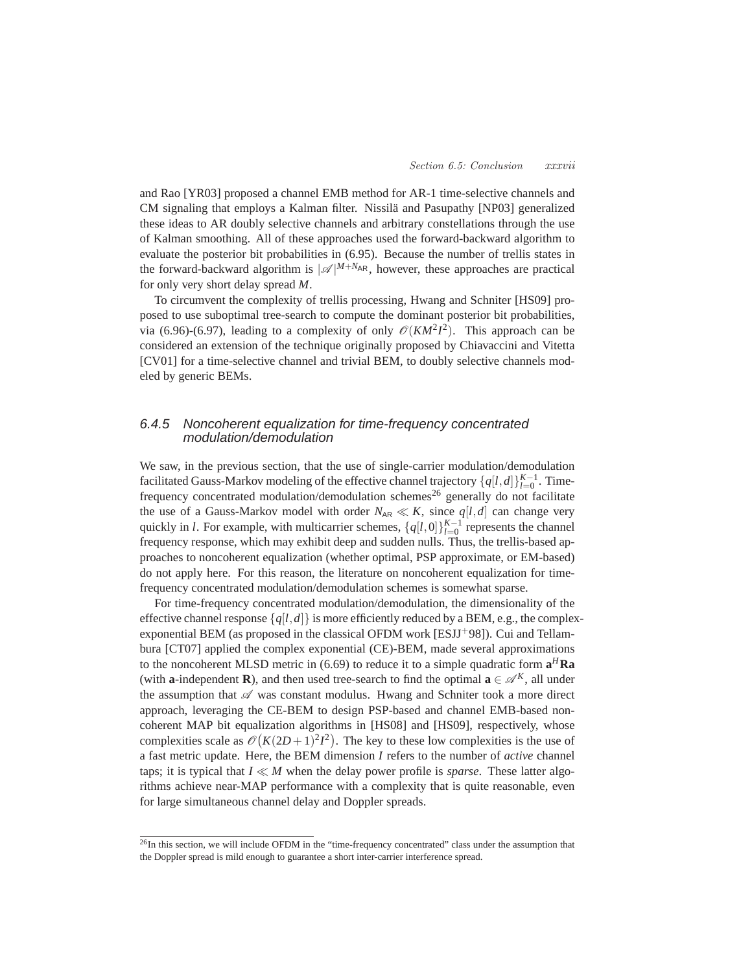and Rao [YR03] proposed a channel EMB method for AR-1 time-selective channels and CM signaling that employs a Kalman filter. Nissilä and Pasupathy [NP03] generalized these ideas to AR doubly selective channels and arbitrary constellations through the use of Kalman smoothing. All of these approaches used the forward-backward algorithm to evaluate the posterior bit probabilities in (6.95). Because the number of trellis states in the forward-backward algorithm is  $|\mathcal{A}|^{M+N_{AR}}$ , however, these approaches are practical for only very short delay spread *M*.

To circumvent the complexity of trellis processing, Hwang and Schniter [HS09] proposed to use suboptimal tree-search to compute the dominant posterior bit probabilities, via (6.96)-(6.97), leading to a complexity of only  $\mathcal{O}(KM^2I^2)$ . This approach can be considered an extension of the technique originally proposed by Chiavaccini and Vitetta [CV01] for a time-selective channel and trivial BEM, to doubly selective channels modeled by generic BEMs.

# 6.4.5 Noncoherent equalization for time-frequency concentrated modulation/demodulation

We saw, in the previous section, that the use of single-carrier modulation/demodulation facilitated Gauss-Markov modeling of the effective channel trajectory  $\{q[l,d]\}_{l=0}^{K-1}$ . Timefrequency concentrated modulation/demodulation schemes<sup>26</sup> generally do not facilitate the use of a Gauss-Markov model with order  $N_{AR} \ll K$ , since  $q[l,d]$  can change very quickly in *l*. For example, with multicarrier schemes,  $\{q[l,0]\}_{l=0}^{K-1}$  represents the channel frequency response, which may exhibit deep and sudden nulls. Thus, the trellis-based approaches to noncoherent equalization (whether optimal, PSP approximate, or EM-based) do not apply here. For this reason, the literature on noncoherent equalization for timefrequency concentrated modulation/demodulation schemes is somewhat sparse.

For time-frequency concentrated modulation/demodulation, the dimensionality of the effective channel response  $\{q[l,d]\}\$ is more efficiently reduced by a BEM, e.g., the complexexponential BEM (as proposed in the classical OFDM work [ESJJ<sup>+98]</sup>). Cui and Tellambura [CT07] applied the complex exponential (CE)-BEM, made several approximations to the noncoherent MLSD metric in (6.69) to reduce it to a simple quadratic form **a** *<sup>H</sup>***Ra** (with **a**-independent **R**), and then used tree-search to find the optimal  $\mathbf{a} \in \mathcal{A}^K$ , all under the assumption that  $\mathscr A$  was constant modulus. Hwang and Schniter took a more direct approach, leveraging the CE-BEM to design PSP-based and channel EMB-based noncoherent MAP bit equalization algorithms in [HS08] and [HS09], respectively, whose complexities scale as  $\mathcal{O}(K(2D+1)^2I^2)$ . The key to these low complexities is the use of a fast metric update. Here, the BEM dimension *I* refers to the number of *active* channel taps; it is typical that  $I \ll M$  when the delay power profile is *sparse*. These latter algorithms achieve near-MAP performance with a complexity that is quite reasonable, even for large simultaneous channel delay and Doppler spreads.

<sup>&</sup>lt;sup>26</sup>In this section, we will include OFDM in the "time-frequency concentrated" class under the assumption that the Doppler spread is mild enough to guarantee a short inter-carrier interference spread.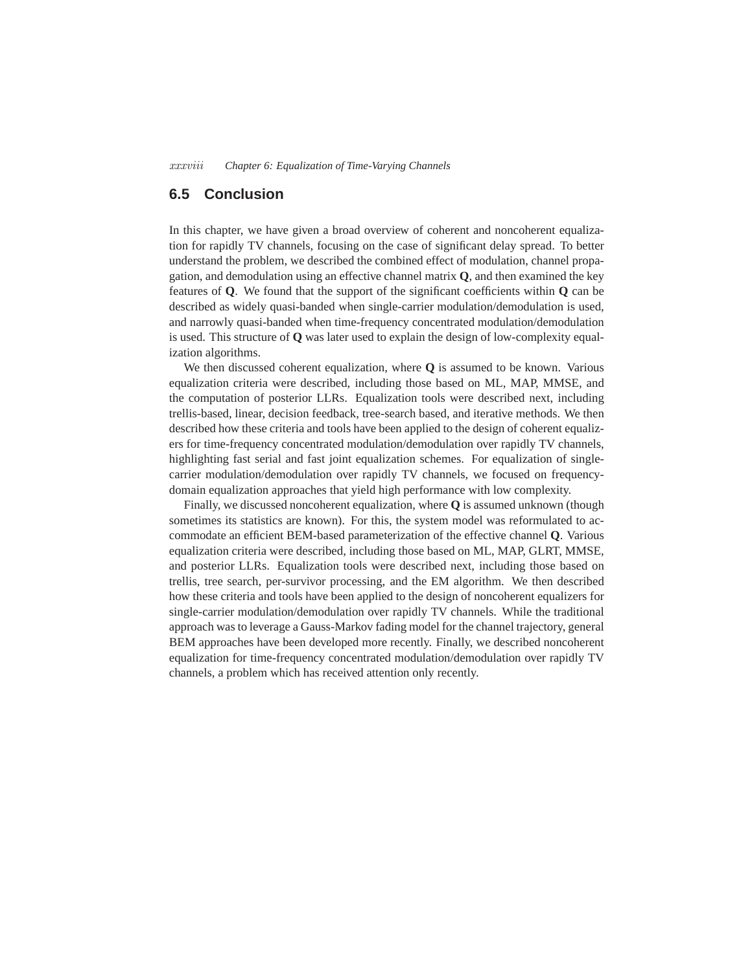*xxxviii Chapter 6: Equalization of Time-Varying Channels*

# **6.5 Conclusion**

In this chapter, we have given a broad overview of coherent and noncoherent equalization for rapidly TV channels, focusing on the case of significant delay spread. To better understand the problem, we described the combined effect of modulation, channel propagation, and demodulation using an effective channel matrix **Q**, and then examined the key features of **Q**. We found that the support of the significant coefficients within **Q** can be described as widely quasi-banded when single-carrier modulation/demodulation is used, and narrowly quasi-banded when time-frequency concentrated modulation/demodulation is used. This structure of **Q** was later used to explain the design of low-complexity equalization algorithms.

We then discussed coherent equalization, where **Q** is assumed to be known. Various equalization criteria were described, including those based on ML, MAP, MMSE, and the computation of posterior LLRs. Equalization tools were described next, including trellis-based, linear, decision feedback, tree-search based, and iterative methods. We then described how these criteria and tools have been applied to the design of coherent equalizers for time-frequency concentrated modulation/demodulation over rapidly TV channels, highlighting fast serial and fast joint equalization schemes. For equalization of singlecarrier modulation/demodulation over rapidly TV channels, we focused on frequencydomain equalization approaches that yield high performance with low complexity.

Finally, we discussed noncoherent equalization, where **Q** is assumed unknown (though sometimes its statistics are known). For this, the system model was reformulated to accommodate an efficient BEM-based parameterization of the effective channel **Q**. Various equalization criteria were described, including those based on ML, MAP, GLRT, MMSE, and posterior LLRs. Equalization tools were described next, including those based on trellis, tree search, per-survivor processing, and the EM algorithm. We then described how these criteria and tools have been applied to the design of noncoherent equalizers for single-carrier modulation/demodulation over rapidly TV channels. While the traditional approach was to leverage a Gauss-Markov fading model for the channel trajectory, general BEM approaches have been developed more recently. Finally, we described noncoherent equalization for time-frequency concentrated modulation/demodulation over rapidly TV channels, a problem which has received attention only recently.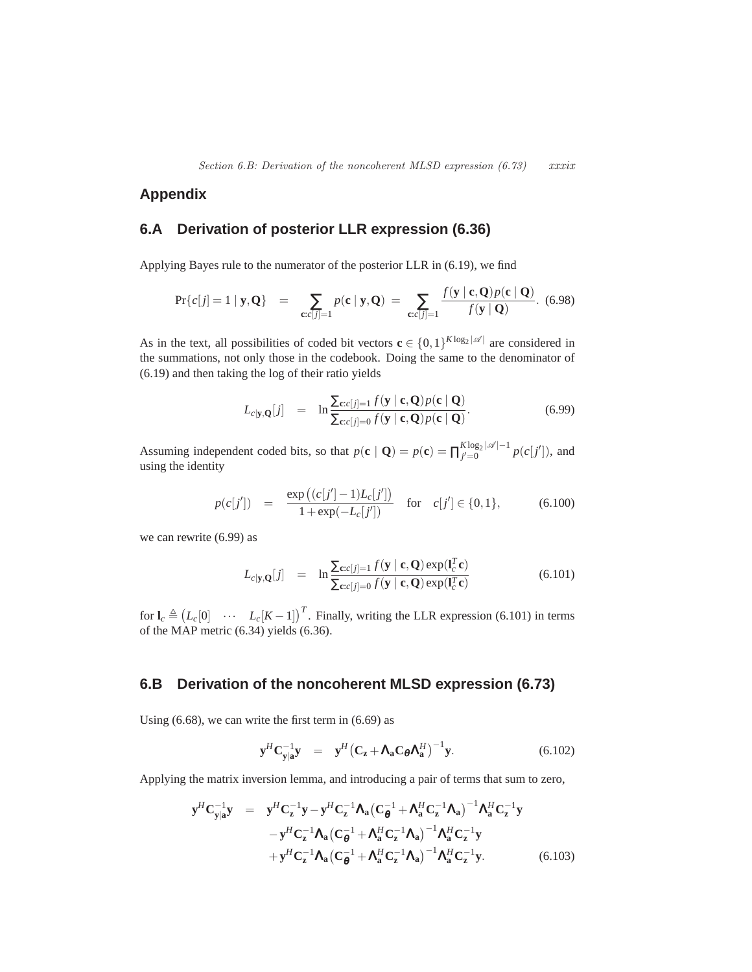# **Appendix**

# **6.A Derivation of posterior LLR expression (6.36)**

Applying Bayes rule to the numerator of the posterior LLR in (6.19), we find

$$
\Pr\{c[j]=1\mid \mathbf{y},\mathbf{Q}\} \quad = \quad \sum_{\mathbf{c}:c[j]=1} p(\mathbf{c}\mid \mathbf{y},\mathbf{Q}) \; = \; \sum_{\mathbf{c}:c[j]=1} \frac{f(\mathbf{y}\mid \mathbf{c},\mathbf{Q})p(\mathbf{c}\mid \mathbf{Q})}{f(\mathbf{y}\mid \mathbf{Q})}. \tag{6.98}
$$

As in the text, all possibilities of coded bit vectors  $\mathbf{c} \in \{0,1\}^{K \log_2 |\mathscr{A}|}$  are considered in the summations, not only those in the codebook. Doing the same to the denominator of (6.19) and then taking the log of their ratio yields

$$
L_{c|\mathbf{y},\mathbf{Q}}[j] = \ln \frac{\sum_{\mathbf{c}:c[j]=1} f(\mathbf{y} \mid \mathbf{c}, \mathbf{Q}) p(\mathbf{c} \mid \mathbf{Q})}{\sum_{\mathbf{c}:c[j]=0} f(\mathbf{y} \mid \mathbf{c}, \mathbf{Q}) p(\mathbf{c} \mid \mathbf{Q})}.
$$
(6.99)

Assuming independent coded bits, so that  $p(\mathbf{c} \mid \mathbf{Q}) = p(\mathbf{c}) = \prod_{j'=0}^{K \log_2 |\mathscr{A}| - 1} p(c[j'])$ , and using the identity

$$
p(c[j']) = \frac{\exp((c[j'] - 1)L_c[j'])}{1 + \exp(-L_c[j'])} \quad \text{for} \quad c[j'] \in \{0, 1\},\tag{6.100}
$$

we can rewrite (6.99) as

$$
L_{c|\mathbf{y},\mathbf{Q}}[j] = \ln \frac{\sum_{\mathbf{c}:c[j]=1} f(\mathbf{y} \mid \mathbf{c}, \mathbf{Q}) \exp(\mathbf{l}_c^T \mathbf{c})}{\sum_{\mathbf{c}:c[j]=0} f(\mathbf{y} \mid \mathbf{c}, \mathbf{Q}) \exp(\mathbf{l}_c^T \mathbf{c})}
$$
(6.101)

for  $\mathbf{l}_c \triangleq (L_c[0] \cdots L_c[K-1])^T$ . Finally, writing the LLR expression (6.101) in terms of the MAP metric (6.34) yields (6.36).

# **6.B Derivation of the noncoherent MLSD expression (6.73)**

Using (6.68), we can write the first term in (6.69) as

$$
\mathbf{y}^H \mathbf{C}_{\mathbf{y}|\mathbf{a}}^{-1} \mathbf{y} = \mathbf{y}^H \left( \mathbf{C}_\mathbf{z} + \mathbf{\Lambda}_\mathbf{a} \mathbf{C}_\theta \mathbf{\Lambda}_\mathbf{a}^H \right)^{-1} \mathbf{y}.
$$
 (6.102)

Applying the matrix inversion lemma, and introducing a pair of terms that sum to zero,

$$
\mathbf{y}^{H}\mathbf{C}_{\mathbf{y}|\mathbf{a}}^{-1}\mathbf{y} = \mathbf{y}^{H}\mathbf{C}_{\mathbf{z}}^{-1}\mathbf{y} - \mathbf{y}^{H}\mathbf{C}_{\mathbf{z}}^{-1}\mathbf{\Lambda}_{\mathbf{a}}\left(\mathbf{C}_{\mathbf{\theta}}^{-1} + \mathbf{\Lambda}_{\mathbf{a}}^{H}\mathbf{C}_{\mathbf{z}}^{-1}\mathbf{\Lambda}_{\mathbf{a}}\right)^{-1}\mathbf{\Lambda}_{\mathbf{a}}^{H}\mathbf{C}_{\mathbf{z}}^{-1}\mathbf{y} \n- \mathbf{y}^{H}\mathbf{C}_{\mathbf{z}}^{-1}\mathbf{\Lambda}_{\mathbf{a}}\left(\mathbf{C}_{\mathbf{\theta}}^{-1} + \mathbf{\Lambda}_{\mathbf{a}}^{H}\mathbf{C}_{\mathbf{z}}^{-1}\mathbf{\Lambda}_{\mathbf{a}}\right)^{-1}\mathbf{\Lambda}_{\mathbf{a}}^{H}\mathbf{C}_{\mathbf{z}}^{-1}\mathbf{y} \n+ \mathbf{y}^{H}\mathbf{C}_{\mathbf{z}}^{-1}\mathbf{\Lambda}_{\mathbf{a}}\left(\mathbf{C}_{\mathbf{\theta}}^{-1} + \mathbf{\Lambda}_{\mathbf{a}}^{H}\mathbf{C}_{\mathbf{z}}^{-1}\mathbf{\Lambda}_{\mathbf{a}}\right)^{-1}\mathbf{\Lambda}_{\mathbf{a}}^{H}\mathbf{C}_{\mathbf{z}}^{-1}\mathbf{y}.
$$
\n(6.103)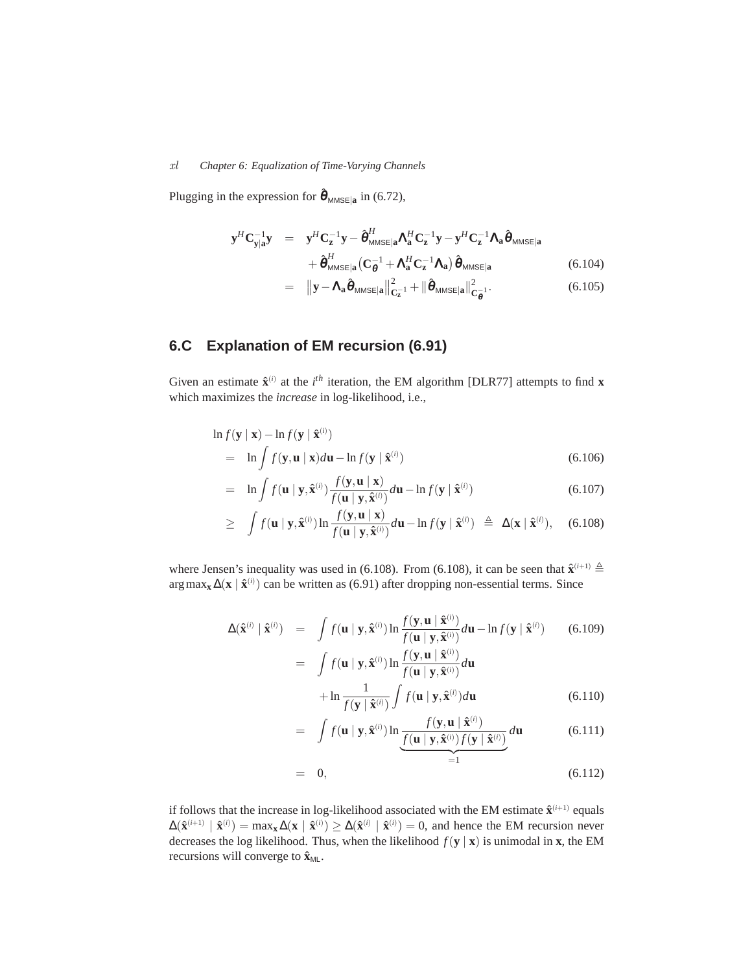# *xl Chapter 6: Equalization of Time-Varying Channels*

Plugging in the expression for  $\hat{\theta}_{MMSE|a}$  in (6.72),

$$
\mathbf{y}^{H}\mathbf{C}_{\mathbf{y}|\mathbf{a}}^{-1}\mathbf{y} = \mathbf{y}^{H}\mathbf{C}_{\mathbf{z}}^{-1}\mathbf{y} - \hat{\boldsymbol{\theta}}_{MMSE|\mathbf{a}}^{H}\mathbf{\Lambda}_{\mathbf{a}}^{H}\mathbf{C}_{\mathbf{z}}^{-1}\mathbf{y} - \mathbf{y}^{H}\mathbf{C}_{\mathbf{z}}^{-1}\mathbf{\Lambda}_{\mathbf{a}}\hat{\boldsymbol{\theta}}_{MMSE|\mathbf{a}} + \hat{\boldsymbol{\theta}}_{MMSE|\mathbf{a}}^{H}(\mathbf{C}_{\boldsymbol{\theta}}^{-1} + \mathbf{\Lambda}_{\mathbf{a}}^{H}\mathbf{C}_{\mathbf{z}}^{-1}\mathbf{\Lambda}_{\mathbf{a}})\hat{\boldsymbol{\theta}}_{MMSE|\mathbf{a}}
$$
(6.104)

$$
= \|\mathbf{y} - \mathbf{\Lambda}_{\mathbf{a}}\hat{\boldsymbol{\theta}}_{MMSE|\mathbf{a}}\|_{\mathbf{C}_{\mathbf{z}}^{-1}}^2 + \|\hat{\boldsymbol{\theta}}_{MMSE|\mathbf{a}}\|_{\mathbf{C}_{\mathbf{\theta}}^{-1}}^2. \tag{6.105}
$$

# **6.C Explanation of EM recursion (6.91)**

Given an estimate  $\hat{\mathbf{x}}^{(i)}$  at the *i*<sup>th</sup> iteration, the EM algorithm [DLR77] attempts to find **x** which maximizes the *increase* in log-likelihood, i.e.,

$$
\ln f(\mathbf{y} \mid \mathbf{x}) - \ln f(\mathbf{y} \mid \hat{\mathbf{x}}^{(i)})
$$
  
= 
$$
\ln \int f(\mathbf{y}, \mathbf{u} \mid \mathbf{x}) d\mathbf{u} - \ln f(\mathbf{y} \mid \hat{\mathbf{x}}^{(i)})
$$
(6.106)

$$
= \ln \int f(\mathbf{u} \mid \mathbf{y}, \hat{\mathbf{x}}^{(i)}) \frac{f(\mathbf{y}, \mathbf{u} \mid \mathbf{x})}{f(\mathbf{u} \mid \mathbf{y}, \hat{\mathbf{x}}^{(i)})} d\mathbf{u} - \ln f(\mathbf{y} \mid \hat{\mathbf{x}}^{(i)})
$$
(6.107)

$$
\geq \int f(\mathbf{u} \mid \mathbf{y}, \hat{\mathbf{x}}^{(i)}) \ln \frac{f(\mathbf{y}, \mathbf{u} \mid \mathbf{x})}{f(\mathbf{u} \mid \mathbf{y}, \hat{\mathbf{x}}^{(i)})} d\mathbf{u} - \ln f(\mathbf{y} \mid \hat{\mathbf{x}}^{(i)}) \triangleq \Delta(\mathbf{x} \mid \hat{\mathbf{x}}^{(i)}), \quad (6.108)
$$

where Jensen's inequality was used in (6.108). From (6.108), it can be seen that  $\hat{\mathbf{x}}^{(i+1)} \triangleq$ arg max<sub>x</sub> ∆(x |  $\hat{\mathbf{x}}^{(i)}$ ) can be written as (6.91) after dropping non-essential terms. Since

$$
\Delta(\hat{\mathbf{x}}^{(i)} \mid \hat{\mathbf{x}}^{(i)}) = \int f(\mathbf{u} \mid \mathbf{y}, \hat{\mathbf{x}}^{(i)}) \ln \frac{f(\mathbf{y}, \mathbf{u} \mid \hat{\mathbf{x}}^{(i)})}{f(\mathbf{u} \mid \mathbf{y}, \hat{\mathbf{x}}^{(i)})} d\mathbf{u} - \ln f(\mathbf{y} \mid \hat{\mathbf{x}}^{(i)})
$$
(6.109)

$$
= \int f(\mathbf{u} \mid \mathbf{y}, \hat{\mathbf{x}}^{(i)}) \ln \frac{f(\mathbf{y}, \mathbf{u} \mid \hat{\mathbf{x}}^{(i)})}{f(\mathbf{u} \mid \mathbf{y}, \hat{\mathbf{x}}^{(i)})} d\mathbf{u}
$$

$$
+ \ln \frac{1}{f(\mathbf{y} \mid \hat{\mathbf{x}}^{(i)})} \int f(\mathbf{u} \mid \mathbf{y}, \hat{\mathbf{x}}^{(i)}) d\mathbf{u}
$$
(6.110)

$$
= \int f(\mathbf{u} \mid \mathbf{y}, \hat{\mathbf{x}}^{(i)}) \ln \underbrace{\frac{f(\mathbf{y}, \mathbf{u} \mid \hat{\mathbf{x}}^{(i)})}{f(\mathbf{u} \mid \mathbf{y}, \hat{\mathbf{x}}^{(i)}) f(\mathbf{y} \mid \hat{\mathbf{x}}^{(i)})}_{=1} d\mathbf{u}
$$
(6.111)

$$
= 0, \qquad \qquad = 1 \tag{6.112}
$$

if follows that the increase in log-likelihood associated with the EM estimate  $\hat{\mathbf{x}}^{(i+1)}$  equals  $\Delta(\hat{\mathbf{x}}^{(i+1)} | \hat{\mathbf{x}}^{(i)}) = \max_{\mathbf{x}} \Delta(\mathbf{x} | \hat{\mathbf{x}}^{(i)}) \ge \Delta(\hat{\mathbf{x}}^{(i)} | \hat{\mathbf{x}}^{(i)}) = 0$ , and hence the EM recursion never decreases the log likelihood. Thus, when the likelihood  $f(\mathbf{y} | \mathbf{x})$  is unimodal in **x**, the EM recursions will converge to  $\hat{\mathbf{x}}_{ML}$ .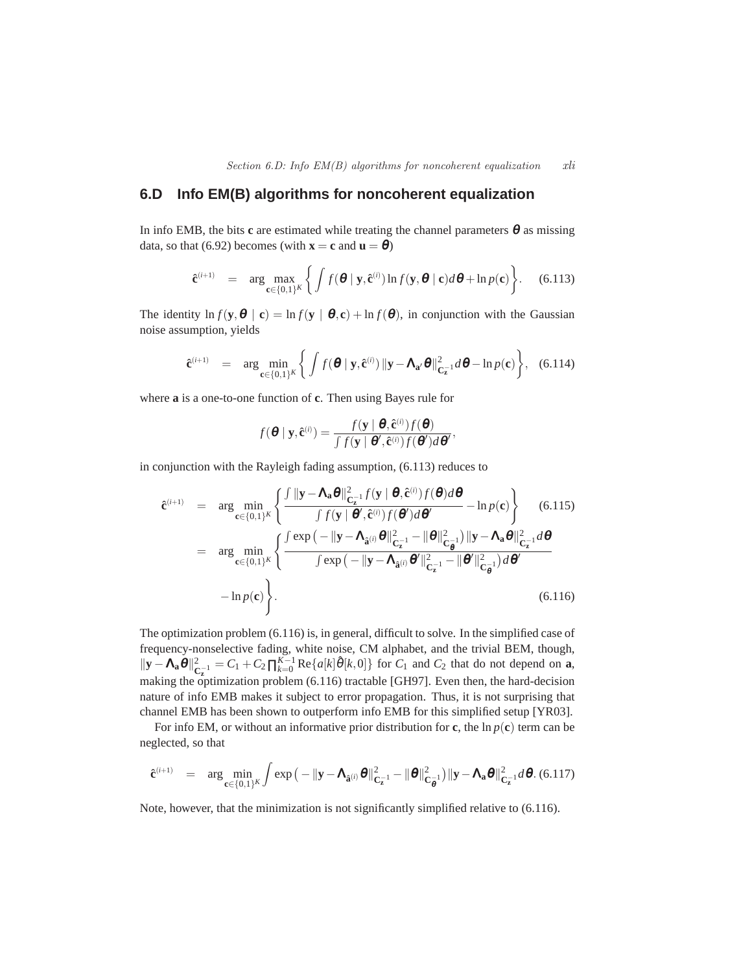# **6.D Info EM(B) algorithms for noncoherent equalization**

In info EMB, the bits  $\bf{c}$  are estimated while treating the channel parameters  $\bf{\theta}$  as missing data, so that (6.92) becomes (with  $\mathbf{x} = \mathbf{c}$  and  $\mathbf{u} = \boldsymbol{\theta}$ )

$$
\hat{\mathbf{c}}^{(i+1)} = \arg \max_{\mathbf{c} \in \{0,1\}^K} \left\{ \int f(\boldsymbol{\theta} \mid \mathbf{y}, \hat{\mathbf{c}}^{(i)}) \ln f(\mathbf{y}, \boldsymbol{\theta} \mid \mathbf{c}) d\boldsymbol{\theta} + \ln p(\mathbf{c}) \right\}.
$$
 (6.113)

The identity  $\ln f(\mathbf{y}, \mathbf{\theta} \mid \mathbf{c}) = \ln f(\mathbf{y} \mid \mathbf{\theta}, \mathbf{c}) + \ln f(\mathbf{\theta})$ , in conjunction with the Gaussian noise assumption, yields

$$
\hat{\mathbf{c}}^{(i+1)} = \arg \min_{\mathbf{c} \in \{0,1\}^K} \left\{ \int f(\boldsymbol{\theta} \mid \mathbf{y}, \hat{\mathbf{c}}^{(i)}) \|\mathbf{y} - \mathbf{\Lambda}_{\mathbf{a}'} \boldsymbol{\theta}\|_{\mathbf{C}_{\mathbf{z}}^{-1}}^2 d\boldsymbol{\theta} - \ln p(\mathbf{c}) \right\}, \quad (6.114)
$$

where **a** is a one-to-one function of **c**. Then using Bayes rule for

$$
f(\boldsymbol{\theta} \mid \mathbf{y}, \mathbf{\hat{c}}^{(i)}) = \frac{f(\mathbf{y} \mid \boldsymbol{\theta}, \mathbf{\hat{c}}^{(i)}) f(\boldsymbol{\theta})}{\int f(\mathbf{y} \mid \boldsymbol{\theta}', \mathbf{\hat{c}}^{(i)}) f(\boldsymbol{\theta}') d\boldsymbol{\theta}'},
$$

in conjunction with the Rayleigh fading assumption, (6.113) reduces to

$$
\hat{\mathbf{c}}^{(i+1)} = \arg \min_{\mathbf{c} \in \{0,1\}^K} \left\{ \frac{\int ||\mathbf{y} - \mathbf{\Lambda}_\mathbf{a} \boldsymbol{\theta}||_{\mathbf{C}_\mathbf{z}^{-1}}^2 f(\mathbf{y} \mid \boldsymbol{\theta}, \hat{\mathbf{c}}^{(i)}) f(\boldsymbol{\theta}) d\boldsymbol{\theta}}{\int f(\mathbf{y} \mid \boldsymbol{\theta}', \hat{\mathbf{c}}^{(i)}) f(\boldsymbol{\theta}') d\boldsymbol{\theta}'} - \ln p(\mathbf{c}) \right\} \quad (6.115)
$$
\n
$$
= \arg \min_{\mathbf{c} \in \{0,1\}^K} \left\{ \frac{\int \exp\left(-\|\mathbf{y} - \mathbf{\Lambda}_{\hat{\mathbf{a}}^{(i)}} \boldsymbol{\theta}\|_{\mathbf{C}_\mathbf{z}^{-1}}^2 - \|\boldsymbol{\theta}\|_{\mathbf{C}_\mathbf{g}^{-1}}^2\right) \|\mathbf{y} - \mathbf{\Lambda}_\mathbf{a} \boldsymbol{\theta}\|_{\mathbf{C}_\mathbf{z}^{-1}}^2 d\boldsymbol{\theta}}{\int \exp\left(-\|\mathbf{y} - \mathbf{\Lambda}_{\hat{\mathbf{a}}^{(i)}} \boldsymbol{\theta}'\|_{\mathbf{C}_\mathbf{z}^{-1}}^2 - \|\boldsymbol{\theta}'\|_{\mathbf{C}_\mathbf{g}^{-1}}^2\right) d\boldsymbol{\theta}'} - \ln p(\mathbf{c}) \right\}.
$$
\n
$$
(6.116)
$$

The optimization problem (6.116) is, in general, difficult to solve. In the simplified case of frequency-nonselective fading, white noise, CM alphabet, and the trivial BEM, though,  $\|\mathbf{y}-\mathbf{\Lambda_a\theta}\|_{\mathbf{C}}^2$  $C_{\mathbf{z}}^{-1} = C_1 + C_2 \prod_{k=0}^{K-1} \text{Re} \{a[k] \hat{\theta}[k,0] \}$  for  $C_1$  and  $C_2$  that do not depend on **a**, making the optimization problem (6.116) tractable [GH97]. Even then, the hard-decision nature of info EMB makes it subject to error propagation. Thus, it is not surprising that channel EMB has been shown to outperform info EMB for this simplified setup [YR03].

For info EM, or without an informative prior distribution for **c**, the  $\ln p(\mathbf{c})$  term can be neglected, so that

$$
\hat{\mathbf{c}}^{(i+1)} = \arg \min_{\mathbf{c} \in \{0,1\}^K} \int \exp \big( - \|\mathbf{y} - \mathbf{\Lambda}_{\hat{\mathbf{a}}^{(i)}} \boldsymbol{\theta} \|_{\mathbf{C}_{\mathbf{z}}^{-1}}^2 - \| \boldsymbol{\theta} \|_{\mathbf{C}_{\mathbf{\theta}}^{-1}}^2 \big) \|\mathbf{y} - \mathbf{\Lambda}_{\mathbf{a}} \boldsymbol{\theta} \|_{\mathbf{C}_{\mathbf{z}}^{-1}}^2 d \boldsymbol{\theta}. \tag{6.117}
$$

Note, however, that the minimization is not significantly simplified relative to (6.116).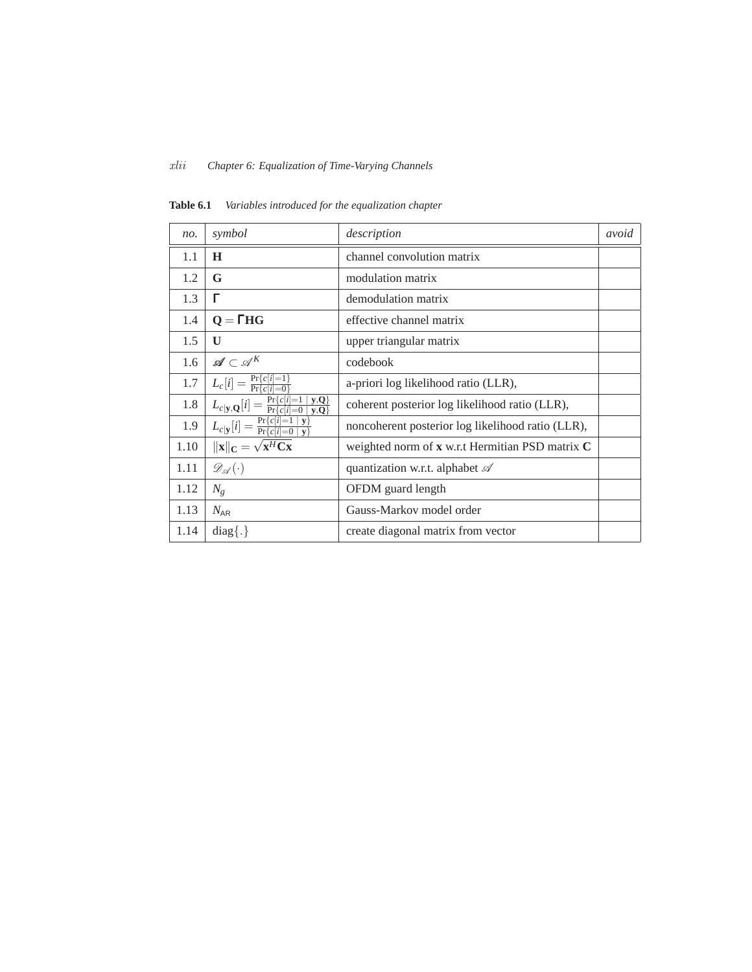# *xlii Chapter 6: Equalization of Time-Varying Channels*

| no.  | symbol                                                                    | description                                       | avoid |
|------|---------------------------------------------------------------------------|---------------------------------------------------|-------|
| 1.1  | H                                                                         | channel convolution matrix                        |       |
| 1.2  | G                                                                         | modulation matrix                                 |       |
| 1.3  | г                                                                         | demodulation matrix                               |       |
| 1.4  | $Q = THG$                                                                 | effective channel matrix                          |       |
| 1.5  | U                                                                         | upper triangular matrix                           |       |
| 1.6  | $\mathscr{A} \subset \mathscr{A}^K$                                       | codebook                                          |       |
| 1.7  | $L_c[i] = \frac{\Pr\{c[i] = 1\}}{\Pr\{c[i] = 0\}}$                        | a-priori log likelihood ratio (LLR),              |       |
| 1.8  | $L_{c y,Q}[i] = \frac{\Pr\{c[i]=1   y,Q\}}{\Pr\{c[i]=0   y,Q\}}$          | coherent posterior log likelihood ratio (LLR),    |       |
| 1.9  | $L_{c y}[i] = \frac{\Pr\{c[i]=1 y\}}{\Pr\{c[i]=0 y\}}$                    | noncoherent posterior log likelihood ratio (LLR), |       |
| 1.10 | $\ \mathbf{x}\ _{\mathbf{C}} = \sqrt{\mathbf{x}^H \mathbf{C} \mathbf{x}}$ | weighted norm of x w.r.t Hermitian PSD matrix C   |       |
| 1.11 | $\mathscr{D}_{\mathscr{A}}(\cdot)$                                        | quantization w.r.t. alphabet $\mathscr A$         |       |
| 1.12 | $N_g$                                                                     | OFDM guard length                                 |       |
| 1.13 | $N_{AR}$                                                                  | Gauss-Markov model order                          |       |
| 1.14 | $diag\{.\}$                                                               | create diagonal matrix from vector                |       |

**Table 6.1** *Variables introduced for the equalization chapter*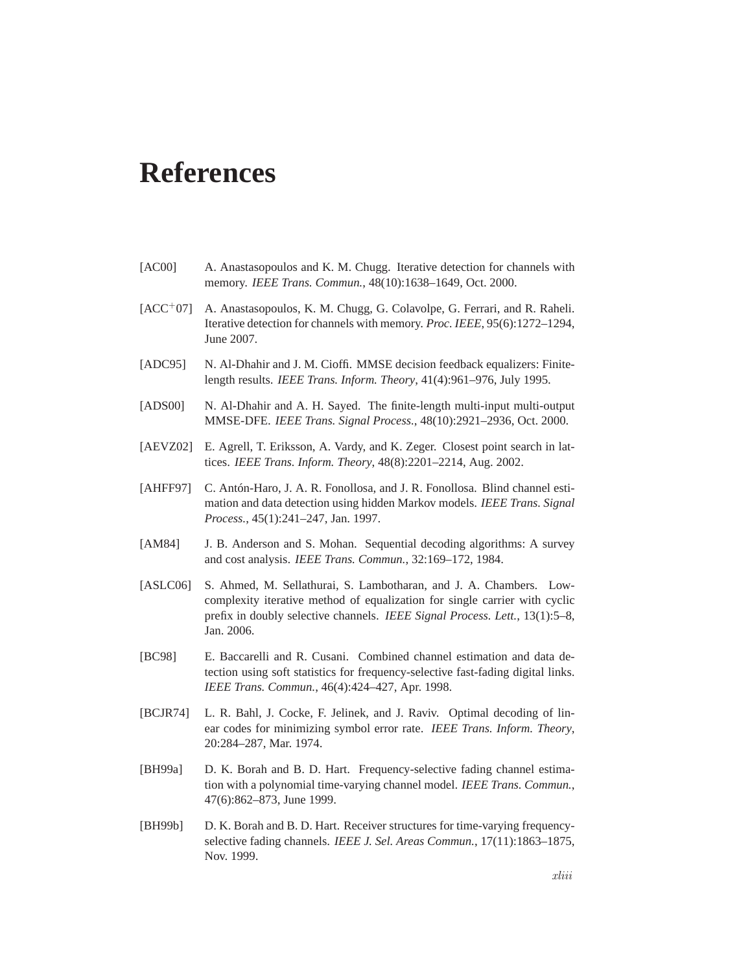# **References**

- [AC00] A. Anastasopoulos and K. M. Chugg. Iterative detection for channels with memory. *IEEE Trans. Commun.*, 48(10):1638–1649, Oct. 2000.
- [ACC<sup>+</sup>07] A. Anastasopoulos, K. M. Chugg, G. Colavolpe, G. Ferrari, and R. Raheli. Iterative detection for channels with memory. *Proc. IEEE*, 95(6):1272–1294, June 2007.
- [ADC95] N. Al-Dhahir and J. M. Cioffi. MMSE decision feedback equalizers: Finitelength results. *IEEE Trans. Inform. Theory*, 41(4):961–976, July 1995.
- [ADS00] N. Al-Dhahir and A. H. Sayed. The finite-length multi-input multi-output MMSE-DFE. *IEEE Trans. Signal Process.*, 48(10):2921–2936, Oct. 2000.
- [AEVZ02] E. Agrell, T. Eriksson, A. Vardy, and K. Zeger. Closest point search in lattices. *IEEE Trans. Inform. Theory*, 48(8):2201–2214, Aug. 2002.
- [AHFF97] C. Antón-Haro, J. A. R. Fonollosa, and J. R. Fonollosa. Blind channel estimation and data detection using hidden Markov models. *IEEE Trans. Signal Process.*, 45(1):241–247, Jan. 1997.
- [AM84] J. B. Anderson and S. Mohan. Sequential decoding algorithms: A survey and cost analysis. *IEEE Trans. Commun.*, 32:169–172, 1984.
- [ASLC06] S. Ahmed, M. Sellathurai, S. Lambotharan, and J. A. Chambers. Lowcomplexity iterative method of equalization for single carrier with cyclic prefix in doubly selective channels. *IEEE Signal Process. Lett.*, 13(1):5–8, Jan. 2006.
- [BC98] E. Baccarelli and R. Cusani. Combined channel estimation and data detection using soft statistics for frequency-selective fast-fading digital links. *IEEE Trans. Commun.*, 46(4):424–427, Apr. 1998.
- [BCJR74] L. R. Bahl, J. Cocke, F. Jelinek, and J. Raviv. Optimal decoding of linear codes for minimizing symbol error rate. *IEEE Trans. Inform. Theory*, 20:284–287, Mar. 1974.
- [BH99a] D. K. Borah and B. D. Hart. Frequency-selective fading channel estimation with a polynomial time-varying channel model. *IEEE Trans. Commun.*, 47(6):862–873, June 1999.
- [BH99b] D. K. Borah and B. D. Hart. Receiver structures for time-varying frequencyselective fading channels. *IEEE J. Sel. Areas Commun.*, 17(11):1863–1875, Nov. 1999.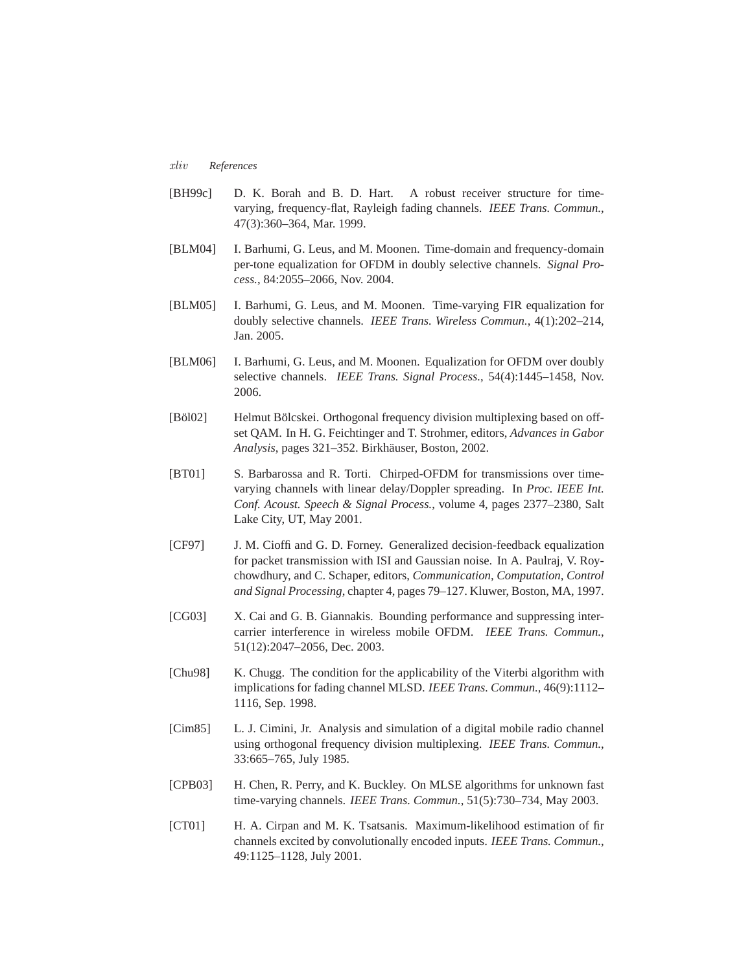#### *xliv References*

- [BH99c] D. K. Borah and B. D. Hart. A robust receiver structure for timevarying, frequency-flat, Rayleigh fading channels. *IEEE Trans. Commun.*, 47(3):360–364, Mar. 1999.
- [BLM04] I. Barhumi, G. Leus, and M. Moonen. Time-domain and frequency-domain per-tone equalization for OFDM in doubly selective channels. *Signal Process.*, 84:2055–2066, Nov. 2004.
- [BLM05] I. Barhumi, G. Leus, and M. Moonen. Time-varying FIR equalization for doubly selective channels. *IEEE Trans. Wireless Commun.*, 4(1):202–214, Jan. 2005.
- [BLM06] I. Barhumi, G. Leus, and M. Moonen. Equalization for OFDM over doubly selective channels. *IEEE Trans. Signal Process.*, 54(4):1445–1458, Nov. 2006.
- [Böl02] Helmut Bölcskei. Orthogonal frequency division multiplexing based on offset QAM. In H. G. Feichtinger and T. Strohmer, editors, *Advances in Gabor Analysis*, pages 321–352. Birkhäuser, Boston, 2002.
- [BT01] S. Barbarossa and R. Torti. Chirped-OFDM for transmissions over timevarying channels with linear delay/Doppler spreading. In *Proc. IEEE Int. Conf. Acoust. Speech & Signal Process.*, volume 4, pages 2377–2380, Salt Lake City, UT, May 2001.
- [CF97] J. M. Cioffi and G. D. Forney. Generalized decision-feedback equalization for packet transmission with ISI and Gaussian noise. In A. Paulraj, V. Roychowdhury, and C. Schaper, editors, *Communication, Computation, Control and Signal Processing*, chapter 4, pages 79–127. Kluwer, Boston, MA, 1997.
- [CG03] X. Cai and G. B. Giannakis. Bounding performance and suppressing intercarrier interference in wireless mobile OFDM. *IEEE Trans. Commun.*, 51(12):2047–2056, Dec. 2003.
- [Chu98] K. Chugg. The condition for the applicability of the Viterbi algorithm with implications for fading channel MLSD. *IEEE Trans. Commun.*, 46(9):1112– 1116, Sep. 1998.
- [Cim85] L. J. Cimini, Jr. Analysis and simulation of a digital mobile radio channel using orthogonal frequency division multiplexing. *IEEE Trans. Commun.*, 33:665–765, July 1985.
- [CPB03] H. Chen, R. Perry, and K. Buckley. On MLSE algorithms for unknown fast time-varying channels. *IEEE Trans. Commun.*, 51(5):730–734, May 2003.
- [CT01] H. A. Cirpan and M. K. Tsatsanis. Maximum-likelihood estimation of fir channels excited by convolutionally encoded inputs. *IEEE Trans. Commun.*, 49:1125–1128, July 2001.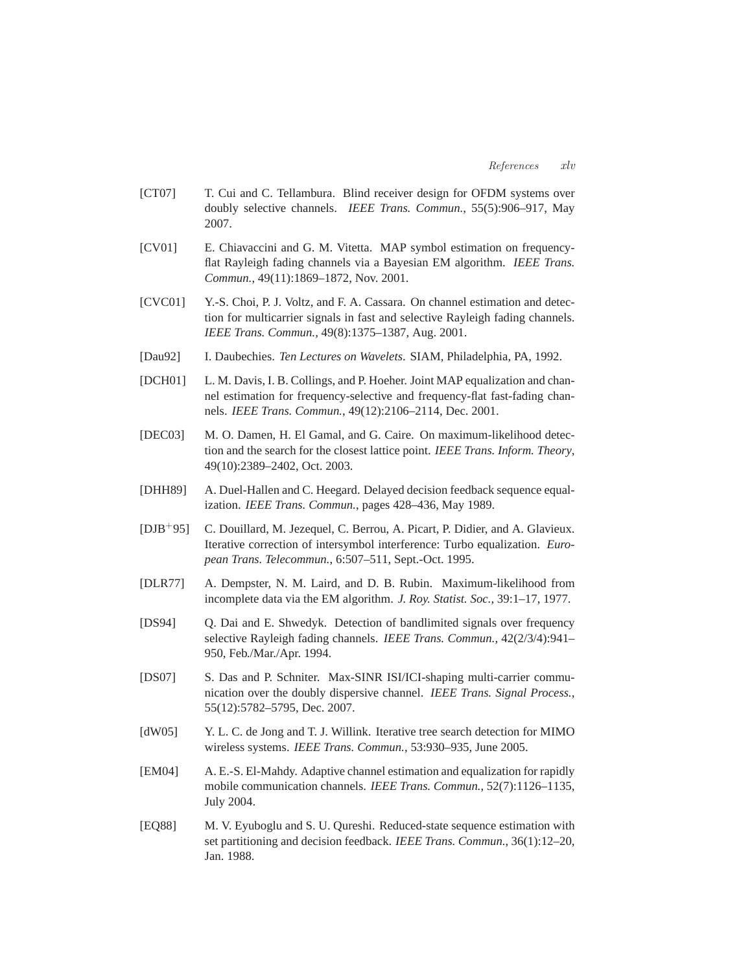- [CT07] T. Cui and C. Tellambura. Blind receiver design for OFDM systems over doubly selective channels. *IEEE Trans. Commun.*, 55(5):906–917, May 2007.
- [CV01] E. Chiavaccini and G. M. Vitetta. MAP symbol estimation on frequencyflat Rayleigh fading channels via a Bayesian EM algorithm. *IEEE Trans. Commun.*, 49(11):1869–1872, Nov. 2001.
- [CVC01] Y.-S. Choi, P. J. Voltz, and F. A. Cassara. On channel estimation and detection for multicarrier signals in fast and selective Rayleigh fading channels. *IEEE Trans. Commun.*, 49(8):1375–1387, Aug. 2001.
- [Dau92] I. Daubechies. *Ten Lectures on Wavelets*. SIAM, Philadelphia, PA, 1992.
- [DCH01] L. M. Davis, I. B. Collings, and P. Hoeher. Joint MAP equalization and channel estimation for frequency-selective and frequency-flat fast-fading channels. *IEEE Trans. Commun.*, 49(12):2106–2114, Dec. 2001.
- [DEC03] M. O. Damen, H. El Gamal, and G. Caire. On maximum-likelihood detection and the search for the closest lattice point. *IEEE Trans. Inform. Theory*, 49(10):2389–2402, Oct. 2003.
- [DHH89] A. Duel-Hallen and C. Heegard. Delayed decision feedback sequence equalization. *IEEE Trans. Commun.*, pages 428–436, May 1989.
- [DJB+95] C. Douillard, M. Jezequel, C. Berrou, A. Picart, P. Didier, and A. Glavieux. Iterative correction of intersymbol interference: Turbo equalization. *European Trans. Telecommun.*, 6:507–511, Sept.-Oct. 1995.
- [DLR77] A. Dempster, N. M. Laird, and D. B. Rubin. Maximum-likelihood from incomplete data via the EM algorithm. *J. Roy. Statist. Soc.*, 39:1–17, 1977.
- [DS94] Q. Dai and E. Shwedyk. Detection of bandlimited signals over frequency selective Rayleigh fading channels. *IEEE Trans. Commun.*, 42(2/3/4):941– 950, Feb./Mar./Apr. 1994.
- [DS07] S. Das and P. Schniter. Max-SINR ISI/ICI-shaping multi-carrier communication over the doubly dispersive channel. *IEEE Trans. Signal Process.*, 55(12):5782–5795, Dec. 2007.
- [dW05] Y. L. C. de Jong and T. J. Willink. Iterative tree search detection for MIMO wireless systems. *IEEE Trans. Commun.*, 53:930–935, June 2005.
- [EM04] A. E.-S. El-Mahdy. Adaptive channel estimation and equalization for rapidly mobile communication channels. *IEEE Trans. Commun.*, 52(7):1126–1135, July 2004.
- [EQ88] M. V. Eyuboglu and S. U. Qureshi. Reduced-state sequence estimation with set partitioning and decision feedback. *IEEE Trans. Commun.*, 36(1):12–20, Jan. 1988.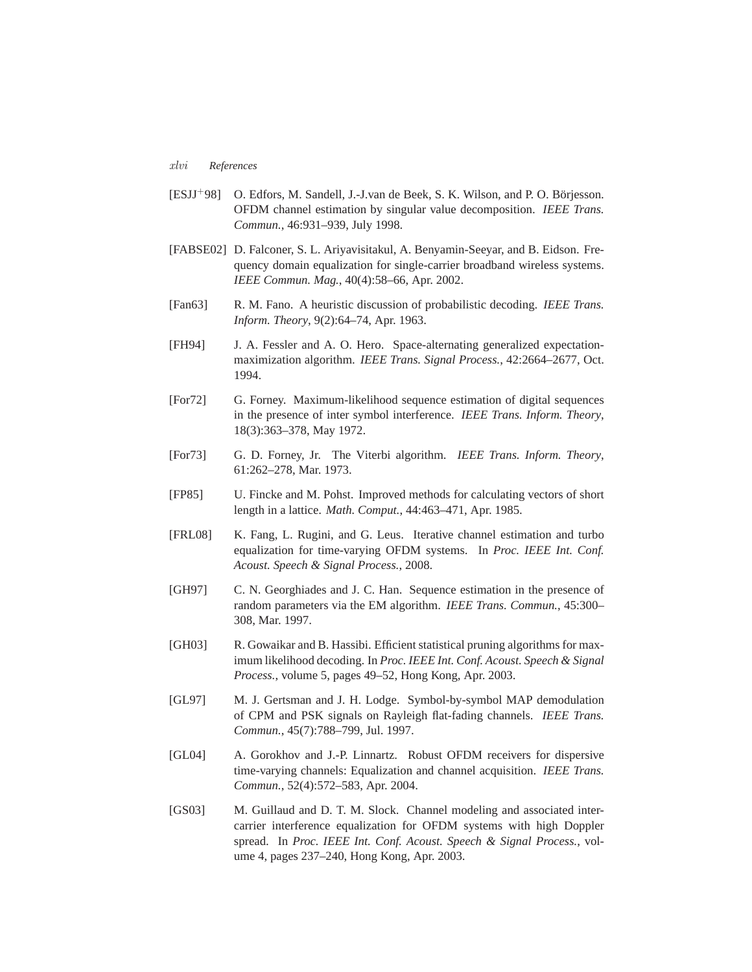## *xlvi References*

- [ESJJ+98] O. Edfors, M. Sandell, J.-J.van de Beek, S. K. Wilson, and P. O. Börjesson. OFDM channel estimation by singular value decomposition. *IEEE Trans. Commun.*, 46:931–939, July 1998.
- [FABSE02] D. Falconer, S. L. Ariyavisitakul, A. Benyamin-Seeyar, and B. Eidson. Frequency domain equalization for single-carrier broadband wireless systems. *IEEE Commun. Mag.*, 40(4):58–66, Apr. 2002.
- [Fan63] R. M. Fano. A heuristic discussion of probabilistic decoding. *IEEE Trans. Inform. Theory*, 9(2):64–74, Apr. 1963.
- [FH94] J. A. Fessler and A. O. Hero. Space-alternating generalized expectationmaximization algorithm. *IEEE Trans. Signal Process.*, 42:2664–2677, Oct. 1994.
- [For72] G. Forney. Maximum-likelihood sequence estimation of digital sequences in the presence of inter symbol interference. *IEEE Trans. Inform. Theory*, 18(3):363–378, May 1972.
- [For73] G. D. Forney, Jr. The Viterbi algorithm. *IEEE Trans. Inform. Theory*, 61:262–278, Mar. 1973.
- [FP85] U. Fincke and M. Pohst. Improved methods for calculating vectors of short length in a lattice. *Math. Comput.*, 44:463–471, Apr. 1985.
- [FRL08] K. Fang, L. Rugini, and G. Leus. Iterative channel estimation and turbo equalization for time-varying OFDM systems. In *Proc. IEEE Int. Conf. Acoust. Speech & Signal Process.*, 2008.
- [GH97] C. N. Georghiades and J. C. Han. Sequence estimation in the presence of random parameters via the EM algorithm. *IEEE Trans. Commun.*, 45:300– 308, Mar. 1997.
- [GH03] R. Gowaikar and B. Hassibi. Efficient statistical pruning algorithms for maximum likelihood decoding. In *Proc. IEEE Int. Conf. Acoust. Speech & Signal Process.*, volume 5, pages 49–52, Hong Kong, Apr. 2003.
- [GL97] M. J. Gertsman and J. H. Lodge. Symbol-by-symbol MAP demodulation of CPM and PSK signals on Rayleigh flat-fading channels. *IEEE Trans. Commun.*, 45(7):788–799, Jul. 1997.
- [GL04] A. Gorokhov and J.-P. Linnartz. Robust OFDM receivers for dispersive time-varying channels: Equalization and channel acquisition. *IEEE Trans. Commun.*, 52(4):572–583, Apr. 2004.
- [GS03] M. Guillaud and D. T. M. Slock. Channel modeling and associated intercarrier interference equalization for OFDM systems with high Doppler spread. In *Proc. IEEE Int. Conf. Acoust. Speech & Signal Process.*, volume 4, pages 237–240, Hong Kong, Apr. 2003.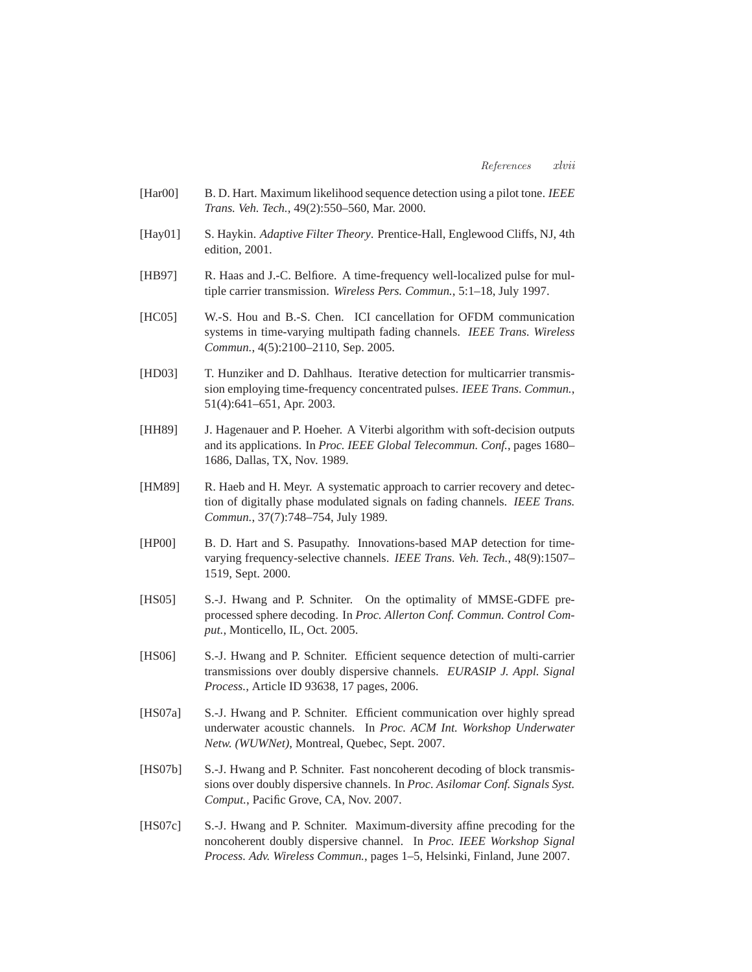- [Har00] B. D. Hart. Maximum likelihood sequence detection using a pilot tone. *IEEE Trans. Veh. Tech.*, 49(2):550–560, Mar. 2000.
- [Hay01] S. Haykin. *Adaptive Filter Theory*. Prentice-Hall, Englewood Cliffs, NJ, 4th edition, 2001.
- [HB97] R. Haas and J.-C. Belfiore. A time-frequency well-localized pulse for multiple carrier transmission. *Wireless Pers. Commun.*, 5:1–18, July 1997.
- [HC05] W.-S. Hou and B.-S. Chen. ICI cancellation for OFDM communication systems in time-varying multipath fading channels. *IEEE Trans. Wireless Commun.*, 4(5):2100–2110, Sep. 2005.
- [HD03] T. Hunziker and D. Dahlhaus. Iterative detection for multicarrier transmission employing time-frequency concentrated pulses. *IEEE Trans. Commun.*, 51(4):641–651, Apr. 2003.
- [HH89] J. Hagenauer and P. Hoeher. A Viterbi algorithm with soft-decision outputs and its applications. In *Proc. IEEE Global Telecommun. Conf.*, pages 1680– 1686, Dallas, TX, Nov. 1989.
- [HM89] R. Haeb and H. Meyr. A systematic approach to carrier recovery and detection of digitally phase modulated signals on fading channels. *IEEE Trans. Commun.*, 37(7):748–754, July 1989.
- [HP00] B. D. Hart and S. Pasupathy. Innovations-based MAP detection for timevarying frequency-selective channels. *IEEE Trans. Veh. Tech.*, 48(9):1507– 1519, Sept. 2000.
- [HS05] S.-J. Hwang and P. Schniter. On the optimality of MMSE-GDFE preprocessed sphere decoding. In *Proc. Allerton Conf. Commun. Control Comput.*, Monticello, IL, Oct. 2005.
- [HS06] S.-J. Hwang and P. Schniter. Efficient sequence detection of multi-carrier transmissions over doubly dispersive channels. *EURASIP J. Appl. Signal Process.*, Article ID 93638, 17 pages, 2006.
- [HS07a] S.-J. Hwang and P. Schniter. Efficient communication over highly spread underwater acoustic channels. In *Proc. ACM Int. Workshop Underwater Netw. (WUWNet)*, Montreal, Quebec, Sept. 2007.
- [HS07b] S.-J. Hwang and P. Schniter. Fast noncoherent decoding of block transmissions over doubly dispersive channels. In *Proc. Asilomar Conf. Signals Syst. Comput.*, Pacific Grove, CA, Nov. 2007.
- [HS07c] S.-J. Hwang and P. Schniter. Maximum-diversity affine precoding for the noncoherent doubly dispersive channel. In *Proc. IEEE Workshop Signal Process. Adv. Wireless Commun.*, pages 1–5, Helsinki, Finland, June 2007.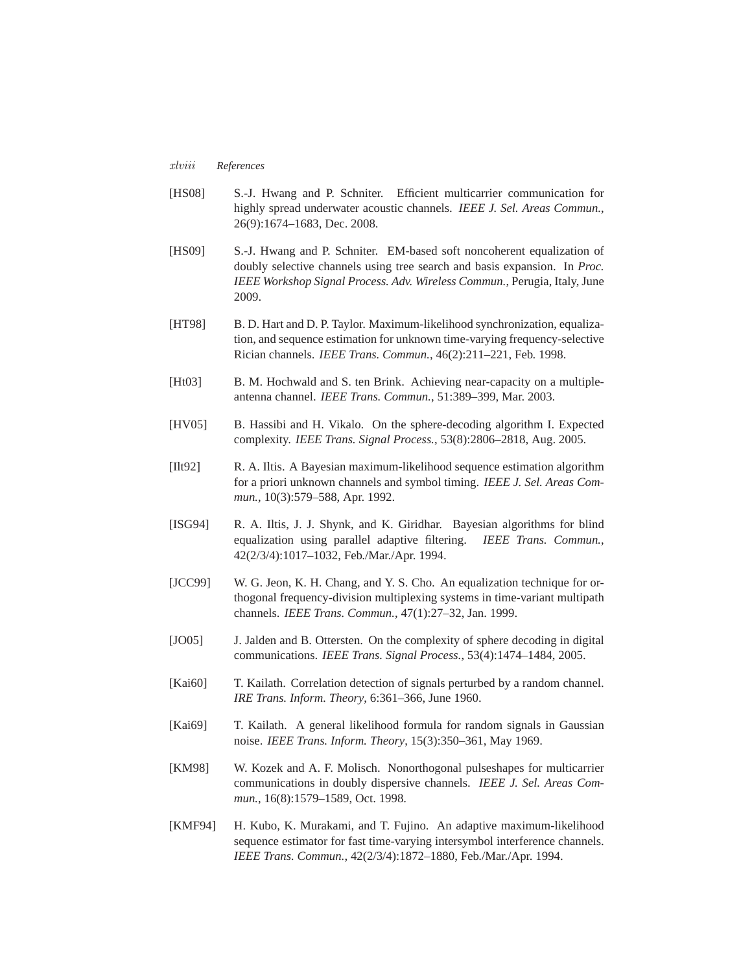#### *xlviii References*

- [HS08] S.-J. Hwang and P. Schniter. Efficient multicarrier communication for highly spread underwater acoustic channels. *IEEE J. Sel. Areas Commun.*, 26(9):1674–1683, Dec. 2008.
- [HS09] S.-J. Hwang and P. Schniter. EM-based soft noncoherent equalization of doubly selective channels using tree search and basis expansion. In *Proc. IEEE Workshop Signal Process. Adv. Wireless Commun.*, Perugia, Italy, June 2009.
- [HT98] B. D. Hart and D. P. Taylor. Maximum-likelihood synchronization, equalization, and sequence estimation for unknown time-varying frequency-selective Rician channels. *IEEE Trans. Commun.*, 46(2):211–221, Feb. 1998.
- [Ht03] B. M. Hochwald and S. ten Brink. Achieving near-capacity on a multipleantenna channel. *IEEE Trans. Commun.*, 51:389–399, Mar. 2003.
- [HV05] B. Hassibi and H. Vikalo. On the sphere-decoding algorithm I. Expected complexity. *IEEE Trans. Signal Process.*, 53(8):2806–2818, Aug. 2005.
- [Ilt92] R. A. Iltis. A Bayesian maximum-likelihood sequence estimation algorithm for a priori unknown channels and symbol timing. *IEEE J. Sel. Areas Commun.*, 10(3):579–588, Apr. 1992.
- [ISG94] R. A. Iltis, J. J. Shynk, and K. Giridhar. Bayesian algorithms for blind equalization using parallel adaptive filtering. *IEEE Trans. Commun.*, 42(2/3/4):1017–1032, Feb./Mar./Apr. 1994.
- [JCC99] W. G. Jeon, K. H. Chang, and Y. S. Cho. An equalization technique for orthogonal frequency-division multiplexing systems in time-variant multipath channels. *IEEE Trans. Commun.*, 47(1):27–32, Jan. 1999.
- [JO05] J. Jalden and B. Ottersten. On the complexity of sphere decoding in digital communications. *IEEE Trans. Signal Process.*, 53(4):1474–1484, 2005.
- [Kai60] T. Kailath. Correlation detection of signals perturbed by a random channel. *IRE Trans. Inform. Theory*, 6:361–366, June 1960.
- [Kai69] T. Kailath. A general likelihood formula for random signals in Gaussian noise. *IEEE Trans. Inform. Theory*, 15(3):350–361, May 1969.
- [KM98] W. Kozek and A. F. Molisch. Nonorthogonal pulseshapes for multicarrier communications in doubly dispersive channels. *IEEE J. Sel. Areas Commun.*, 16(8):1579–1589, Oct. 1998.
- [KMF94] H. Kubo, K. Murakami, and T. Fujino. An adaptive maximum-likelihood sequence estimator for fast time-varying intersymbol interference channels. *IEEE Trans. Commun.*, 42(2/3/4):1872–1880, Feb./Mar./Apr. 1994.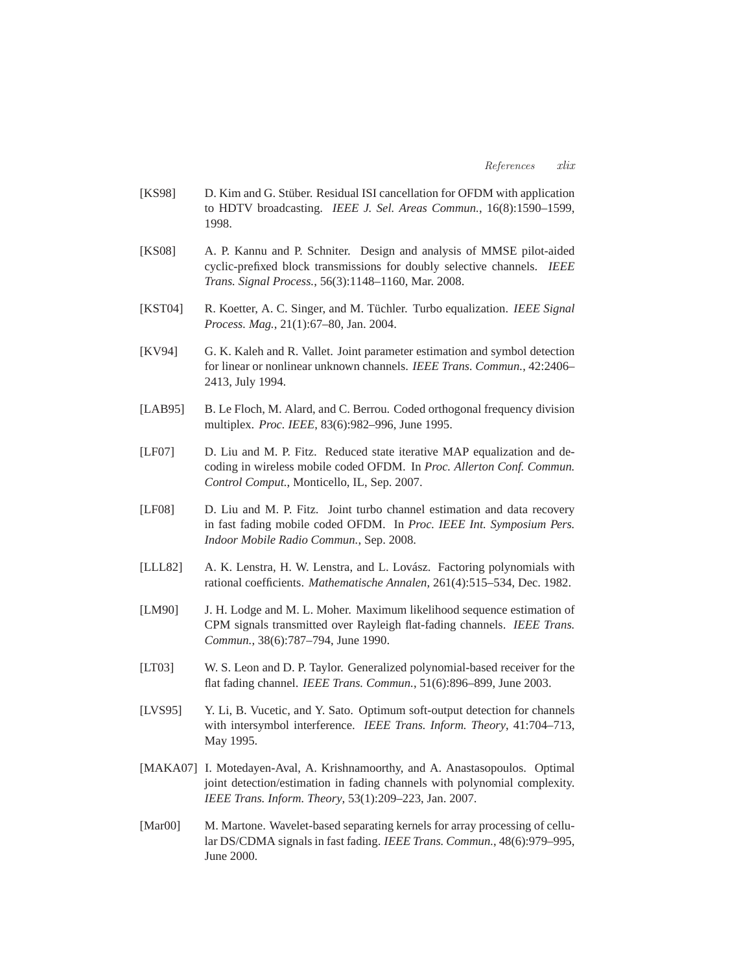- [KS98] D. Kim and G. Stüber. Residual ISI cancellation for OFDM with application to HDTV broadcasting. *IEEE J. Sel. Areas Commun.*, 16(8):1590–1599, 1998.
- [KS08] A. P. Kannu and P. Schniter. Design and analysis of MMSE pilot-aided cyclic-prefixed block transmissions for doubly selective channels. *IEEE Trans. Signal Process.*, 56(3):1148–1160, Mar. 2008.
- [KST04] R. Koetter, A. C. Singer, and M. Tüchler. Turbo equalization. *IEEE Signal Process. Mag.*, 21(1):67–80, Jan. 2004.
- [KV94] G. K. Kaleh and R. Vallet. Joint parameter estimation and symbol detection for linear or nonlinear unknown channels. *IEEE Trans. Commun.*, 42:2406– 2413, July 1994.
- [LAB95] B. Le Floch, M. Alard, and C. Berrou. Coded orthogonal frequency division multiplex. *Proc. IEEE*, 83(6):982–996, June 1995.
- [LF07] D. Liu and M. P. Fitz. Reduced state iterative MAP equalization and decoding in wireless mobile coded OFDM. In *Proc. Allerton Conf. Commun. Control Comput.*, Monticello, IL, Sep. 2007.
- [LF08] D. Liu and M. P. Fitz. Joint turbo channel estimation and data recovery in fast fading mobile coded OFDM. In *Proc. IEEE Int. Symposium Pers. Indoor Mobile Radio Commun.*, Sep. 2008.
- [LLL82] A. K. Lenstra, H. W. Lenstra, and L. Lovász. Factoring polynomials with rational coefficients. *Mathematische Annalen*, 261(4):515–534, Dec. 1982.
- [LM90] J. H. Lodge and M. L. Moher. Maximum likelihood sequence estimation of CPM signals transmitted over Rayleigh flat-fading channels. *IEEE Trans. Commun.*, 38(6):787–794, June 1990.
- [LT03] W. S. Leon and D. P. Taylor. Generalized polynomial-based receiver for the flat fading channel. *IEEE Trans. Commun.*, 51(6):896–899, June 2003.
- [LVS95] Y. Li, B. Vucetic, and Y. Sato. Optimum soft-output detection for channels with intersymbol interference. *IEEE Trans. Inform. Theory*, 41:704–713, May 1995.
- [MAKA07] I. Motedayen-Aval, A. Krishnamoorthy, and A. Anastasopoulos. Optimal joint detection/estimation in fading channels with polynomial complexity. *IEEE Trans. Inform. Theory*, 53(1):209–223, Jan. 2007.
- [Mar00] M. Martone. Wavelet-based separating kernels for array processing of cellular DS/CDMA signals in fast fading. *IEEE Trans. Commun.*, 48(6):979–995, June 2000.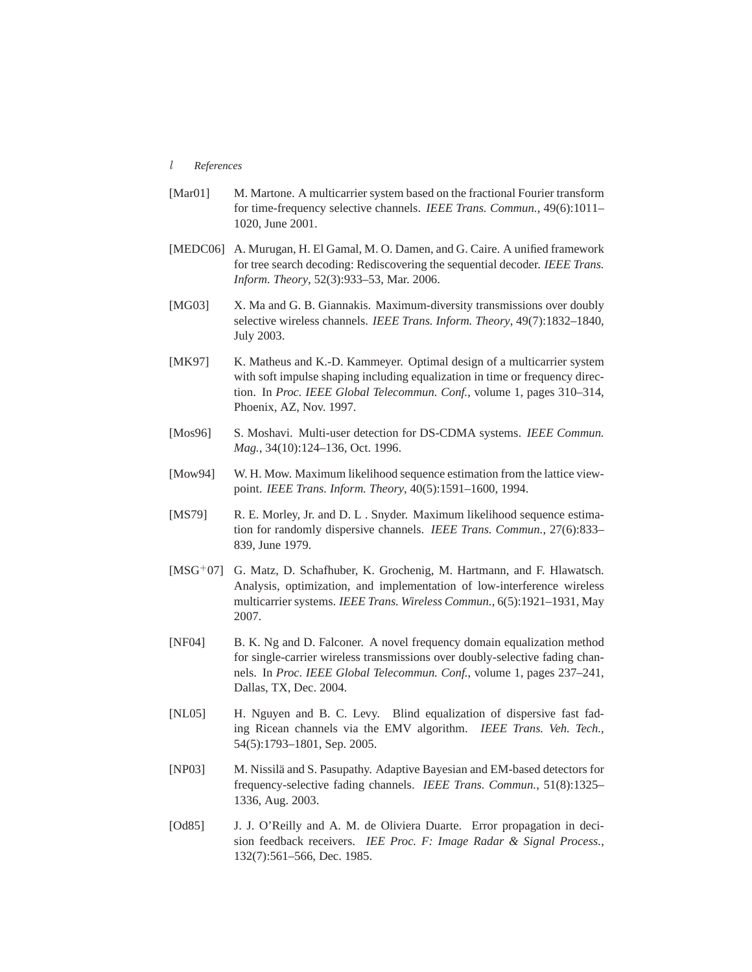### *l References*

- [Mar01] M. Martone. A multicarrier system based on the fractional Fourier transform for time-frequency selective channels. *IEEE Trans. Commun.*, 49(6):1011– 1020, June 2001.
- [MEDC06] A. Murugan, H. El Gamal, M. O. Damen, and G. Caire. A unified framework for tree search decoding: Rediscovering the sequential decoder. *IEEE Trans. Inform. Theory*, 52(3):933–53, Mar. 2006.
- [MG03] X. Ma and G. B. Giannakis. Maximum-diversity transmissions over doubly selective wireless channels. *IEEE Trans. Inform. Theory*, 49(7):1832–1840, July 2003.
- [MK97] K. Matheus and K.-D. Kammeyer. Optimal design of a multicarrier system with soft impulse shaping including equalization in time or frequency direction. In *Proc. IEEE Global Telecommun. Conf.*, volume 1, pages 310–314, Phoenix, AZ, Nov. 1997.
- [Mos96] S. Moshavi. Multi-user detection for DS-CDMA systems. *IEEE Commun*. *Mag.*, 34(10):124–136, Oct. 1996.
- [Mow94] W. H. Mow. Maximum likelihood sequence estimation from the lattice viewpoint. *IEEE Trans. Inform. Theory*, 40(5):1591–1600, 1994.
- [MS79] R. E. Morley, Jr. and D. L . Snyder. Maximum likelihood sequence estimation for randomly dispersive channels. *IEEE Trans. Commun.*, 27(6):833– 839, June 1979.
- [MSG+07] G. Matz, D. Schafhuber, K. Grochenig, M. Hartmann, and F. Hlawatsch. Analysis, optimization, and implementation of low-interference wireless multicarrier systems. *IEEE Trans. Wireless Commun.*, 6(5):1921–1931, May 2007.
- [NF04] B. K. Ng and D. Falconer. A novel frequency domain equalization method for single-carrier wireless transmissions over doubly-selective fading channels. In *Proc. IEEE Global Telecommun. Conf.*, volume 1, pages 237–241, Dallas, TX, Dec. 2004.
- [NL05] H. Nguyen and B. C. Levy. Blind equalization of dispersive fast fading Ricean channels via the EMV algorithm. *IEEE Trans. Veh. Tech.*, 54(5):1793–1801, Sep. 2005.
- [NP03] M. Nissilä and S. Pasupathy. Adaptive Bayesian and EM-based detectors for frequency-selective fading channels. *IEEE Trans. Commun.*, 51(8):1325– 1336, Aug. 2003.
- [Od85] J. J. O'Reilly and A. M. de Oliviera Duarte. Error propagation in decision feedback receivers. *IEE Proc. F: Image Radar & Signal Process.*, 132(7):561–566, Dec. 1985.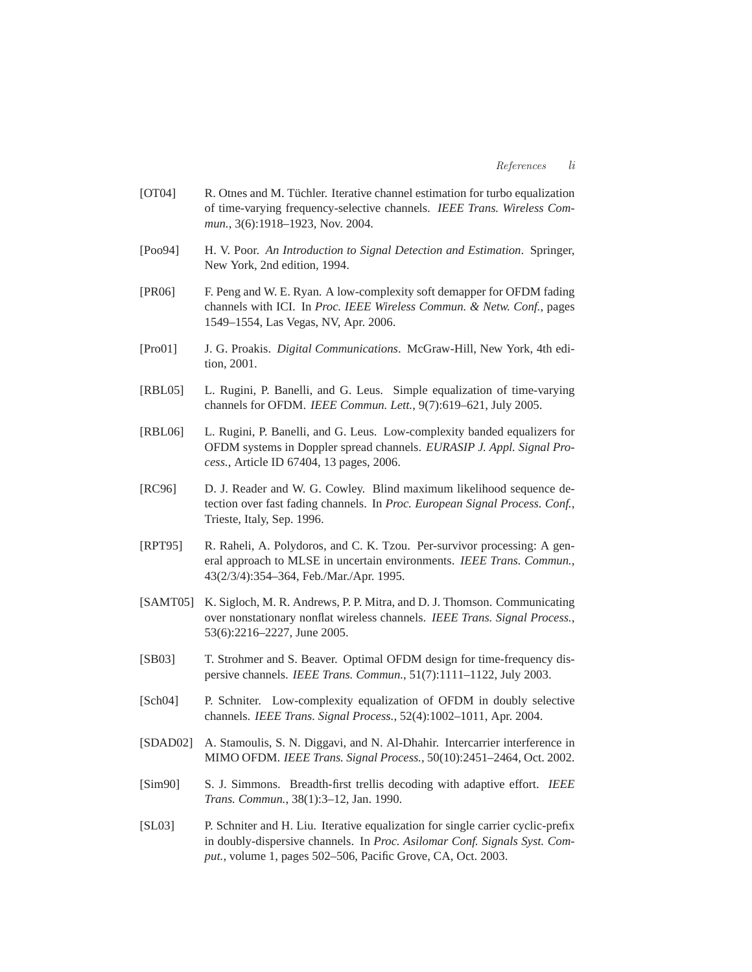- [OT04] R. Otnes and M. Tüchler. Iterative channel estimation for turbo equalization of time-varying frequency-selective channels. *IEEE Trans. Wireless Commun.*, 3(6):1918–1923, Nov. 2004.
- [Poo94] H. V. Poor. *An Introduction to Signal Detection and Estimation*. Springer, New York, 2nd edition, 1994.
- [PR06] F. Peng and W. E. Ryan. A low-complexity soft demapper for OFDM fading channels with ICI. In *Proc. IEEE Wireless Commun. & Netw. Conf.*, pages 1549–1554, Las Vegas, NV, Apr. 2006.
- [Pro01] J. G. Proakis. *Digital Communications*. McGraw-Hill, New York, 4th edition, 2001.
- [RBL05] L. Rugini, P. Banelli, and G. Leus. Simple equalization of time-varying channels for OFDM. *IEEE Commun. Lett.*, 9(7):619–621, July 2005.
- [RBL06] L. Rugini, P. Banelli, and G. Leus. Low-complexity banded equalizers for OFDM systems in Doppler spread channels. *EURASIP J. Appl. Signal Process.*, Article ID 67404, 13 pages, 2006.
- [RC96] D. J. Reader and W. G. Cowley. Blind maximum likelihood sequence detection over fast fading channels. In *Proc. European Signal Process. Conf.*, Trieste, Italy, Sep. 1996.
- [RPT95] R. Raheli, A. Polydoros, and C. K. Tzou. Per-survivor processing: A general approach to MLSE in uncertain environments. *IEEE Trans. Commun.*, 43(2/3/4):354–364, Feb./Mar./Apr. 1995.
- [SAMT05] K. Sigloch, M. R. Andrews, P. P. Mitra, and D. J. Thomson. Communicating over nonstationary nonflat wireless channels. *IEEE Trans. Signal Process.*, 53(6):2216–2227, June 2005.
- [SB03] T. Strohmer and S. Beaver. Optimal OFDM design for time-frequency dispersive channels. *IEEE Trans. Commun.*, 51(7):1111–1122, July 2003.
- [Sch04] P. Schniter. Low-complexity equalization of OFDM in doubly selective channels. *IEEE Trans. Signal Process.*, 52(4):1002–1011, Apr. 2004.
- [SDAD02] A. Stamoulis, S. N. Diggavi, and N. Al-Dhahir. Intercarrier interference in MIMO OFDM. *IEEE Trans. Signal Process.*, 50(10):2451–2464, Oct. 2002.
- [Sim90] S. J. Simmons. Breadth-first trellis decoding with adaptive effort. *IEEE Trans. Commun.*, 38(1):3–12, Jan. 1990.
- [SL03] P. Schniter and H. Liu. Iterative equalization for single carrier cyclic-prefix in doubly-dispersive channels. In *Proc. Asilomar Conf. Signals Syst. Comput.*, volume 1, pages 502–506, Pacific Grove, CA, Oct. 2003.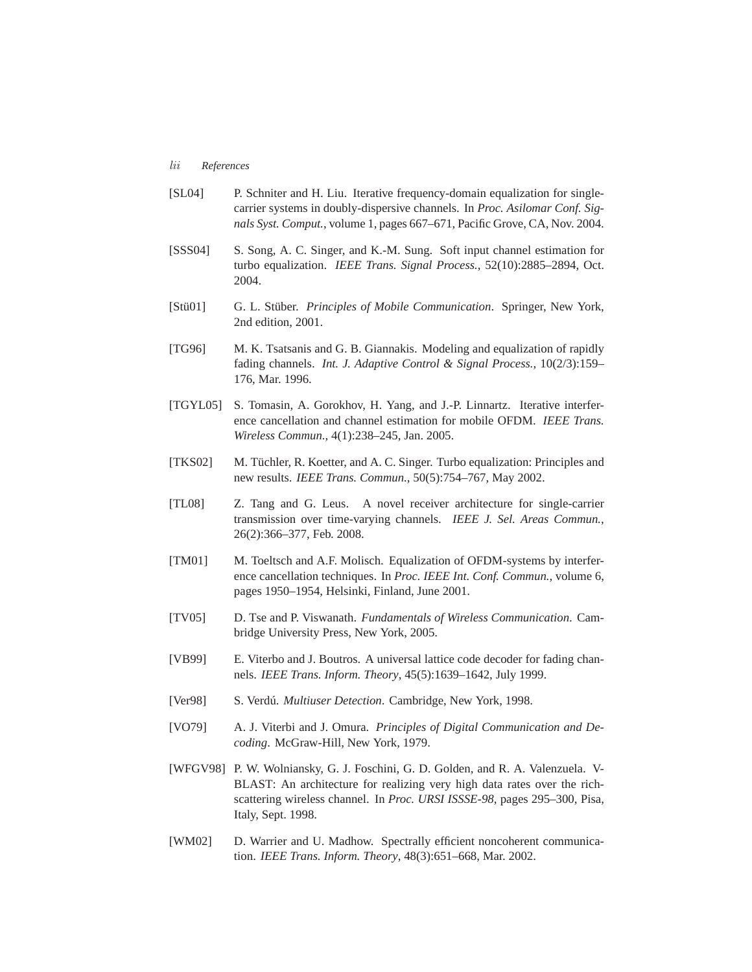## *lii References*

- [SL04] P. Schniter and H. Liu. Iterative frequency-domain equalization for singlecarrier systems in doubly-dispersive channels. In *Proc. Asilomar Conf. Signals Syst. Comput.*, volume 1, pages 667–671, Pacific Grove, CA, Nov. 2004.
- [SSS04] S. Song, A. C. Singer, and K.-M. Sung. Soft input channel estimation for turbo equalization. *IEEE Trans. Signal Process.*, 52(10):2885–2894, Oct. 2004.
- [Stü01] G. L. Stüber. *Principles of Mobile Communication*. Springer, New York, 2nd edition, 2001.
- [TG96] M. K. Tsatsanis and G. B. Giannakis. Modeling and equalization of rapidly fading channels. *Int. J. Adaptive Control & Signal Process.*, 10(2/3):159– 176, Mar. 1996.
- [TGYL05] S. Tomasin, A. Gorokhov, H. Yang, and J.-P. Linnartz. Iterative interference cancellation and channel estimation for mobile OFDM. *IEEE Trans. Wireless Commun.*, 4(1):238–245, Jan. 2005.
- [TKS02] M. Tüchler, R. Koetter, and A. C. Singer. Turbo equalization: Principles and new results. *IEEE Trans. Commun.*, 50(5):754–767, May 2002.
- [TL08] Z. Tang and G. Leus. A novel receiver architecture for single-carrier transmission over time-varying channels. *IEEE J. Sel. Areas Commun.*, 26(2):366–377, Feb. 2008.
- [TM01] M. Toeltsch and A.F. Molisch. Equalization of OFDM-systems by interference cancellation techniques. In *Proc. IEEE Int. Conf. Commun.*, volume 6, pages 1950–1954, Helsinki, Finland, June 2001.
- [TV05] D. Tse and P. Viswanath. *Fundamentals of Wireless Communication*. Cambridge University Press, New York, 2005.
- [VB99] E. Viterbo and J. Boutros. A universal lattice code decoder for fading channels. *IEEE Trans. Inform. Theory*, 45(5):1639–1642, July 1999.
- [Ver98] S. Verdú. *Multiuser Detection*. Cambridge, New York, 1998.
- [VO79] A. J. Viterbi and J. Omura. *Principles of Digital Communication and Decoding*. McGraw-Hill, New York, 1979.
- [WFGV98] P. W. Wolniansky, G. J. Foschini, G. D. Golden, and R. A. Valenzuela. V-BLAST: An architecture for realizing very high data rates over the richscattering wireless channel. In *Proc. URSI ISSSE-98*, pages 295–300, Pisa, Italy, Sept. 1998.
- [WM02] D. Warrier and U. Madhow. Spectrally efficient noncoherent communication. *IEEE Trans. Inform. Theory*, 48(3):651–668, Mar. 2002.